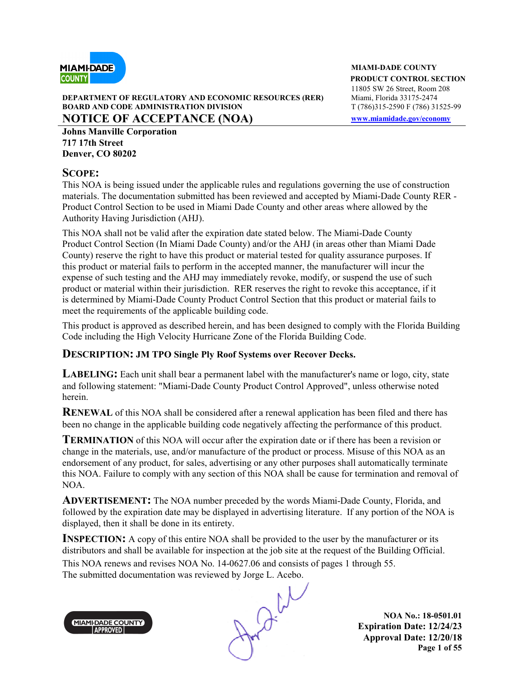

#### **DEPARTMENT OF REGULATORY AND ECONOMIC RESOURCES (RER) BOARD AND CODE ADMINISTRATION DIVISION T** (786)315-2590 F (786) 31525-99 **NOTICE OF ACCEPTANCE (NOA) www.miamidade.gov/economy**

**Johns Manville Corporation 717 17th Street Denver, CO 80202**

### **SCOPE:**

This NOA is being issued under the applicable rules and regulations governing the use of construction materials. The documentation submitted has been reviewed and accepted by Miami-Dade County RER - Product Control Section to be used in Miami Dade County and other areas where allowed by the Authority Having Jurisdiction (AHJ).

This NOA shall not be valid after the expiration date stated below. The Miami-Dade County Product Control Section (In Miami Dade County) and/or the AHJ (in areas other than Miami Dade County) reserve the right to have this product or material tested for quality assurance purposes. If this product or material fails to perform in the accepted manner, the manufacturer will incur the expense of such testing and the AHJ may immediately revoke, modify, or suspend the use of such product or material within their jurisdiction. RER reserves the right to revoke this acceptance, if it is determined by Miami-Dade County Product Control Section that this product or material fails to meet the requirements of the applicable building code.

This product is approved as described herein, and has been designed to comply with the Florida Building Code including the High Velocity Hurricane Zone of the Florida Building Code.

### **DESCRIPTION: JM TPO Single Ply Roof Systems over Recover Decks.**

**LABELING:** Each unit shall bear a permanent label with the manufacturer's name or logo, city, state and following statement: "Miami-Dade County Product Control Approved", unless otherwise noted herein.

**RENEWAL** of this NOA shall be considered after a renewal application has been filed and there has been no change in the applicable building code negatively affecting the performance of this product.

**TERMINATION** of this NOA will occur after the expiration date or if there has been a revision or change in the materials, use, and/or manufacture of the product or process. Misuse of this NOA as an endorsement of any product, for sales, advertising or any other purposes shall automatically terminate this NOA. Failure to comply with any section of this NOA shall be cause for termination and removal of NOA.

**ADVERTISEMENT:** The NOA number preceded by the words Miami-Dade County, Florida, and followed by the expiration date may be displayed in advertising literature. If any portion of the NOA is displayed, then it shall be done in its entirety.

**INSPECTION:** A copy of this entire NOA shall be provided to the user by the manufacturer or its distributors and shall be available for inspection at the job site at the request of the Building Official. This NOA renews and revises NOA No. 14-0627.06 and consists of pages 1 through 55.



The submitted documentation was reviewed by Jorge L. Acebo.<br>
MAMI-DADE COUNTY<br>
APPROVED

**NOA No.: 18-0501.01 Expiration Date: 12/24/23 Approval Date: 12/20/18 Page 1 of 55** 

**MIAMI-DADE COUNTY PRODUCT CONTROL SECTION** 11805 SW 26 Street, Room 208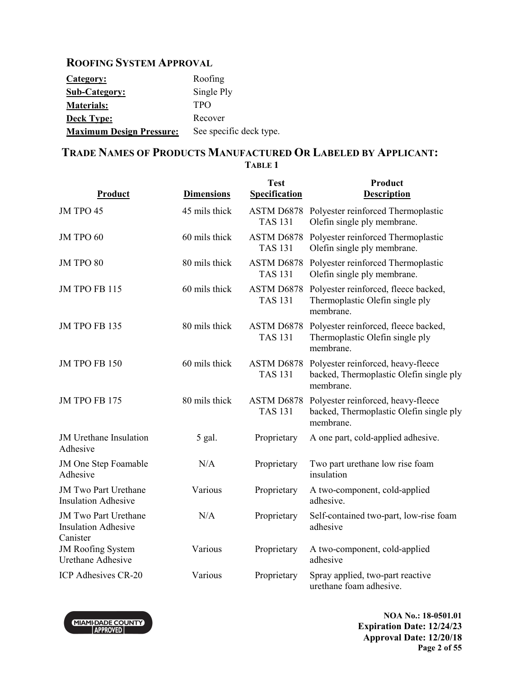### **ROOFING SYSTEM APPROVAL**

| Category:                       | Roofing                 |
|---------------------------------|-------------------------|
| <b>Sub-Category:</b>            | Single Ply              |
| <b>Materials:</b>               | <b>TPO</b>              |
| <b>Deck Type:</b>               | Recover                 |
| <b>Maximum Design Pressure:</b> | See specific deck type. |

### **TRADE NAMES OF PRODUCTS MANUFACTURED OR LABELED BY APPLICANT: TABLE 1**

|                                                                       |                   | <b>Test</b>                  | Product                                                                                    |
|-----------------------------------------------------------------------|-------------------|------------------------------|--------------------------------------------------------------------------------------------|
| Product                                                               | <b>Dimensions</b> | <b>Specification</b>         | <b>Description</b>                                                                         |
| JM TPO 45                                                             | 45 mils thick     | <b>TAS 131</b>               | ASTM D6878 Polyester reinforced Thermoplastic<br>Olefin single ply membrane.               |
| JM TPO 60                                                             | 60 mils thick     | ASTM D6878<br><b>TAS 131</b> | Polyester reinforced Thermoplastic<br>Olefin single ply membrane.                          |
| JM TPO 80                                                             | 80 mils thick     | ASTM D6878<br><b>TAS 131</b> | Polyester reinforced Thermoplastic<br>Olefin single ply membrane.                          |
| JM TPO FB 115                                                         | 60 mils thick     | ASTM D6878<br><b>TAS 131</b> | Polyester reinforced, fleece backed,<br>Thermoplastic Olefin single ply<br>membrane.       |
| JM TPO FB 135                                                         | 80 mils thick     | ASTM D6878<br><b>TAS 131</b> | Polyester reinforced, fleece backed,<br>Thermoplastic Olefin single ply<br>membrane.       |
| <b>JM TPO FB 150</b>                                                  | 60 mils thick     | ASTM D6878<br><b>TAS 131</b> | Polyester reinforced, heavy-fleece<br>backed, Thermoplastic Olefin single ply<br>membrane. |
| <b>JM TPO FB 175</b>                                                  | 80 mils thick     | ASTM D6878<br><b>TAS 131</b> | Polyester reinforced, heavy-fleece<br>backed, Thermoplastic Olefin single ply<br>membrane. |
| JM Urethane Insulation<br>Adhesive                                    | 5 gal.            | Proprietary                  | A one part, cold-applied adhesive.                                                         |
| JM One Step Foamable<br>Adhesive                                      | N/A               | Proprietary                  | Two part urethane low rise foam<br>insulation                                              |
| <b>JM Two Part Urethane</b><br><b>Insulation Adhesive</b>             | Various           | Proprietary                  | A two-component, cold-applied<br>adhesive.                                                 |
| <b>JM Two Part Urethane</b><br><b>Insulation Adhesive</b><br>Canister | N/A               | Proprietary                  | Self-contained two-part, low-rise foam<br>adhesive                                         |
| <b>JM Roofing System</b><br><b>Urethane Adhesive</b>                  | Various           | Proprietary                  | A two-component, cold-applied<br>adhesive                                                  |
| ICP Adhesives CR-20                                                   | Various           | Proprietary                  | Spray applied, two-part reactive<br>urethane foam adhesive.                                |



**NOA No.: 18-0501.01 Expiration Date: 12/24/23 Approval Date: 12/20/18 Page 2 of 55**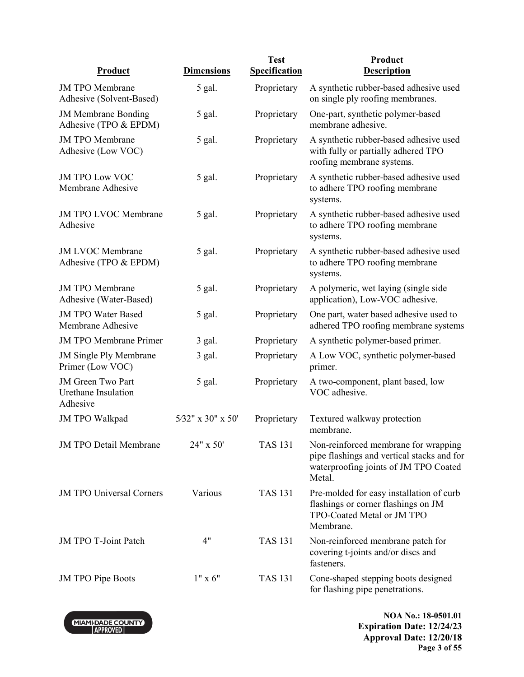|                                                             |                   | <b>Test</b>    | Product                                                                                                                               |
|-------------------------------------------------------------|-------------------|----------------|---------------------------------------------------------------------------------------------------------------------------------------|
| <b>Product</b>                                              | <b>Dimensions</b> | Specification  | <b>Description</b>                                                                                                                    |
| <b>JM TPO Membrane</b><br>Adhesive (Solvent-Based)          | 5 gal.            | Proprietary    | A synthetic rubber-based adhesive used<br>on single ply roofing membranes.                                                            |
| <b>JM Membrane Bonding</b><br>Adhesive (TPO & EPDM)         | 5 gal.            | Proprietary    | One-part, synthetic polymer-based<br>membrane adhesive.                                                                               |
| <b>JM TPO Membrane</b><br>Adhesive (Low VOC)                | 5 gal.            | Proprietary    | A synthetic rubber-based adhesive used<br>with fully or partially adhered TPO<br>roofing membrane systems.                            |
| <b>JM TPO Low VOC</b><br>Membrane Adhesive                  | 5 gal.            | Proprietary    | A synthetic rubber-based adhesive used<br>to adhere TPO roofing membrane<br>systems.                                                  |
| <b>JM TPO LVOC Membrane</b><br>Adhesive                     | 5 gal.            | Proprietary    | A synthetic rubber-based adhesive used<br>to adhere TPO roofing membrane<br>systems.                                                  |
| <b>JM LVOC Membrane</b><br>Adhesive (TPO & EPDM)            | 5 gal.            | Proprietary    | A synthetic rubber-based adhesive used<br>to adhere TPO roofing membrane<br>systems.                                                  |
| <b>JM TPO Membrane</b><br>Adhesive (Water-Based)            | 5 gal.            | Proprietary    | A polymeric, wet laying (single side<br>application), Low-VOC adhesive.                                                               |
| <b>JM TPO Water Based</b><br>Membrane Adhesive              | 5 gal.            | Proprietary    | One part, water based adhesive used to<br>adhered TPO roofing membrane systems                                                        |
| <b>JM TPO Membrane Primer</b>                               | $3$ gal.          | Proprietary    | A synthetic polymer-based primer.                                                                                                     |
| <b>JM Single Ply Membrane</b><br>Primer (Low VOC)           | 3 gal.            | Proprietary    | A Low VOC, synthetic polymer-based<br>primer.                                                                                         |
| <b>JM</b> Green Two Part<br>Urethane Insulation<br>Adhesive | 5 gal.            | Proprietary    | A two-component, plant based, low<br>VOC adhesive.                                                                                    |
| <b>JM TPO Walkpad</b>                                       | 5/32" x 30" x 50" | Proprietary    | Textured walkway protection<br>membrane.                                                                                              |
| <b>JM TPO Detail Membrane</b>                               | 24" x 50'         | <b>TAS 131</b> | Non-reinforced membrane for wrapping<br>pipe flashings and vertical stacks and for<br>waterproofing joints of JM TPO Coated<br>Metal. |
| <b>JM TPO Universal Corners</b>                             | Various           | <b>TAS 131</b> | Pre-molded for easy installation of curb<br>flashings or corner flashings on JM<br>TPO-Coated Metal or JM TPO<br>Membrane.            |
| JM TPO T-Joint Patch                                        | 4"                | <b>TAS 131</b> | Non-reinforced membrane patch for<br>covering t-joints and/or discs and<br>fasteners.                                                 |
| <b>JM TPO Pipe Boots</b>                                    | $1" \times 6"$    | <b>TAS 131</b> | Cone-shaped stepping boots designed<br>for flashing pipe penetrations.                                                                |



**NOA No.: 18-0501.01 Expiration Date: 12/24/23 Approval Date: 12/20/18 Page 3 of 55**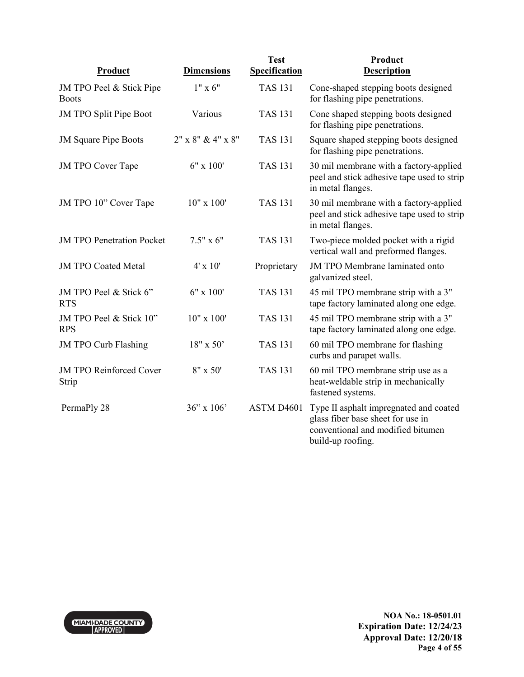| Product                                  | <b>Dimensions</b> | <b>Test</b><br><b>Specification</b> | Product<br><b>Description</b>                                                                                                         |
|------------------------------------------|-------------------|-------------------------------------|---------------------------------------------------------------------------------------------------------------------------------------|
| JM TPO Peel & Stick Pipe<br><b>Boots</b> | $1" \times 6"$    | <b>TAS 131</b>                      | Cone-shaped stepping boots designed<br>for flashing pipe penetrations.                                                                |
| JM TPO Split Pipe Boot                   | Various           | <b>TAS 131</b>                      | Cone shaped stepping boots designed<br>for flashing pipe penetrations.                                                                |
| <b>JM Square Pipe Boots</b>              | 2" x 8" & 4" x 8" | <b>TAS 131</b>                      | Square shaped stepping boots designed<br>for flashing pipe penetrations.                                                              |
| <b>JM TPO Cover Tape</b>                 | $6" \times 100'$  | <b>TAS 131</b>                      | 30 mil membrane with a factory-applied<br>peel and stick adhesive tape used to strip<br>in metal flanges.                             |
| JM TPO 10" Cover Tape                    | 10" x 100"        | <b>TAS 131</b>                      | 30 mil membrane with a factory-applied<br>peel and stick adhesive tape used to strip<br>in metal flanges.                             |
| <b>JM TPO Penetration Pocket</b>         | $7.5" \times 6"$  | <b>TAS 131</b>                      | Two-piece molded pocket with a rigid<br>vertical wall and preformed flanges.                                                          |
| <b>JM TPO Coated Metal</b>               | $4' \times 10'$   | Proprietary                         | JM TPO Membrane laminated onto<br>galvanized steel.                                                                                   |
| JM TPO Peel & Stick 6"<br><b>RTS</b>     | 6" x 100'         | <b>TAS 131</b>                      | 45 mil TPO membrane strip with a 3"<br>tape factory laminated along one edge.                                                         |
| JM TPO Peel & Stick 10"<br><b>RPS</b>    | 10" x 100"        | <b>TAS 131</b>                      | 45 mil TPO membrane strip with a 3"<br>tape factory laminated along one edge.                                                         |
| <b>JM TPO Curb Flashing</b>              | 18" x 50'         | <b>TAS 131</b>                      | 60 mil TPO membrane for flashing<br>curbs and parapet walls.                                                                          |
| <b>JM TPO Reinforced Cover</b><br>Strip  | $8'' \times 50'$  | <b>TAS 131</b>                      | 60 mil TPO membrane strip use as a<br>heat-weldable strip in mechanically<br>fastened systems.                                        |
| PermaPly 28                              | $36''$ x $106'$   | ASTM D4601                          | Type II asphalt impregnated and coated<br>glass fiber base sheet for use in<br>conventional and modified bitumen<br>build-up roofing. |

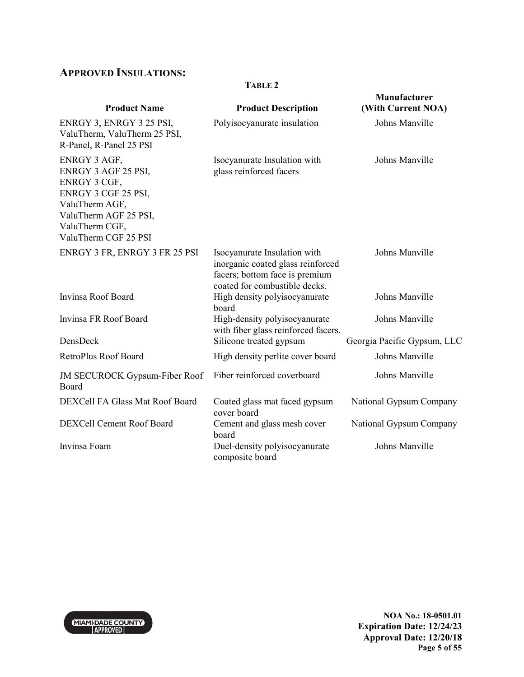# **APPROVED INSULATIONS:**

#### **TABLE 2**

| <b>Product Name</b>                                                                                                                                             | <b>Product Description</b>                                                                                                           | Manufacturer<br>(With Current NOA) |
|-----------------------------------------------------------------------------------------------------------------------------------------------------------------|--------------------------------------------------------------------------------------------------------------------------------------|------------------------------------|
| ENRGY 3, ENRGY 3 25 PSI,<br>ValuTherm, ValuTherm 25 PSI,<br>R-Panel, R-Panel 25 PSI                                                                             | Polyisocyanurate insulation                                                                                                          | Johns Manville                     |
| ENRGY 3 AGF,<br>ENRGY 3 AGF 25 PSI,<br>ENRGY 3 CGF,<br>ENRGY 3 CGF 25 PSI,<br>ValuTherm AGF,<br>ValuTherm AGF 25 PSI,<br>ValuTherm CGF,<br>ValuTherm CGF 25 PSI | Isocyanurate Insulation with<br>glass reinforced facers                                                                              | Johns Manville                     |
| ENRGY 3 FR, ENRGY 3 FR 25 PSI                                                                                                                                   | Isocyanurate Insulation with<br>inorganic coated glass reinforced<br>facers; bottom face is premium<br>coated for combustible decks. | Johns Manville                     |
| Invinsa Roof Board                                                                                                                                              | High density polyisocyanurate<br>board                                                                                               | Johns Manville                     |
| Invinsa FR Roof Board                                                                                                                                           | High-density polyisocyanurate<br>with fiber glass reinforced facers.                                                                 | Johns Manville                     |
| DensDeck                                                                                                                                                        | Silicone treated gypsum                                                                                                              | Georgia Pacific Gypsum, LLC        |
| RetroPlus Roof Board                                                                                                                                            | High density perlite cover board                                                                                                     | Johns Manville                     |
| <b>JM SECUROCK Gypsum-Fiber Roof</b><br>Board                                                                                                                   | Fiber reinforced coverboard                                                                                                          | Johns Manville                     |
| DEXCell FA Glass Mat Roof Board                                                                                                                                 | Coated glass mat faced gypsum<br>cover board                                                                                         | National Gypsum Company            |
| DEXCell Cement Roof Board                                                                                                                                       | Cement and glass mesh cover<br>board                                                                                                 | National Gypsum Company            |
| Invinsa Foam                                                                                                                                                    | Duel-density polyisocyanurate<br>composite board                                                                                     | Johns Manville                     |



**NOA No.: 18-0501.01 Expiration Date: 12/24/23 Approval Date: 12/20/18 Page 5 of 55**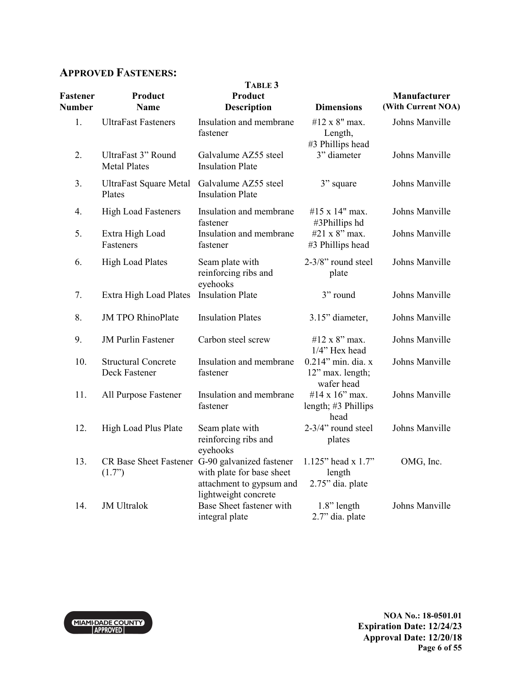### **APPROVED FASTENERS:**

| Fastener<br><b>Number</b> | Product<br><b>Name</b>                      | TABLE 3<br>Product<br><b>Description</b>                                                                                         | <b>Dimensions</b>                                    | Manufacturer<br>(With Current NOA) |
|---------------------------|---------------------------------------------|----------------------------------------------------------------------------------------------------------------------------------|------------------------------------------------------|------------------------------------|
| 1.                        | <b>UltraFast Fasteners</b>                  | Insulation and membrane<br>fastener                                                                                              | #12 x 8" max.<br>Length,<br>#3 Phillips head         | Johns Manville                     |
| 2.                        | UltraFast 3" Round<br><b>Metal Plates</b>   | Galvalume AZ55 steel<br><b>Insulation Plate</b>                                                                                  | 3" diameter                                          | Johns Manville                     |
| 3.                        | <b>UltraFast Square Metal</b><br>Plates     | Galvalume AZ55 steel<br><b>Insulation Plate</b>                                                                                  | 3" square                                            | Johns Manville                     |
| 4.                        | <b>High Load Fasteners</b>                  | Insulation and membrane<br>fastener                                                                                              | #15 x 14" max.<br>#3Phillips hd                      | Johns Manville                     |
| 5.                        | Extra High Load<br>Fasteners                | Insulation and membrane<br>fastener                                                                                              | #21 x 8" max.<br>#3 Phillips head                    | Johns Manville                     |
| 6.                        | <b>High Load Plates</b>                     | Seam plate with<br>reinforcing ribs and<br>eyehooks                                                                              | 2-3/8" round steel<br>plate                          | Johns Manville                     |
| 7.                        | Extra High Load Plates                      | <b>Insulation Plate</b>                                                                                                          | 3" round                                             | Johns Manville                     |
| 8.                        | <b>JM TPO RhinoPlate</b>                    | <b>Insulation Plates</b>                                                                                                         | 3.15" diameter,                                      | Johns Manville                     |
| 9.                        | <b>JM Purlin Fastener</b>                   | Carbon steel screw                                                                                                               | #12 x 8" max.<br>1/4" Hex head                       | Johns Manville                     |
| 10.                       | <b>Structural Concrete</b><br>Deck Fastener | Insulation and membrane<br>fastener                                                                                              | 0.214" min. dia. x<br>12" max. length;<br>wafer head | Johns Manville                     |
| 11.                       | All Purpose Fastener                        | Insulation and membrane<br>fastener                                                                                              | #14 x 16" max.<br>length; #3 Phillips<br>head        | Johns Manville                     |
| 12.                       | High Load Plus Plate                        | Seam plate with<br>reinforcing ribs and<br>eyehooks                                                                              | 2-3/4" round steel<br>plates                         | Johns Manville                     |
| 13.                       | (1.7)                                       | CR Base Sheet Fastener G-90 galvanized fastener<br>with plate for base sheet<br>attachment to gypsum and<br>lightweight concrete | 1.125" head x 1.7"<br>length<br>2.75" dia. plate     | OMG, Inc.                          |
| 14.                       | <b>JM</b> Ultralok                          | Base Sheet fastener with<br>integral plate                                                                                       | $1.8$ " length<br>2.7" dia. plate                    | Johns Manville                     |

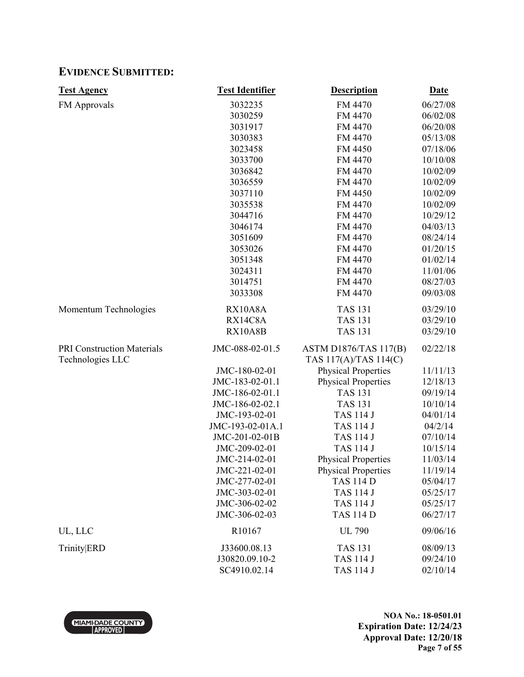### **EVIDENCE SUBMITTED:**

| <b>Test Agency</b>                | <b>Test Identifier</b> | <b>Description</b>           | <b>Date</b> |
|-----------------------------------|------------------------|------------------------------|-------------|
| <b>FM Approvals</b>               | 3032235                | FM 4470                      | 06/27/08    |
|                                   | 3030259                | FM 4470                      | 06/02/08    |
|                                   | 3031917                | FM 4470                      | 06/20/08    |
|                                   | 3030383                | FM 4470                      | 05/13/08    |
|                                   | 3023458                | FM 4450                      | 07/18/06    |
|                                   | 3033700                | FM 4470                      | 10/10/08    |
|                                   | 3036842                | FM 4470                      | 10/02/09    |
|                                   | 3036559                | FM 4470                      | 10/02/09    |
|                                   | 3037110                | FM 4450                      | 10/02/09    |
|                                   | 3035538                | FM 4470                      | 10/02/09    |
|                                   | 3044716                | FM 4470                      | 10/29/12    |
|                                   | 3046174                | FM 4470                      | 04/03/13    |
|                                   | 3051609                | FM 4470                      | 08/24/14    |
|                                   | 3053026                | FM 4470                      | 01/20/15    |
|                                   | 3051348                | FM 4470                      | 01/02/14    |
|                                   | 3024311                | FM 4470                      | 11/01/06    |
|                                   | 3014751                | FM 4470                      | 08/27/03    |
|                                   | 3033308                | FM 4470                      | 09/03/08    |
| Momentum Technologies             | RX10A8A                | <b>TAS 131</b>               | 03/29/10    |
|                                   | RX14C8A                | <b>TAS 131</b>               | 03/29/10    |
|                                   | <b>RX10A8B</b>         | <b>TAS 131</b>               | 03/29/10    |
| <b>PRI Construction Materials</b> | JMC-088-02-01.5        | <b>ASTM D1876/TAS 117(B)</b> | 02/22/18    |
| Technologies LLC                  |                        | TAS 117(A)/TAS 114(C)        |             |
|                                   | JMC-180-02-01          | <b>Physical Properties</b>   | 11/11/13    |
|                                   | JMC-183-02-01.1        | <b>Physical Properties</b>   | 12/18/13    |
|                                   | JMC-186-02-01.1        | <b>TAS 131</b>               | 09/19/14    |
|                                   | JMC-186-02-02.1        | <b>TAS 131</b>               | 10/10/14    |
|                                   | JMC-193-02-01          | <b>TAS 114 J</b>             | 04/01/14    |
|                                   | JMC-193-02-01A.1       | <b>TAS 114 J</b>             | 04/2/14     |
|                                   | JMC-201-02-01B         | <b>TAS 114 J</b>             | 07/10/14    |
|                                   | JMC-209-02-01          | <b>TAS 114 J</b>             | 10/15/14    |
|                                   | JMC-214-02-01          | <b>Physical Properties</b>   | 11/03/14    |
|                                   | JMC-221-02-01          | <b>Physical Properties</b>   | 11/19/14    |
|                                   | JMC-277-02-01          | <b>TAS 114 D</b>             | 05/04/17    |
|                                   | JMC-303-02-01          | <b>TAS 114 J</b>             | 05/25/17    |
|                                   | JMC-306-02-02          | <b>TAS 114 J</b>             | 05/25/17    |
|                                   | JMC-306-02-03          | <b>TAS 114 D</b>             | 06/27/17    |
| UL, LLC                           | R10167                 | <b>UL 790</b>                | 09/06/16    |
| <b>Trinity</b> ERD                | J33600.08.13           | <b>TAS 131</b>               | 08/09/13    |
|                                   | J30820.09.10-2         | <b>TAS 114 J</b>             | 09/24/10    |
|                                   | SC4910.02.14           | <b>TAS 114 J</b>             | 02/10/14    |



**NOA No.: 18-0501.01 Expiration Date: 12/24/23 Approval Date: 12/20/18 Page 7 of 55**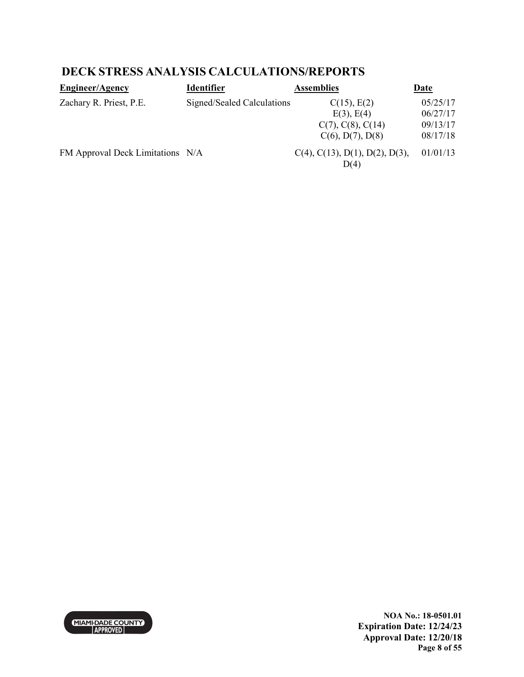## **DECK STRESS ANALYSIS CALCULATIONS/REPORTS**

| <b>Engineer/Agency</b>           | <b>Identifier</b>          | <b>Assemblies</b>                             | Date     |
|----------------------------------|----------------------------|-----------------------------------------------|----------|
| Zachary R. Priest, P.E.          | Signed/Sealed Calculations | C(15), E(2)                                   | 05/25/17 |
|                                  |                            | $E(3)$ , $E(4)$                               | 06/27/17 |
|                                  |                            | $C(7)$ , $C(8)$ , $C(14)$                     | 09/13/17 |
|                                  |                            | $C(6)$ , $D(7)$ , $D(8)$                      | 08/17/18 |
| FM Approval Deck Limitations N/A |                            | $C(4)$ , $C(13)$ , $D(1)$ , $D(2)$ , $D(3)$ , | 01/01/13 |
|                                  |                            | D(4)                                          |          |



**NOA No.: 18-0501.01 Expiration Date: 12/24/23 Approval Date: 12/20/18 Page 8 of 55**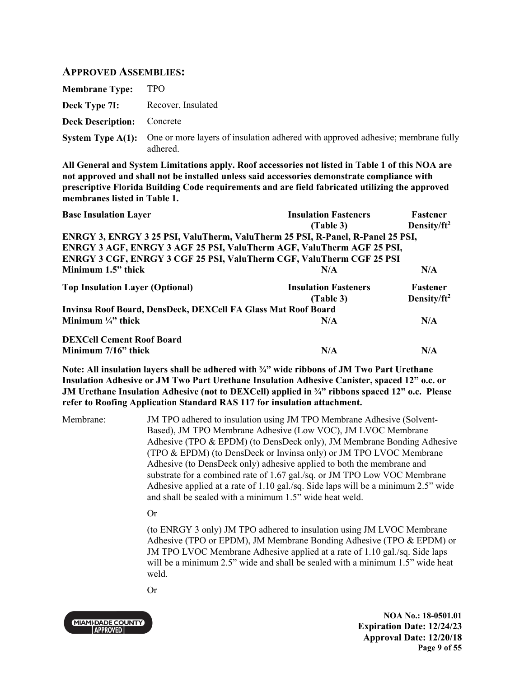### **APPROVED ASSEMBLIES:**

| <b>Membrane Type:</b>             | <b>TPO</b>                                                                                                           |
|-----------------------------------|----------------------------------------------------------------------------------------------------------------------|
| Deck Type 7I:                     | Recover, Insulated                                                                                                   |
| <b>Deck Description:</b> Concrete |                                                                                                                      |
|                                   | <b>System Type A(1):</b> One or more layers of insulation adhered with approved adhesive; membrane fully<br>adhered. |

**All General and System Limitations apply. Roof accessories not listed in Table 1 of this NOA are not approved and shall not be installed unless said accessories demonstrate compliance with prescriptive Florida Building Code requirements and are field fabricated utilizing the approved membranes listed in Table 1.**

| <b>Base Insulation Layer</b>                                                   | <b>Insulation Fasteners</b> | Fastener                |
|--------------------------------------------------------------------------------|-----------------------------|-------------------------|
|                                                                                | (Table 3)                   | Density/ $ft^2$         |
| ENRGY 3, ENRGY 3 25 PSI, ValuTherm, ValuTherm 25 PSI, R-Panel, R-Panel 25 PSI, |                             |                         |
| ENRGY 3 AGF, ENRGY 3 AGF 25 PSI, ValuTherm AGF, ValuTherm AGF 25 PSI,          |                             |                         |
| <b>ENRGY 3 CGF, ENRGY 3 CGF 25 PSI, ValuTherm CGF, ValuTherm CGF 25 PSI</b>    |                             |                         |
| Minimum 1.5" thick                                                             | N/A                         | N/A                     |
| <b>Top Insulation Layer (Optional)</b>                                         | <b>Insulation Fasteners</b> | Fastener                |
|                                                                                | (Table 3)                   | Density/ft <sup>2</sup> |
| Invinsa Roof Board, DensDeck, DEXCell FA Glass Mat Roof Board                  |                             |                         |
| Minimum $\frac{1}{4}$ thick                                                    | N/A                         | N/A                     |
| <b>DEXCell Cement Roof Board</b>                                               |                             |                         |
| Minimum 7/16" thick                                                            | N/A                         | N/A                     |

**Note: All insulation layers shall be adhered with ¾" wide ribbons of JM Two Part Urethane Insulation Adhesive or JM Two Part Urethane Insulation Adhesive Canister, spaced 12" o.c. or JM Urethane Insulation Adhesive (not to DEXCell) applied in ¾" ribbons spaced 12" o.c. Please refer to Roofing Application Standard RAS 117 for insulation attachment.** 

Membrane: JM TPO adhered to insulation using JM TPO Membrane Adhesive (Solvent-Based), JM TPO Membrane Adhesive (Low VOC), JM LVOC Membrane Adhesive (TPO & EPDM) (to DensDeck only), JM Membrane Bonding Adhesive (TPO & EPDM) (to DensDeck or Invinsa only) or JM TPO LVOC Membrane Adhesive (to DensDeck only) adhesive applied to both the membrane and substrate for a combined rate of 1.67 gal./sq. or JM TPO Low VOC Membrane Adhesive applied at a rate of 1.10 gal./sq. Side laps will be a minimum 2.5" wide and shall be sealed with a minimum 1.5" wide heat weld.

Or

(to ENRGY 3 only) JM TPO adhered to insulation using JM LVOC Membrane Adhesive (TPO or EPDM), JM Membrane Bonding Adhesive (TPO & EPDM) or JM TPO LVOC Membrane Adhesive applied at a rate of 1.10 gal./sq. Side laps will be a minimum 2.5" wide and shall be sealed with a minimum 1.5" wide heat weld.

Or



**NOA No.: 18-0501.01 Expiration Date: 12/24/23 Approval Date: 12/20/18 Page 9 of 55**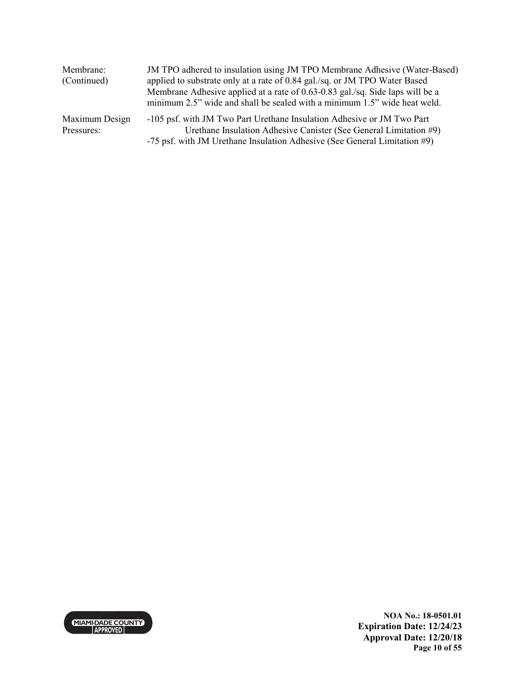| Membrane:      | JM TPO adhered to insulation using JM TPO Membrane Adhesive (Water-Based)     |
|----------------|-------------------------------------------------------------------------------|
| (Continued)    | applied to substrate only at a rate of 0.84 gal./sq. or JM TPO Water Based    |
|                | Membrane Adhesive applied at a rate of 0.63-0.83 gal./sq. Side laps will be a |
|                | minimum 2.5" wide and shall be sealed with a minimum 1.5" wide heat weld.     |
| Maximum Design | -105 psf. with JM Two Part Urethane Insulation Adhesive or JM Two Part        |
| Pressures:     | Urethane Insulation Adhesive Canister (See General Limitation #9)             |
|                | -75 psf. with JM Urethane Insulation Adhesive (See General Limitation #9)     |



**NOA No.: 18-0501.01 Expiration Date: 12/24/23 Approval Date: 12/20/18 Page 10 of 55**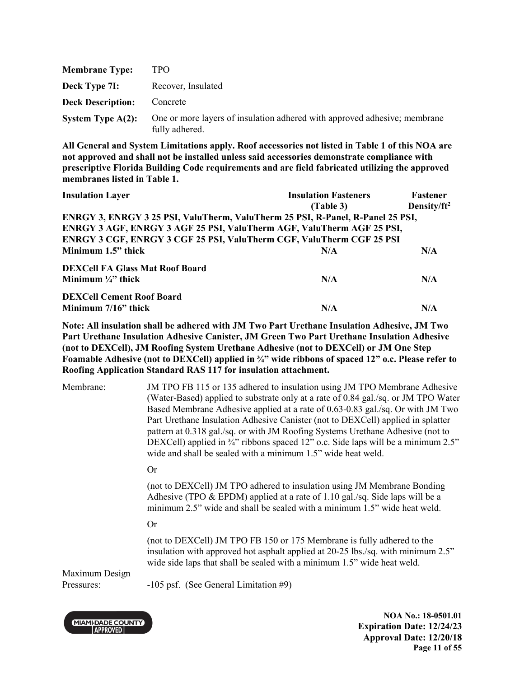| <b>Membrane Type:</b>    | TPO.                                                                                        |
|--------------------------|---------------------------------------------------------------------------------------------|
| Deck Type 7I:            | Recover, Insulated                                                                          |
| <b>Deck Description:</b> | Concrete                                                                                    |
| System Type $A(2)$ :     | One or more layers of insulation adhered with approved adhesive; membrane<br>fully adhered. |

| <b>Insulation Layer</b>                                                        | <b>Insulation Fasteners</b> | <b>Fastener</b> |
|--------------------------------------------------------------------------------|-----------------------------|-----------------|
|                                                                                | (Table 3)                   | Density/ $ft^2$ |
| ENRGY 3, ENRGY 3 25 PSI, ValuTherm, ValuTherm 25 PSI, R-Panel, R-Panel 25 PSI, |                             |                 |
| ENRGY 3 AGF, ENRGY 3 AGF 25 PSI, ValuTherm AGF, ValuTherm AGF 25 PSI,          |                             |                 |
| ENRGY 3 CGF, ENRGY 3 CGF 25 PSI, ValuTherm CGF, ValuTherm CGF 25 PSI           |                             |                 |
| Minimum 1.5" thick                                                             | N/A                         | N/A             |
| <b>DEXCell FA Glass Mat Roof Board</b>                                         |                             |                 |
| Minimum $\frac{1}{4}$ " thick                                                  | N/A                         | N/A             |
| <b>DEXCell Cement Roof Board</b>                                               |                             |                 |
| Minimum $7/16$ " thick                                                         | N/A                         | N/A             |

**Note: All insulation shall be adhered with JM Two Part Urethane Insulation Adhesive, JM Two Part Urethane Insulation Adhesive Canister, JM Green Two Part Urethane Insulation Adhesive (not to DEXCell), JM Roofing System Urethane Adhesive (not to DEXCell) or JM One Step Foamable Adhesive (not to DEXCell) applied in ¾" wide ribbons of spaced 12" o.c. Please refer to Roofing Application Standard RAS 117 for insulation attachment.** 

Membrane: JM TPO FB 115 or 135 adhered to insulation using JM TPO Membrane Adhesive (Water-Based) applied to substrate only at a rate of 0.84 gal./sq. or JM TPO Water Based Membrane Adhesive applied at a rate of 0.63-0.83 gal./sq. Or with JM Two Part Urethane Insulation Adhesive Canister (not to DEXCell) applied in splatter pattern at 0.318 gal./sq. or with JM Roofing Systems Urethane Adhesive (not to DEXCell) applied in  $\frac{3}{4}$ " ribbons spaced 12" o.c. Side laps will be a minimum 2.5" wide and shall be sealed with a minimum 1.5" wide heat weld.

#### Or

(not to DEXCell) JM TPO adhered to insulation using JM Membrane Bonding Adhesive (TPO & EPDM) applied at a rate of 1.10 gal./sq. Side laps will be a minimum 2.5" wide and shall be sealed with a minimum 1.5" wide heat weld.

#### Or

(not to DEXCell) JM TPO FB 150 or 175 Membrane is fully adhered to the insulation with approved hot asphalt applied at 20-25 lbs./sq. with minimum 2.5" wide side laps that shall be sealed with a minimum 1.5" wide heat weld.

Maximum Design

Pressures: -105 psf. (See General Limitation #9)



**NOA No.: 18-0501.01 Expiration Date: 12/24/23 Approval Date: 12/20/18 Page 11 of 55**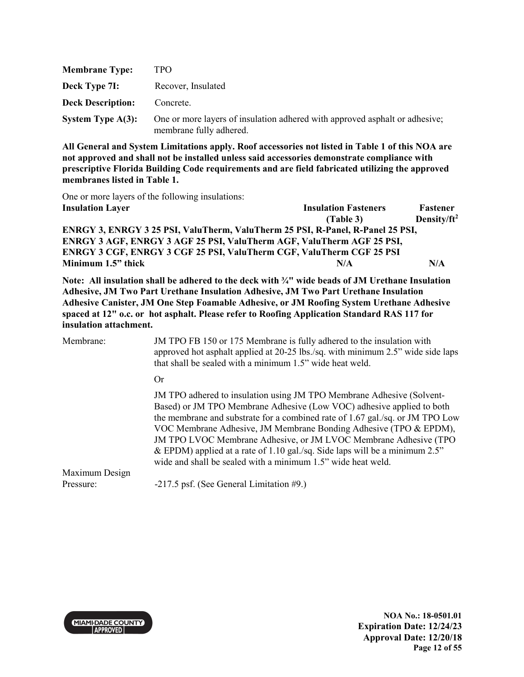| <b>Membrane Type:</b>    | TPO.                                                                                                   |
|--------------------------|--------------------------------------------------------------------------------------------------------|
| Deck Type 7I:            | Recover, Insulated                                                                                     |
| <b>Deck Description:</b> | Concrete.                                                                                              |
| System Type $A(3)$ :     | One or more layers of insulation adhered with approved asphalt or adhesive;<br>membrane fully adhered. |

One or more layers of the following insulations:

| <b>Insulation Layer</b>                                                        | <b>Insulation Fasteners</b> | Fastener        |
|--------------------------------------------------------------------------------|-----------------------------|-----------------|
|                                                                                | (Table 3)                   | Density/ $ft^2$ |
| ENRGY 3, ENRGY 3 25 PSI, ValuTherm, ValuTherm 25 PSI, R-Panel, R-Panel 25 PSI, |                             |                 |
| ENRGY 3 AGF, ENRGY 3 AGF 25 PSI, ValuTherm AGF, ValuTherm AGF 25 PSI,          |                             |                 |
| ENRGY 3 CGF, ENRGY 3 CGF 25 PSI, ValuTherm CGF, ValuTherm CGF 25 PSI           |                             |                 |
| Minimum 1.5" thick                                                             | N/A                         | N/A             |

**Note: All insulation shall be adhered to the deck with ¾" wide beads of JM Urethane Insulation Adhesive, JM Two Part Urethane Insulation Adhesive, JM Two Part Urethane Insulation Adhesive Canister, JM One Step Foamable Adhesive, or JM Roofing System Urethane Adhesive spaced at 12" o.c. or hot asphalt. Please refer to Roofing Application Standard RAS 117 for insulation attachment.**

| Membrane:      | JM TPO FB 150 or 175 Membrane is fully adhered to the insulation with<br>approved hot asphalt applied at 20-25 lbs./sq. with minimum 2.5" wide side laps<br>that shall be sealed with a minimum 1.5" wide heat weld.                                                                                                                                                                                                                                                                                                       |
|----------------|----------------------------------------------------------------------------------------------------------------------------------------------------------------------------------------------------------------------------------------------------------------------------------------------------------------------------------------------------------------------------------------------------------------------------------------------------------------------------------------------------------------------------|
|                | <b>Or</b>                                                                                                                                                                                                                                                                                                                                                                                                                                                                                                                  |
|                | JM TPO adhered to insulation using JM TPO Membrane Adhesive (Solvent-<br>Based) or JM TPO Membrane Adhesive (Low VOC) adhesive applied to both<br>the membrane and substrate for a combined rate of 1.67 gal./sq. or JM TPO Low<br>VOC Membrane Adhesive, JM Membrane Bonding Adhesive (TPO & EPDM),<br>JM TPO LVOC Membrane Adhesive, or JM LVOC Membrane Adhesive (TPO<br>& EPDM) applied at a rate of 1.10 gal./sq. Side laps will be a minimum $2.5$ "<br>wide and shall be sealed with a minimum 1.5" wide heat weld. |
| Maximum Design |                                                                                                                                                                                                                                                                                                                                                                                                                                                                                                                            |
| Pressure:      | -217.5 psf. (See General Limitation #9.)                                                                                                                                                                                                                                                                                                                                                                                                                                                                                   |



**NOA No.: 18-0501.01 Expiration Date: 12/24/23 Approval Date: 12/20/18 Page 12 of 55**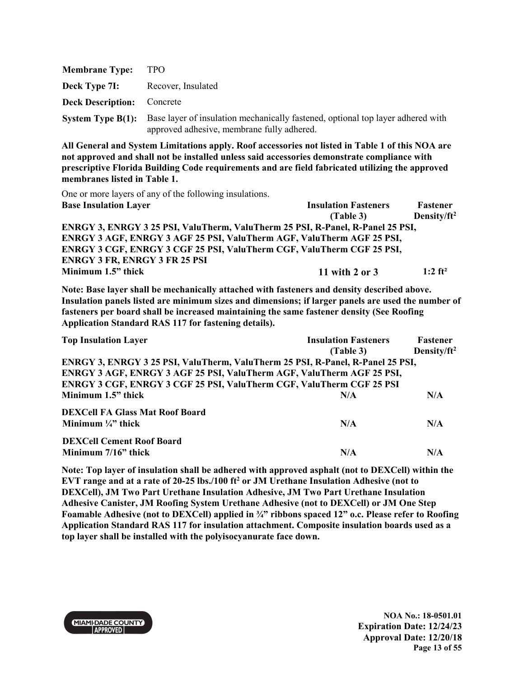| <b>Membrane Type:</b>    | TPO.                                                                                                                                                   |
|--------------------------|--------------------------------------------------------------------------------------------------------------------------------------------------------|
| Deck Type 7I:            | Recover, Insulated                                                                                                                                     |
| <b>Deck Description:</b> | Concrete                                                                                                                                               |
|                          | <b>System Type B(1):</b> Base layer of insulation mechanically fastened, optional top layer adhered with<br>approved adhesive, membrane fully adhered. |

One or more layers of any of the following insulations.

| <b>Base Insulation Layer</b>                                                   | <b>Insulation Fasteners</b> | Fastener              |
|--------------------------------------------------------------------------------|-----------------------------|-----------------------|
|                                                                                | (Table 3)                   | Density/ $ft^2$       |
| ENRGY 3, ENRGY 3 25 PSI, ValuTherm, ValuTherm 25 PSI, R-Panel, R-Panel 25 PSI, |                             |                       |
| ENRGY 3 AGF, ENRGY 3 AGF 25 PSI, ValuTherm AGF, ValuTherm AGF 25 PSI,          |                             |                       |
| <b>ENRGY 3 CGF, ENRGY 3 CGF 25 PSI, ValuTherm CGF, ValuTherm CGF 25 PSI,</b>   |                             |                       |
| <b>ENRGY 3 FR, ENRGY 3 FR 25 PSI</b>                                           |                             |                       |
| Minimum 1.5" thick                                                             | 11 with 2 or $3$            | $1:2$ ft <sup>2</sup> |

**Note: Base layer shall be mechanically attached with fasteners and density described above. Insulation panels listed are minimum sizes and dimensions; if larger panels are used the number of fasteners per board shall be increased maintaining the same fastener density (See Roofing Application Standard RAS 117 for fastening details).** 

| <b>Top Insulation Layer</b>                                                    | <b>Insulation Fasteners</b> | Fastener                |
|--------------------------------------------------------------------------------|-----------------------------|-------------------------|
|                                                                                | (Table 3)                   | Density/ft <sup>2</sup> |
| ENRGY 3, ENRGY 3 25 PSI, ValuTherm, ValuTherm 25 PSI, R-Panel, R-Panel 25 PSI, |                             |                         |
| ENRGY 3 AGF, ENRGY 3 AGF 25 PSI, ValuTherm AGF, ValuTherm AGF 25 PSI,          |                             |                         |
| <b>ENRGY 3 CGF, ENRGY 3 CGF 25 PSI, ValuTherm CGF, ValuTherm CGF 25 PSI</b>    |                             |                         |
| Minimum 1.5" thick                                                             | N/A                         | N/A                     |
| <b>DEXCell FA Glass Mat Roof Board</b>                                         |                             |                         |
| Minimum $\frac{1}{4}$ thick                                                    | N/A                         | N/A                     |
| <b>DEXCell Cement Roof Board</b>                                               |                             |                         |
| Minimum 7/16" thick                                                            | N/A                         | N/A                     |

**Note: Top layer of insulation shall be adhered with approved asphalt (not to DEXCell) within the EVT range and at a rate of 20-25 lbs./100 ft<sup>2</sup> or JM Urethane Insulation Adhesive (not to DEXCell), JM Two Part Urethane Insulation Adhesive, JM Two Part Urethane Insulation Adhesive Canister, JM Roofing System Urethane Adhesive (not to DEXCell) or JM One Step Foamable Adhesive (not to DEXCell) applied in ¾" ribbons spaced 12" o.c. Please refer to Roofing Application Standard RAS 117 for insulation attachment. Composite insulation boards used as a top layer shall be installed with the polyisocyanurate face down.** 

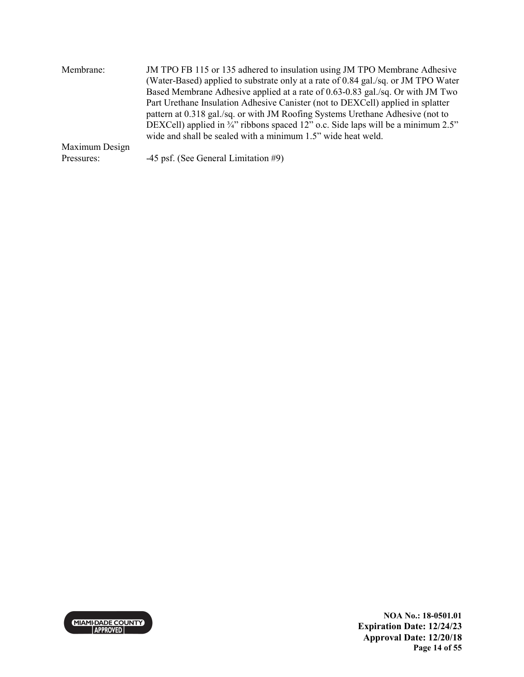| Membrane:      | JM TPO FB 115 or 135 adhered to insulation using JM TPO Membrane Adhesive<br>(Water-Based) applied to substrate only at a rate of 0.84 gal./sq. or JM TPO Water<br>Based Membrane Adhesive applied at a rate of 0.63-0.83 gal./sq. Or with JM Two<br>Part Urethane Insulation Adhesive Canister (not to DEXCell) applied in splatter<br>pattern at 0.318 gal./sq. or with JM Roofing Systems Urethane Adhesive (not to<br>DEXCell) applied in 3/4" ribbons spaced 12" o.c. Side laps will be a minimum 2.5"<br>wide and shall be sealed with a minimum 1.5" wide heat weld. |
|----------------|-----------------------------------------------------------------------------------------------------------------------------------------------------------------------------------------------------------------------------------------------------------------------------------------------------------------------------------------------------------------------------------------------------------------------------------------------------------------------------------------------------------------------------------------------------------------------------|
| Maximum Design |                                                                                                                                                                                                                                                                                                                                                                                                                                                                                                                                                                             |
| Pressures:     | -45 psf. (See General Limitation #9)                                                                                                                                                                                                                                                                                                                                                                                                                                                                                                                                        |

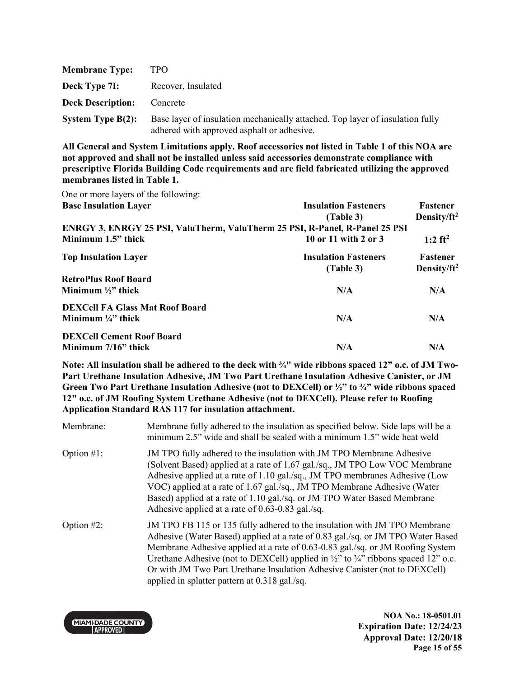| <b>Membrane Type:</b>    | TPO.                                                                                                                        |
|--------------------------|-----------------------------------------------------------------------------------------------------------------------------|
| Deck Type 7I:            | Recover, Insulated                                                                                                          |
| <b>Deck Description:</b> | Concrete                                                                                                                    |
| System Type $B(2)$ :     | Base layer of insulation mechanically attached. Top layer of insulation fully<br>adhered with approved asphalt or adhesive. |

One or more layers of the following:

| <b>Base Insulation Layer</b>                                                | <b>Insulation Fasteners</b><br>(Table 3) | Fastener<br>Density/ft <sup>2</sup> |
|-----------------------------------------------------------------------------|------------------------------------------|-------------------------------------|
| ENRGY 3, ENRGY 25 PSI, ValuTherm, ValuTherm 25 PSI, R-Panel, R-Panel 25 PSI |                                          |                                     |
| Minimum 1.5" thick                                                          | 10 or 11 with 2 or 3                     | 1:2 $ft^2$                          |
| <b>Top Insulation Layer</b>                                                 | <b>Insulation Fasteners</b><br>(Table 3) | Fastener<br>Density/ $ft^2$         |
| <b>RetroPlus Roof Board</b>                                                 |                                          |                                     |
| Minimum $\frac{1}{2}$ thick                                                 | N/A                                      | N/A                                 |
| <b>DEXCell FA Glass Mat Roof Board</b>                                      |                                          |                                     |
| Minimum $\frac{1}{4}$ " thick                                               | N/A                                      | N/A                                 |
| <b>DEXCell Cement Roof Board</b>                                            |                                          |                                     |
| Minimum $7/16$ " thick                                                      | N/A                                      | N/A                                 |

**Note: All insulation shall be adhered to the deck with ¾" wide ribbons spaced 12" o.c. of JM Two-Part Urethane Insulation Adhesive, JM Two Part Urethane Insulation Adhesive Canister, or JM Green Two Part Urethane Insulation Adhesive (not to DEXCell) or ½" to ¾" wide ribbons spaced 12" o.c. of JM Roofing System Urethane Adhesive (not to DEXCell). Please refer to Roofing Application Standard RAS 117 for insulation attachment.** 

Membrane: Membrane fully adhered to the insulation as specified below. Side laps will be a minimum 2.5" wide and shall be sealed with a minimum 1.5" wide heat weld Option #1: JM TPO fully adhered to the insulation with JM TPO Membrane Adhesive (Solvent Based) applied at a rate of 1.67 gal./sq., JM TPO Low VOC Membrane Adhesive applied at a rate of 1.10 gal./sq., JM TPO membranes Adhesive (Low VOC) applied at a rate of 1.67 gal./sq., JM TPO Membrane Adhesive (Water Based) applied at a rate of 1.10 gal./sq. or JM TPO Water Based Membrane Adhesive applied at a rate of 0.63-0.83 gal./sq. Option #2: JM TPO FB 115 or 135 fully adhered to the insulation with JM TPO Membrane Adhesive (Water Based) applied at a rate of 0.83 gal./sq. or JM TPO Water Based Membrane Adhesive applied at a rate of 0.63-0.83 gal./sq. or JM Roofing System Urethane Adhesive (not to DEXCell) applied in  $\frac{1}{2}$  to  $\frac{3}{4}$  ribbons spaced 12" o.c. Or with JM Two Part Urethane Insulation Adhesive Canister (not to DEXCell) applied in splatter pattern at 0.318 gal./sq.

**NOA No.: 18-0501.01 Expiration Date: 12/24/23 Approval Date: 12/20/18 Page 15 of 55**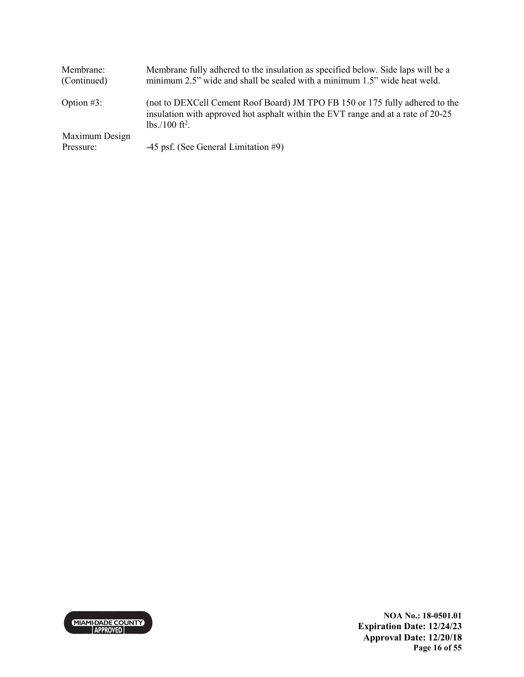| Membrane:<br>(Continued) | Membrane fully adhered to the insulation as specified below. Side laps will be a<br>minimum 2.5" wide and shall be sealed with a minimum 1.5" wide heat weld.                                 |
|--------------------------|-----------------------------------------------------------------------------------------------------------------------------------------------------------------------------------------------|
| Option $#3$ :            | (not to DEXCell Cement Roof Board) JM TPO FB 150 or 175 fully adhered to the<br>insulation with approved hot asphalt within the EVT range and at a rate of 20-25<br>$lbs./100 \text{ ft}^2$ . |
| Maximum Design           |                                                                                                                                                                                               |
| Pressure:                | -45 psf. (See General Limitation #9)                                                                                                                                                          |



**NOA No.: 18-0501.01 Expiration Date: 12/24/23 Approval Date: 12/20/18 Page 16 of 55**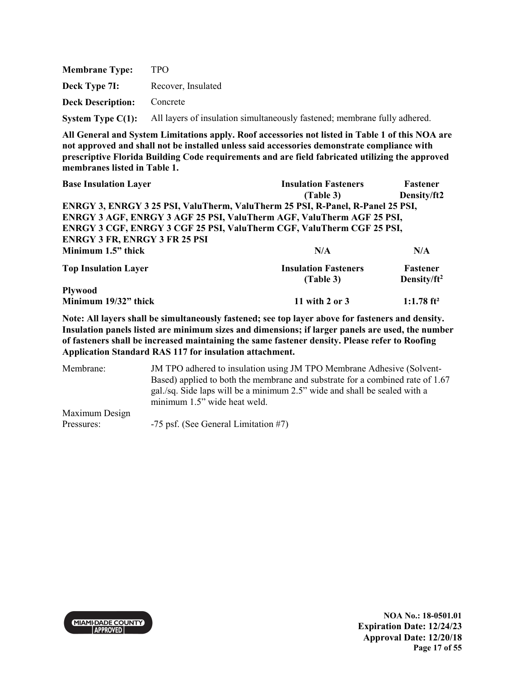| <b>Membrane Type:</b>             | TPO.                                                                                        |
|-----------------------------------|---------------------------------------------------------------------------------------------|
| Deck Type 7I:                     | Recover, Insulated                                                                          |
| <b>Deck Description:</b> Concrete |                                                                                             |
|                                   | System Type C(1): All layers of insulation simultaneously fastened; membrane fully adhered. |

| <b>Base Insulation Layer</b>                                                   | <b>Insulation Fasteners</b> | <b>Fastener</b>          |
|--------------------------------------------------------------------------------|-----------------------------|--------------------------|
|                                                                                | (Table 3)                   | Density/ft2              |
| ENRGY 3, ENRGY 3 25 PSI, ValuTherm, ValuTherm 25 PSI, R-Panel, R-Panel 25 PSI, |                             |                          |
| <b>ENRGY 3 AGF, ENRGY 3 AGF 25 PSI, ValuTherm AGF, ValuTherm AGF 25 PSI,</b>   |                             |                          |
| <b>ENRGY 3 CGF, ENRGY 3 CGF 25 PSI, ValuTherm CGF, ValuTherm CGF 25 PSI,</b>   |                             |                          |
| <b>ENRGY 3 FR, ENRGY 3 FR 25 PSI</b>                                           |                             |                          |
| Minimum 1.5" thick                                                             | N/A                         | N/A                      |
| <b>Top Insulation Layer</b>                                                    | <b>Insulation Fasteners</b> | <b>Fastener</b>          |
|                                                                                | (Table 3)                   | Density/ $ft^2$          |
| <b>Plywood</b>                                                                 |                             |                          |
| Minimum 19/32" thick                                                           | 11 with 2 or 3              | $1:1.78$ ft <sup>2</sup> |

**Note: All layers shall be simultaneously fastened; see top layer above for fasteners and density. Insulation panels listed are minimum sizes and dimensions; if larger panels are used, the number of fasteners shall be increased maintaining the same fastener density. Please refer to Roofing Application Standard RAS 117 for insulation attachment.** 

Membrane: JM TPO adhered to insulation using JM TPO Membrane Adhesive (Solvent-Based) applied to both the membrane and substrate for a combined rate of 1.67 gal./sq. Side laps will be a minimum 2.5" wide and shall be sealed with a minimum 1.5" wide heat weld. Maximum Design Pressures: -75 psf. (See General Limitation #7)



**NOA No.: 18-0501.01 Expiration Date: 12/24/23 Approval Date: 12/20/18 Page 17 of 55**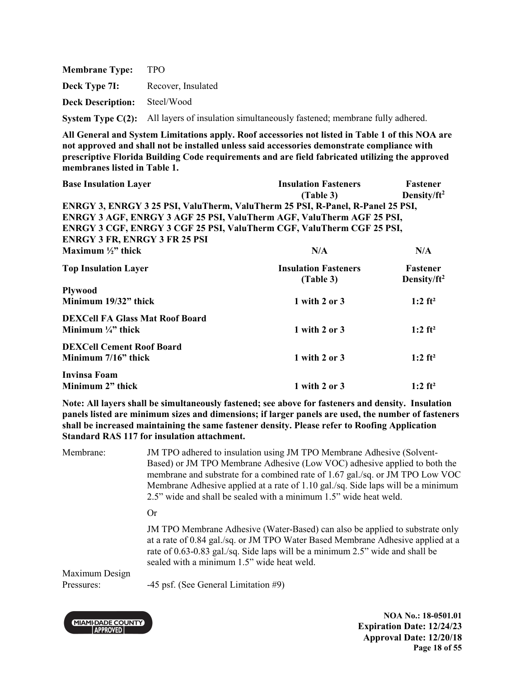| <b>Membrane Type:</b>               | - TPO                                                                                              |
|-------------------------------------|----------------------------------------------------------------------------------------------------|
| Deck Type 7I:                       | Recover, Insulated                                                                                 |
| <b>Deck Description:</b> Steel/Wood |                                                                                                    |
|                                     | <b>System Type C(2):</b> All layers of insulation simultaneously fastened; membrane fully adhered. |

| <b>Base Insulation Layer</b>                                                   | <b>Insulation Fasteners</b> | Fastener              |
|--------------------------------------------------------------------------------|-----------------------------|-----------------------|
|                                                                                | (Table 3)                   | Density/ $ft^2$       |
| ENRGY 3, ENRGY 3 25 PSI, ValuTherm, ValuTherm 25 PSI, R-Panel, R-Panel 25 PSI, |                             |                       |
| ENRGY 3 AGF, ENRGY 3 AGF 25 PSI, ValuTherm AGF, ValuTherm AGF 25 PSI,          |                             |                       |
| ENRGY 3 CGF, ENRGY 3 CGF 25 PSI, ValuTherm CGF, ValuTherm CGF 25 PSI,          |                             |                       |
| <b>ENRGY 3 FR, ENRGY 3 FR 25 PSI</b>                                           |                             |                       |
| Maximum $\frac{1}{2}$ " thick                                                  | N/A                         | N/A                   |
| <b>Top Insulation Layer</b>                                                    | <b>Insulation Fasteners</b> | Fastener              |
|                                                                                | (Table 3)                   | Density/ $ft^2$       |
| <b>Plywood</b>                                                                 |                             |                       |
| Minimum 19/32" thick                                                           | 1 with 2 or $3$             | 1:2 $ft^2$            |
| <b>DEXCell FA Glass Mat Roof Board</b>                                         |                             |                       |
| Minimum $\frac{1}{4}$ " thick                                                  | 1 with 2 or 3               | 1:2 $ft^2$            |
| <b>DEXCell Cement Roof Board</b>                                               |                             |                       |
| Minimum $7/16$ " thick                                                         | 1 with 2 or 3               | 1:2 $ft^2$            |
| Invinsa Foam                                                                   |                             |                       |
| Minimum 2" thick                                                               | 1 with 2 or 3               | $1:2$ ft <sup>2</sup> |

**Note: All layers shall be simultaneously fastened; see above for fasteners and density. Insulation panels listed are minimum sizes and dimensions; if larger panels are used, the number of fasteners shall be increased maintaining the same fastener density. Please refer to Roofing Application Standard RAS 117 for insulation attachment.**

Membrane: JM TPO adhered to insulation using JM TPO Membrane Adhesive (Solvent-Based) or JM TPO Membrane Adhesive (Low VOC) adhesive applied to both the membrane and substrate for a combined rate of 1.67 gal./sq. or JM TPO Low VOC Membrane Adhesive applied at a rate of 1.10 gal./sq. Side laps will be a minimum 2.5" wide and shall be sealed with a minimum 1.5" wide heat weld. Or

> JM TPO Membrane Adhesive (Water-Based) can also be applied to substrate only at a rate of 0.84 gal./sq. or JM TPO Water Based Membrane Adhesive applied at a rate of 0.63-0.83 gal./sq. Side laps will be a minimum 2.5" wide and shall be sealed with a minimum 1.5" wide heat weld.

Maximum Design

Pressures: -45 psf. (See General Limitation #9)



**NOA No.: 18-0501.01 Expiration Date: 12/24/23 Approval Date: 12/20/18 Page 18 of 55**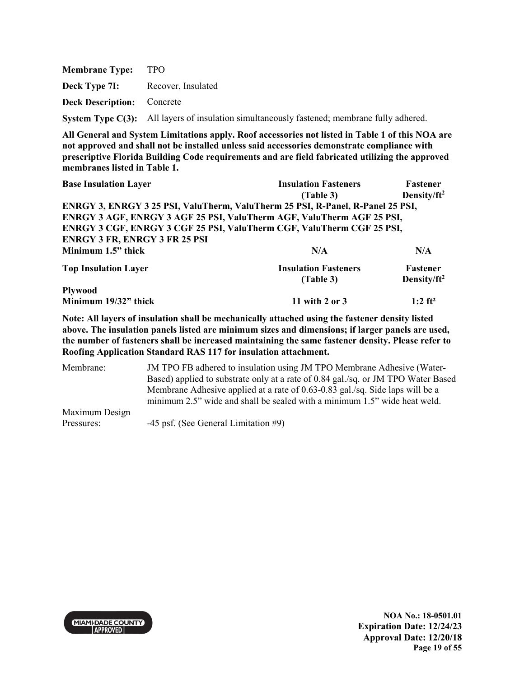**Membrane Type:** TPO **Deck Type 7I:** Recover, Insulated **Deck Description:** Concrete **System Type C(3):** All layers of insulation simultaneously fastened; membrane fully adhered.

**All General and System Limitations apply. Roof accessories not listed in Table 1 of this NOA are not approved and shall not be installed unless said accessories demonstrate compliance with prescriptive Florida Building Code requirements and are field fabricated utilizing the approved membranes listed in Table 1.**

| <b>Base Insulation Layer</b>                                                   | <b>Insulation Fasteners</b> | <b>Fastener</b>         |  |
|--------------------------------------------------------------------------------|-----------------------------|-------------------------|--|
|                                                                                | (Table 3)                   | Density/ft <sup>2</sup> |  |
| ENRGY 3, ENRGY 3 25 PSI, ValuTherm, ValuTherm 25 PSI, R-Panel, R-Panel 25 PSI, |                             |                         |  |
| ENRGY 3 AGF, ENRGY 3 AGF 25 PSI, ValuTherm AGF, ValuTherm AGF 25 PSI,          |                             |                         |  |
| ENRGY 3 CGF, ENRGY 3 CGF 25 PSI, ValuTherm CGF, ValuTherm CGF 25 PSI,          |                             |                         |  |
| <b>ENRGY 3 FR, ENRGY 3 FR 25 PSI</b>                                           |                             |                         |  |
| Minimum 1.5" thick                                                             | N/A                         | N/A                     |  |
| <b>Top Insulation Layer</b>                                                    | <b>Insulation Fasteners</b> | Fastener                |  |
|                                                                                | (Table 3)                   | Density/ft <sup>2</sup> |  |
| <b>Plywood</b>                                                                 |                             |                         |  |

**Note: All layers of insulation shall be mechanically attached using the fastener density listed above. The insulation panels listed are minimum sizes and dimensions; if larger panels are used, the number of fasteners shall be increased maintaining the same fastener density. Please refer to Roofing Application Standard RAS 117 for insulation attachment.**

**Minimum 19/32" thick 11 with 2 or 3 1:2 ft<sup>2</sup>** 

Membrane: JM TPO FB adhered to insulation using JM TPO Membrane Adhesive (Water-Based) applied to substrate only at a rate of 0.84 gal./sq. or JM TPO Water Based Membrane Adhesive applied at a rate of 0.63-0.83 gal./sq. Side laps will be a minimum 2.5" wide and shall be sealed with a minimum 1.5" wide heat weld. Maximum Design Pressures: -45 psf. (See General Limitation #9)

**MIAMI-DADE COUNTY APPROVED** 

**NOA No.: 18-0501.01 Expiration Date: 12/24/23 Approval Date: 12/20/18 Page 19 of 55**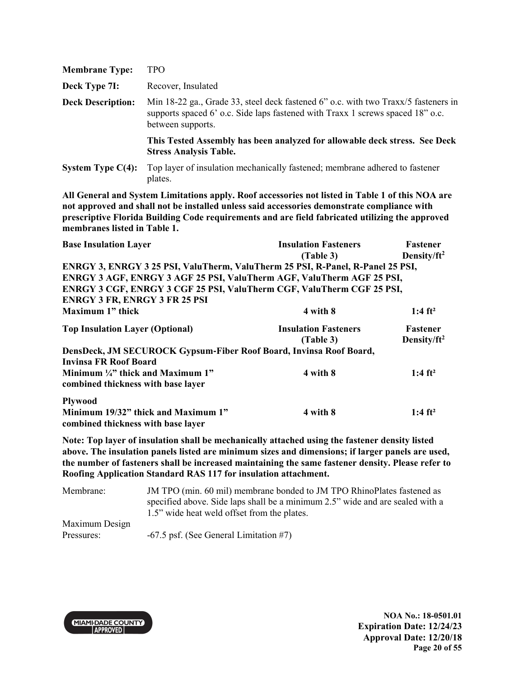| <b>Membrane Type:</b>    | <b>TPO</b>                                                                                                                                                                                |
|--------------------------|-------------------------------------------------------------------------------------------------------------------------------------------------------------------------------------------|
| Deck Type 7I:            | Recover, Insulated                                                                                                                                                                        |
| <b>Deck Description:</b> | Min 18-22 ga., Grade 33, steel deck fastened 6" o.c. with two Traxx/5 fasteners in<br>supports spaced 6' o.c. Side laps fastened with Traxx 1 screws spaced 18" o.c.<br>between supports. |
|                          | This Tested Assembly has been analyzed for allowable deck stress. See Deck<br><b>Stress Analysis Table.</b>                                                                               |
| System Type $C(4)$ :     | Top layer of insulation mechanically fastened; membrane adhered to fastener<br>plates.                                                                                                    |

| <b>Base Insulation Layer</b>                                                   | <b>Insulation Fasteners</b> | <b>Fastener</b>         |
|--------------------------------------------------------------------------------|-----------------------------|-------------------------|
|                                                                                | (Table 3)                   | Density/ft <sup>2</sup> |
| ENRGY 3, ENRGY 3 25 PSI, ValuTherm, ValuTherm 25 PSI, R-Panel, R-Panel 25 PSI, |                             |                         |
| ENRGY 3 AGF, ENRGY 3 AGF 25 PSI, ValuTherm AGF, ValuTherm AGF 25 PSI,          |                             |                         |
| ENRGY 3 CGF, ENRGY 3 CGF 25 PSI, ValuTherm CGF, ValuTherm CGF 25 PSI,          |                             |                         |
| <b>ENRGY 3 FR, ENRGY 3 FR 25 PSI</b>                                           |                             |                         |
| Maximum 1" thick                                                               | 4 with 8                    | 1:4 $ft^2$              |
| <b>Top Insulation Layer (Optional)</b>                                         | <b>Insulation Fasteners</b> | Fastener                |
|                                                                                | (Table 3)                   | Density/ft <sup>2</sup> |
| DensDeck, JM SECUROCK Gypsum-Fiber Roof Board, Invinsa Roof Board,             |                             |                         |
| Invinsa FR Roof Board                                                          |                             |                         |
| Minimum $\frac{1}{4}$ " thick and Maximum 1"                                   | 4 with 8                    | $1:4 \text{ ft}^2$      |
| combined thickness with base layer                                             |                             |                         |
| <b>Plywood</b>                                                                 |                             |                         |
| Minimum 19/32" thick and Maximum 1"                                            | 4 with 8                    | $1:4 \text{ ft}^2$      |
| combined thickness with base layer                                             |                             |                         |

**Note: Top layer of insulation shall be mechanically attached using the fastener density listed above. The insulation panels listed are minimum sizes and dimensions; if larger panels are used, the number of fasteners shall be increased maintaining the same fastener density. Please refer to Roofing Application Standard RAS 117 for insulation attachment.** 

| Membrane:      | JM TPO (min. 60 mil) membrane bonded to JM TPO RhinoPlates fastened as        |  |  |
|----------------|-------------------------------------------------------------------------------|--|--|
|                | specified above. Side laps shall be a minimum 2.5" wide and are sealed with a |  |  |
|                | 1.5" wide heat weld offset from the plates.                                   |  |  |
| Maximum Design |                                                                               |  |  |
| Pressures:     | $-67.5$ psf. (See General Limitation #7)                                      |  |  |

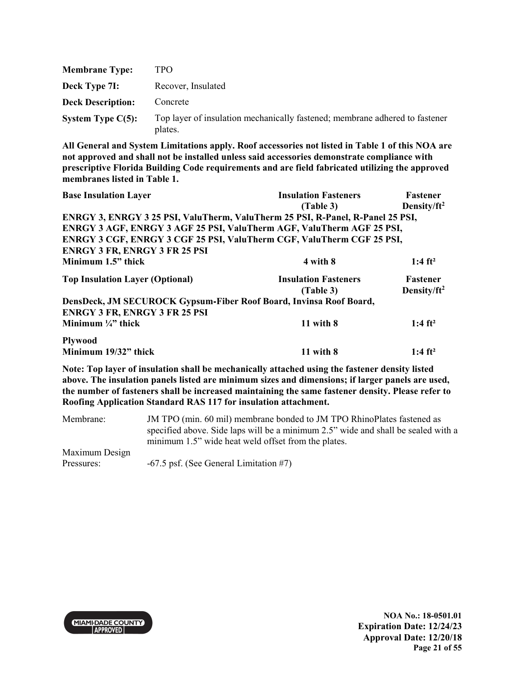| <b>Membrane Type:</b>    | TPO.                                                                                   |
|--------------------------|----------------------------------------------------------------------------------------|
| Deck Type 7I:            | Recover, Insulated                                                                     |
| <b>Deck Description:</b> | Concrete                                                                               |
| System Type $C(5)$ :     | Top layer of insulation mechanically fastened; membrane adhered to fastener<br>plates. |

| <b>Base Insulation Layer</b>                                                   | <b>Insulation Fasteners</b> | <b>Fastener</b>         |
|--------------------------------------------------------------------------------|-----------------------------|-------------------------|
|                                                                                | (Table 3)                   | Density/ft <sup>2</sup> |
| ENRGY 3, ENRGY 3 25 PSI, ValuTherm, ValuTherm 25 PSI, R-Panel, R-Panel 25 PSI, |                             |                         |
| ENRGY 3 AGF, ENRGY 3 AGF 25 PSI, ValuTherm AGF, ValuTherm AGF 25 PSI,          |                             |                         |
| ENRGY 3 CGF, ENRGY 3 CGF 25 PSI, ValuTherm CGF, ValuTherm CGF 25 PSI,          |                             |                         |
| <b>ENRGY 3 FR, ENRGY 3 FR 25 PSI</b>                                           |                             |                         |
| Minimum 1.5" thick                                                             | 4 with 8                    | $1:4 \text{ ft}^2$      |
| <b>Top Insulation Layer (Optional)</b>                                         | <b>Insulation Fasteners</b> | <b>Fastener</b>         |
|                                                                                | (Table 3)                   | Density/ft <sup>2</sup> |
| DensDeck, JM SECUROCK Gypsum-Fiber Roof Board, Invinsa Roof Board,             |                             |                         |
| <b>ENRGY 3 FR, ENRGY 3 FR 25 PSI</b>                                           |                             |                         |
| Minimum $\frac{1}{4}$ , thick                                                  | 11 with $8$                 | $1:4 \text{ ft}^2$      |
| <b>Plywood</b>                                                                 |                             |                         |
| Minimum 19/32" thick                                                           | $11$ with $8$               | 1:4 $ft^2$              |

**Note: Top layer of insulation shall be mechanically attached using the fastener density listed above. The insulation panels listed are minimum sizes and dimensions; if larger panels are used, the number of fasteners shall be increased maintaining the same fastener density. Please refer to Roofing Application Standard RAS 117 for insulation attachment.** 

| Membrane:      | JM TPO (min. 60 mil) membrane bonded to JM TPO RhinoPlates fastened as            |  |  |
|----------------|-----------------------------------------------------------------------------------|--|--|
|                | specified above. Side laps will be a minimum 2.5" wide and shall be sealed with a |  |  |
|                | minimum 1.5" wide heat weld offset from the plates.                               |  |  |
| Maximum Design |                                                                                   |  |  |
| Pressures:     | $-67.5$ psf. (See General Limitation #7)                                          |  |  |



**NOA No.: 18-0501.01 Expiration Date: 12/24/23 Approval Date: 12/20/18 Page 21 of 55**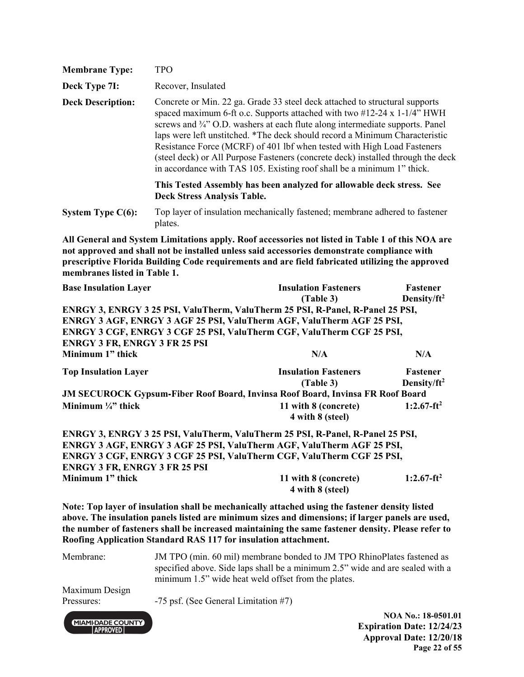| <b>Membrane Type:</b>    | TPO                                                                                                                                                                                                                                                                                                                                                                                                                                                                                                                                                                                               |
|--------------------------|---------------------------------------------------------------------------------------------------------------------------------------------------------------------------------------------------------------------------------------------------------------------------------------------------------------------------------------------------------------------------------------------------------------------------------------------------------------------------------------------------------------------------------------------------------------------------------------------------|
| Deck Type 7I:            | Recover, Insulated                                                                                                                                                                                                                                                                                                                                                                                                                                                                                                                                                                                |
| <b>Deck Description:</b> | Concrete or Min. 22 ga. Grade 33 steel deck attached to structural supports<br>spaced maximum 6-ft o.c. Supports attached with two $\#12-24 \times 1-1/4$ " HWH<br>screws and <sup>3</sup> / <sub>4</sub> " O.D. washers at each flute along intermediate supports. Panel<br>laps were left unstitched. *The deck should record a Minimum Characteristic<br>Resistance Force (MCRF) of 401 lbf when tested with High Load Fasteners<br>(steel deck) or All Purpose Fasteners (concrete deck) installed through the deck<br>in accordance with TAS 105. Existing roof shall be a minimum 1" thick. |
|                          | This Tested Assembly has been analyzed for allowable deck stress. See<br><b>Deck Stress Analysis Table.</b>                                                                                                                                                                                                                                                                                                                                                                                                                                                                                       |
| System Type $C(6)$ :     | Top layer of insulation mechanically fastened; membrane adhered to fastener<br>plates.                                                                                                                                                                                                                                                                                                                                                                                                                                                                                                            |

| <b>Base Insulation Layer</b>                                                          | <b>Insulation Fasteners</b> | Fastener                |
|---------------------------------------------------------------------------------------|-----------------------------|-------------------------|
|                                                                                       | (Table 3)                   | Density/ft <sup>2</sup> |
| ENRGY 3, ENRGY 3 25 PSI, ValuTherm, ValuTherm 25 PSI, R-Panel, R-Panel 25 PSI,        |                             |                         |
| ENRGY 3 AGF, ENRGY 3 AGF 25 PSI, ValuTherm AGF, ValuTherm AGF 25 PSI,                 |                             |                         |
| ENRGY 3 CGF, ENRGY 3 CGF 25 PSI, ValuTherm CGF, ValuTherm CGF 25 PSI,                 |                             |                         |
| <b>ENRGY 3 FR, ENRGY 3 FR 25 PSI</b>                                                  |                             |                         |
| Minimum 1" thick                                                                      | N/A                         | N/A                     |
| <b>Top Insulation Layer</b>                                                           | <b>Insulation Fasteners</b> | Fastener                |
|                                                                                       | (Table 3)                   | Density/ft <sup>2</sup> |
| <b>JM SECUROCK Gypsum-Fiber Roof Board, Invinsa Roof Board, Invinsa FR Roof Board</b> |                             |                         |
| Minimum $\frac{1}{4}$ thick                                                           | 11 with 8 (concrete)        | $1:2.67-ft^2$           |
|                                                                                       | 4 with 8 (steel)            |                         |
| ENRGY 3, ENRGY 3 25 PSI, ValuTherm, ValuTherm 25 PSI, R-Panel, R-Panel 25 PSI,        |                             |                         |
| ENRGY 3 AGF, ENRGY 3 AGF 25 PSI, ValuTherm AGF, ValuTherm AGF 25 PSI,                 |                             |                         |
| ENRGY 3 CGF, ENRGY 3 CGF 25 PSI, ValuTherm CGF, ValuTherm CGF 25 PSI,                 |                             |                         |
| <b>ENRGY 3 FR, ENRGY 3 FR 25 PSI</b>                                                  |                             |                         |
| Minimum 1" thick                                                                      | 11 with 8 (concrete)        | $1:2.67-ft^2$           |
|                                                                                       | 4 with 8 (steel)            |                         |

**Note: Top layer of insulation shall be mechanically attached using the fastener density listed above. The insulation panels listed are minimum sizes and dimensions; if larger panels are used, the number of fasteners shall be increased maintaining the same fastener density. Please refer to Roofing Application Standard RAS 117 for insulation attachment.** 

Membrane: JM TPO (min. 60 mil) membrane bonded to JM TPO RhinoPlates fastened as specified above. Side laps shall be a minimum 2.5" wide and are sealed with a minimum 1.5" wide heat weld offset from the plates.

Maximum Design

**MIAMI-DADE COUNTY APPROVED** 

Pressures: -75 psf. (See General Limitation #7)

**NOA No.: 18-0501.01 Expiration Date: 12/24/23 Approval Date: 12/20/18 Page 22 of 55**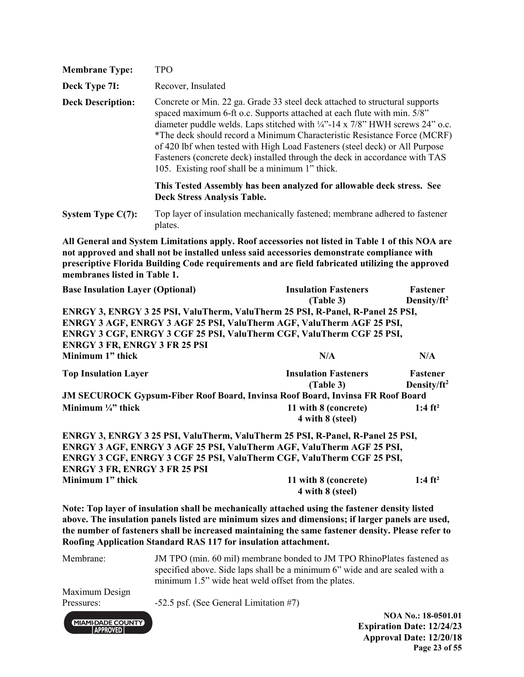| <b>Membrane Type:</b>                                                           | <b>TPO</b>                                                                                                                                                                                                                                                                                                                                                                                                                                                                                                                                    |                                                                                                                                                                                                                                                                                                         |                                                   |
|---------------------------------------------------------------------------------|-----------------------------------------------------------------------------------------------------------------------------------------------------------------------------------------------------------------------------------------------------------------------------------------------------------------------------------------------------------------------------------------------------------------------------------------------------------------------------------------------------------------------------------------------|---------------------------------------------------------------------------------------------------------------------------------------------------------------------------------------------------------------------------------------------------------------------------------------------------------|---------------------------------------------------|
| Deck Type 7I:                                                                   | Recover, Insulated                                                                                                                                                                                                                                                                                                                                                                                                                                                                                                                            |                                                                                                                                                                                                                                                                                                         |                                                   |
| <b>Deck Description:</b>                                                        | Concrete or Min. 22 ga. Grade 33 steel deck attached to structural supports<br>spaced maximum 6-ft o.c. Supports attached at each flute with min. 5/8"<br>diameter puddle welds. Laps stitched with $\frac{1}{4}$ -14 x 7/8" HWH screws 24" o.c.<br>*The deck should record a Minimum Characteristic Resistance Force (MCRF)<br>of 420 lbf when tested with High Load Fasteners (steel deck) or All Purpose<br>Fasteners (concrete deck) installed through the deck in accordance with TAS<br>105. Existing roof shall be a minimum 1" thick. |                                                                                                                                                                                                                                                                                                         |                                                   |
|                                                                                 | <b>Deck Stress Analysis Table.</b>                                                                                                                                                                                                                                                                                                                                                                                                                                                                                                            | This Tested Assembly has been analyzed for allowable deck stress. See                                                                                                                                                                                                                                   |                                                   |
| System Type C(7):                                                               | plates.                                                                                                                                                                                                                                                                                                                                                                                                                                                                                                                                       | Top layer of insulation mechanically fastened; membrane adhered to fastener                                                                                                                                                                                                                             |                                                   |
| membranes listed in Table 1.                                                    |                                                                                                                                                                                                                                                                                                                                                                                                                                                                                                                                               | All General and System Limitations apply. Roof accessories not listed in Table 1 of this NOA are<br>not approved and shall not be installed unless said accessories demonstrate compliance with<br>prescriptive Florida Building Code requirements and are field fabricated utilizing the approved      |                                                   |
| <b>Base Insulation Layer (Optional)</b><br><b>ENRGY 3 FR, ENRGY 3 FR 25 PSI</b> |                                                                                                                                                                                                                                                                                                                                                                                                                                                                                                                                               | <b>Insulation Fasteners</b><br>(Table 3)<br>ENRGY 3, ENRGY 3 25 PSI, ValuTherm, ValuTherm 25 PSI, R-Panel, R-Panel 25 PSI,<br>ENRGY 3 AGF, ENRGY 3 AGF 25 PSI, ValuTherm AGF, ValuTherm AGF 25 PSI,<br>ENRGY 3 CGF, ENRGY 3 CGF 25 PSI, ValuTherm CGF, ValuTherm CGF 25 PSI,                            | Fastener<br>Density/ $ft^2$                       |
| Minimum 1" thick                                                                |                                                                                                                                                                                                                                                                                                                                                                                                                                                                                                                                               | N/A                                                                                                                                                                                                                                                                                                     | N/A                                               |
| <b>Top Insulation Layer</b><br>Minimum $\frac{1}{4}$ " thick                    |                                                                                                                                                                                                                                                                                                                                                                                                                                                                                                                                               | <b>Insulation Fasteners</b><br>(Table 3)<br><b>JM SECUROCK Gypsum-Fiber Roof Board, Invinsa Roof Board, Invinsa FR Roof Board</b><br>11 with 8 (concrete)<br>4 with 8 (steel)                                                                                                                           | Fastener<br>Density/ $ft^2$<br>$1:4 \text{ ft}^2$ |
| <b>ENRGY 3 FR, ENRGY 3 FR 25 PSI</b>                                            |                                                                                                                                                                                                                                                                                                                                                                                                                                                                                                                                               | ENRGY 3, ENRGY 3 25 PSI, ValuTherm, ValuTherm 25 PSI, R-Panel, R-Panel 25 PSI,<br>ENRGY 3 AGF, ENRGY 3 AGF 25 PSI, ValuTherm AGF, ValuTherm AGF 25 PSI,<br>ENRGY 3 CGF, ENRGY 3 CGF 25 PSI, ValuTherm CGF, ValuTherm CGF 25 PSI,                                                                        |                                                   |
| Minimum 1" thick                                                                |                                                                                                                                                                                                                                                                                                                                                                                                                                                                                                                                               | 11 with 8 (concrete)<br>4 with 8 (steel)                                                                                                                                                                                                                                                                | $1:4 \text{ ft}^2$                                |
|                                                                                 | Roofing Application Standard RAS 117 for insulation attachment.                                                                                                                                                                                                                                                                                                                                                                                                                                                                               | Note: Top layer of insulation shall be mechanically attached using the fastener density listed<br>above. The insulation panels listed are minimum sizes and dimensions; if larger panels are used,<br>the number of fasteners shall be increased maintaining the same fastener density. Please refer to |                                                   |

Membrane: JM TPO (min. 60 mil) membrane bonded to JM TPO RhinoPlates fastened as specified above. Side laps shall be a minimum 6" wide and are sealed with a minimum 1.5" wide heat weld offset from the plates. Maximum Design Pressures: -52.5 psf. (See General Limitation #7) **NOA No.: 18-0501.01**  MIAMI-DADE COUNTY

### **Expiration Date: 12/24/23 Approval Date: 12/20/18 Page 23 of 55**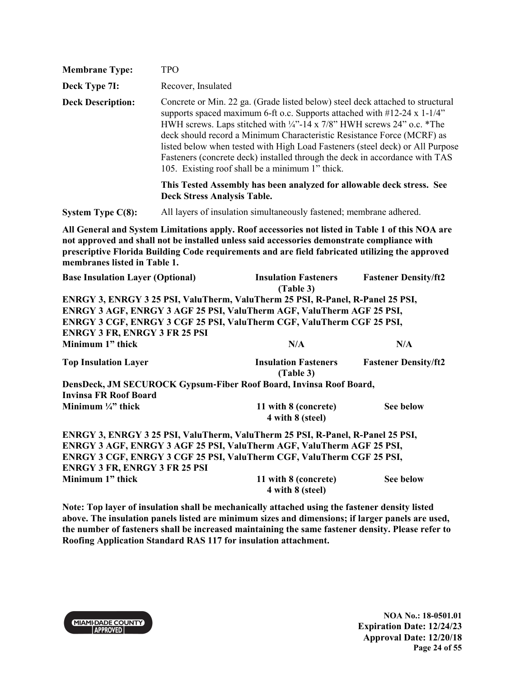| <b>Membrane Type:</b>                                    | <b>TPO</b>                                                                                                                                                                                                                                                                                                                                                                                                                                                                                                                        |                                                                                                                                                                                                                                                                                                    |                             |  |  |
|----------------------------------------------------------|-----------------------------------------------------------------------------------------------------------------------------------------------------------------------------------------------------------------------------------------------------------------------------------------------------------------------------------------------------------------------------------------------------------------------------------------------------------------------------------------------------------------------------------|----------------------------------------------------------------------------------------------------------------------------------------------------------------------------------------------------------------------------------------------------------------------------------------------------|-----------------------------|--|--|
| Deck Type 7I:                                            | Recover, Insulated                                                                                                                                                                                                                                                                                                                                                                                                                                                                                                                |                                                                                                                                                                                                                                                                                                    |                             |  |  |
| <b>Deck Description:</b>                                 | Concrete or Min. 22 ga. (Grade listed below) steel deck attached to structural<br>supports spaced maximum 6-ft o.c. Supports attached with #12-24 x 1-1/4"<br>HWH screws. Laps stitched with 1/4"-14 x 7/8" HWH screws 24" o.c. *The<br>deck should record a Minimum Characteristic Resistance Force (MCRF) as<br>listed below when tested with High Load Fasteners (steel deck) or All Purpose<br>Fasteners (concrete deck) installed through the deck in accordance with TAS<br>105. Existing roof shall be a minimum 1" thick. |                                                                                                                                                                                                                                                                                                    |                             |  |  |
|                                                          |                                                                                                                                                                                                                                                                                                                                                                                                                                                                                                                                   | This Tested Assembly has been analyzed for allowable deck stress. See<br><b>Deck Stress Analysis Table.</b>                                                                                                                                                                                        |                             |  |  |
| <b>System Type C(8):</b>                                 |                                                                                                                                                                                                                                                                                                                                                                                                                                                                                                                                   | All layers of insulation simultaneously fastened; membrane adhered.                                                                                                                                                                                                                                |                             |  |  |
| membranes listed in Table 1.                             |                                                                                                                                                                                                                                                                                                                                                                                                                                                                                                                                   | All General and System Limitations apply. Roof accessories not listed in Table 1 of this NOA are<br>not approved and shall not be installed unless said accessories demonstrate compliance with<br>prescriptive Florida Building Code requirements and are field fabricated utilizing the approved |                             |  |  |
| <b>Base Insulation Layer (Optional)</b>                  |                                                                                                                                                                                                                                                                                                                                                                                                                                                                                                                                   | <b>Insulation Fasteners</b><br>(Table 3)                                                                                                                                                                                                                                                           | <b>Fastener Density/ft2</b> |  |  |
| <b>ENRGY 3 FR, ENRGY 3 FR 25 PSI</b><br>Minimum 1" thick |                                                                                                                                                                                                                                                                                                                                                                                                                                                                                                                                   | ENRGY 3, ENRGY 3 25 PSI, ValuTherm, ValuTherm 25 PSI, R-Panel, R-Panel 25 PSI,<br>ENRGY 3 AGF, ENRGY 3 AGF 25 PSI, ValuTherm AGF, ValuTherm AGF 25 PSI,<br>ENRGY 3 CGF, ENRGY 3 CGF 25 PSI, ValuTherm CGF, ValuTherm CGF 25 PSI,<br>N/A                                                            | N/A                         |  |  |
| <b>Top Insulation Layer</b>                              |                                                                                                                                                                                                                                                                                                                                                                                                                                                                                                                                   | <b>Insulation Fasteners</b><br>(Table 3)                                                                                                                                                                                                                                                           | <b>Fastener Density/ft2</b> |  |  |
|                                                          |                                                                                                                                                                                                                                                                                                                                                                                                                                                                                                                                   | DensDeck, JM SECUROCK Gypsum-Fiber Roof Board, Invinsa Roof Board,                                                                                                                                                                                                                                 |                             |  |  |
| <b>Invinsa FR Roof Board</b><br>Minimum 1/4" thick       |                                                                                                                                                                                                                                                                                                                                                                                                                                                                                                                                   | 11 with 8 (concrete)<br>4 with 8 (steel)                                                                                                                                                                                                                                                           | <b>See below</b>            |  |  |
|                                                          |                                                                                                                                                                                                                                                                                                                                                                                                                                                                                                                                   | ENRGY 3, ENRGY 3 25 PSI, ValuTherm, ValuTherm 25 PSI, R-Panel, R-Panel 25 PSI,<br>ENRGY 3 AGF, ENRGY 3 AGF 25 PSI, ValuTherm AGF, ValuTherm AGF 25 PSI,                                                                                                                                            |                             |  |  |
| <b>ENRGY 3 FR, ENRGY 3 FR 25 PSI</b>                     |                                                                                                                                                                                                                                                                                                                                                                                                                                                                                                                                   | ENRGY 3 CGF, ENRGY 3 CGF 25 PSI, ValuTherm CGF, ValuTherm CGF 25 PSI,                                                                                                                                                                                                                              |                             |  |  |
| Minimum 1" thick                                         |                                                                                                                                                                                                                                                                                                                                                                                                                                                                                                                                   | 11 with 8 (concrete)<br>4 with 8 (steel)                                                                                                                                                                                                                                                           | See below                   |  |  |

**Note: Top layer of insulation shall be mechanically attached using the fastener density listed above. The insulation panels listed are minimum sizes and dimensions; if larger panels are used, the number of fasteners shall be increased maintaining the same fastener density. Please refer to Roofing Application Standard RAS 117 for insulation attachment.**

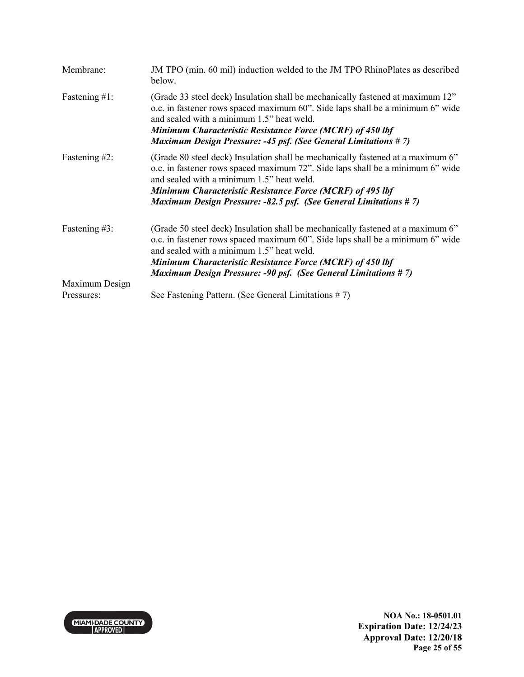| Membrane:        | JM TPO (min. 60 mil) induction welded to the JM TPO RhinoPlates as described<br>below.                                                                                                                                                                                                                                                                 |
|------------------|--------------------------------------------------------------------------------------------------------------------------------------------------------------------------------------------------------------------------------------------------------------------------------------------------------------------------------------------------------|
| Fastening $#1$ : | (Grade 33 steel deck) Insulation shall be mechanically fastened at maximum 12"<br>o.c. in fastener rows spaced maximum 60". Side laps shall be a minimum 6" wide<br>and sealed with a minimum 1.5" heat weld.<br>Minimum Characteristic Resistance Force (MCRF) of 450 lbf<br><b>Maximum Design Pressure: -45 psf. (See General Limitations #7)</b>    |
| Fastening #2:    | (Grade 80 steel deck) Insulation shall be mechanically fastened at a maximum 6"<br>o.c. in fastener rows spaced maximum 72". Side laps shall be a minimum 6" wide<br>and sealed with a minimum 1.5" heat weld.<br>Minimum Characteristic Resistance Force (MCRF) of 495 lbf<br><b>Maximum Design Pressure: -82.5 psf. (See General Limitations #7)</b> |
| Fastening #3:    | (Grade 50 steel deck) Insulation shall be mechanically fastened at a maximum 6"<br>o.c. in fastener rows spaced maximum 60". Side laps shall be a minimum 6" wide<br>and sealed with a minimum 1.5" heat weld.<br>Minimum Characteristic Resistance Force (MCRF) of 450 lbf<br><b>Maximum Design Pressure: -90 psf. (See General Limitations #7)</b>   |
| Maximum Design   |                                                                                                                                                                                                                                                                                                                                                        |
| Pressures:       | See Fastening Pattern. (See General Limitations #7)                                                                                                                                                                                                                                                                                                    |

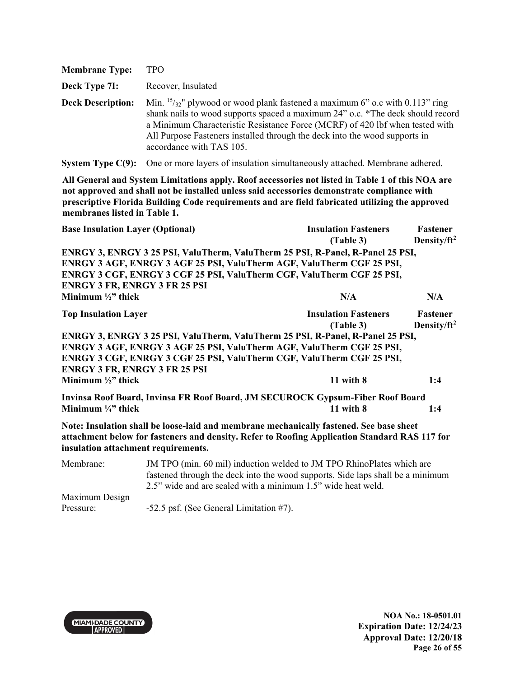| <b>Membrane Type:</b>    | TPO                                                                                                                                                                                                                                                                                                                                                         |
|--------------------------|-------------------------------------------------------------------------------------------------------------------------------------------------------------------------------------------------------------------------------------------------------------------------------------------------------------------------------------------------------------|
| Deck Type 7I:            | Recover, Insulated                                                                                                                                                                                                                                                                                                                                          |
| <b>Deck Description:</b> | Min. $15/32$ " plywood or wood plank fastened a maximum 6" o.c with 0.113" ring<br>shank nails to wood supports spaced a maximum 24" o.c. *The deck should record<br>a Minimum Characteristic Resistance Force (MCRF) of 420 lbf when tested with<br>All Purpose Fasteners installed through the deck into the wood supports in<br>accordance with TAS 105. |

**System Type C(9):** One or more layers of insulation simultaneously attached. Membrane adhered.

**All General and System Limitations apply. Roof accessories not listed in Table 1 of this NOA are not approved and shall not be installed unless said accessories demonstrate compliance with prescriptive Florida Building Code requirements and are field fabricated utilizing the approved membranes listed in Table 1.**

|                             | <b>Base Insulation Layer (Optional)</b> | <b>Insulation Fasteners</b><br>(Table 3)                                                                                                                                                                                                          | Fastener<br>Density/ft <sup>2</sup> |
|-----------------------------|-----------------------------------------|---------------------------------------------------------------------------------------------------------------------------------------------------------------------------------------------------------------------------------------------------|-------------------------------------|
|                             |                                         | ENRGY 3, ENRGY 3 25 PSI, ValuTherm, ValuTherm 25 PSI, R-Panel, R-Panel 25 PSI,<br>ENRGY 3 AGF, ENRGY 3 AGF 25 PSI, ValuTherm AGF, ValuTherm CGF 25 PSI,<br>ENRGY 3 CGF, ENRGY 3 CGF 25 PSI, ValuTherm CGF, ValuTherm CGF 25 PSI,                  |                                     |
| Minimum $\frac{1}{2}$ thick | <b>ENRGY 3 FR, ENRGY 3 FR 25 PSI</b>    | N/A                                                                                                                                                                                                                                               | N/A                                 |
| <b>Top Insulation Layer</b> |                                         | <b>Insulation Fasteners</b><br>(Table 3)                                                                                                                                                                                                          | Fastener<br>Density/ft <sup>2</sup> |
| Minimum $\frac{1}{2}$ thick | <b>ENRGY 3 FR, ENRGY 3 FR 25 PSI</b>    | ENRGY 3, ENRGY 3 25 PSI, ValuTherm, ValuTherm 25 PSI, R-Panel, R-Panel 25 PSI,<br>ENRGY 3 AGF, ENRGY 3 AGF 25 PSI, ValuTherm AGF, ValuTherm CGF 25 PSI,<br>ENRGY 3 CGF, ENRGY 3 CGF 25 PSI, ValuTherm CGF, ValuTherm CGF 25 PSI,<br>$11$ with $8$ | 1:4                                 |
| Minimum $\frac{1}{4}$ thick |                                         | Invinsa Roof Board, Invinsa FR Roof Board, JM SECUROCK Gypsum-Fiber Roof Board<br>$11$ with $8$                                                                                                                                                   | 1:4                                 |
|                             | insulation attachment requirements.     | Note: Insulation shall be loose-laid and membrane mechanically fastened. See base sheet<br>attachment below for fasteners and density. Refer to Roofing Application Standard RAS 117 for                                                          |                                     |
| Membrane:                   |                                         | JM TPO (min. 60 mil) induction welded to JM TPO RhinoPlates which are<br>fastened through the deck into the wood supports. Side laps shall be a minimum                                                                                           |                                     |

2.5" wide and are sealed with a minimum 1.5" wide heat weld.

Maximum Design Pressure: -52.5 psf. (See General Limitation #7).

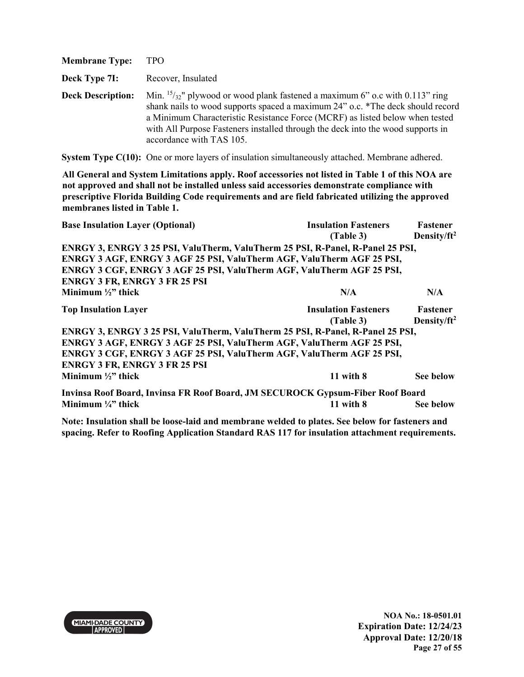| <b>Membrane Type:</b>    | TPO                                                                                                                                                                                                                                                                                                                                                              |
|--------------------------|------------------------------------------------------------------------------------------------------------------------------------------------------------------------------------------------------------------------------------------------------------------------------------------------------------------------------------------------------------------|
| Deck Type 7I:            | Recover, Insulated                                                                                                                                                                                                                                                                                                                                               |
| <b>Deck Description:</b> | Min. $15/32$ " plywood or wood plank fastened a maximum 6" o.c with 0.113" ring<br>shank nails to wood supports spaced a maximum 24" o.c. *The deck should record<br>a Minimum Characteristic Resistance Force (MCRF) as listed below when tested<br>with All Purpose Fasteners installed through the deck into the wood supports in<br>accordance with TAS 105. |

**System Type C(10):** One or more layers of insulation simultaneously attached. Membrane adhered.

**All General and System Limitations apply. Roof accessories not listed in Table 1 of this NOA are not approved and shall not be installed unless said accessories demonstrate compliance with prescriptive Florida Building Code requirements and are field fabricated utilizing the approved membranes listed in Table 1.**

| <b>Base Insulation Layer (Optional)</b>                                        | <b>Insulation Fasteners</b> | Fastener                |
|--------------------------------------------------------------------------------|-----------------------------|-------------------------|
|                                                                                | (Table 3)                   | Density/ft <sup>2</sup> |
| ENRGY 3, ENRGY 3 25 PSI, ValuTherm, ValuTherm 25 PSI, R-Panel, R-Panel 25 PSI, |                             |                         |
| ENRGY 3 AGF, ENRGY 3 AGF 25 PSI, ValuTherm AGF, ValuTherm AGF 25 PSI,          |                             |                         |
| ENRGY 3 CGF, ENRGY 3 AGF 25 PSI, ValuTherm AGF, ValuTherm AGF 25 PSI,          |                             |                         |
| <b>ENRGY 3 FR, ENRGY 3 FR 25 PSI</b>                                           |                             |                         |
| Minimum $\frac{1}{2}$ thick                                                    | N/A                         | N/A                     |
| <b>Top Insulation Layer</b>                                                    | <b>Insulation Fasteners</b> | Fastener                |
|                                                                                | (Table 3)                   | Density/ft <sup>2</sup> |
| ENRGY 3, ENRGY 3 25 PSI, ValuTherm, ValuTherm 25 PSI, R-Panel, R-Panel 25 PSI, |                             |                         |
| ENRGY 3 AGF, ENRGY 3 AGF 25 PSI, ValuTherm AGF, ValuTherm AGF 25 PSI,          |                             |                         |
| ENRGY 3 CGF, ENRGY 3 AGF 25 PSI, ValuTherm AGF, ValuTherm AGF 25 PSI,          |                             |                         |
| <b>ENRGY 3 FR, ENRGY 3 FR 25 PSI</b>                                           |                             |                         |
| Minimum $\frac{1}{2}$ thick                                                    | $11$ with $8$               | See below               |
| Invinsa Roof Board, Invinsa FR Roof Board, JM SECUROCK Gypsum-Fiber Roof Board |                             |                         |
| Minimum $\frac{1}{4}$ thick                                                    | $11$ with $8$               | See below               |

**Note: Insulation shall be loose-laid and membrane welded to plates. See below for fasteners and spacing. Refer to Roofing Application Standard RAS 117 for insulation attachment requirements.** 

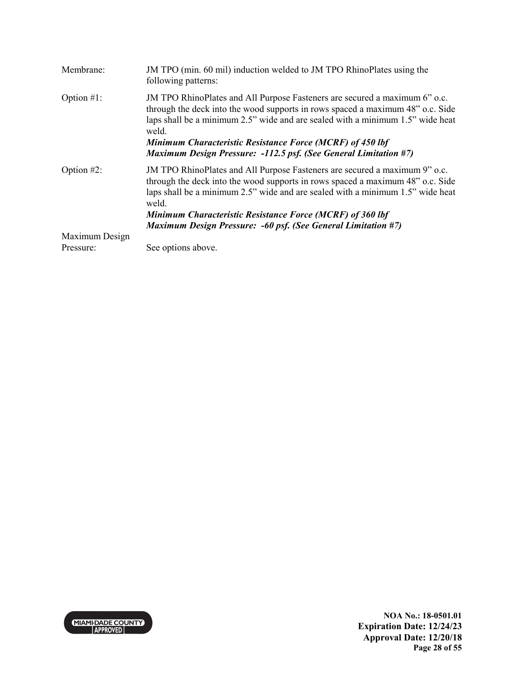| Membrane:      | JM TPO (min. 60 mil) induction welded to JM TPO RhinoPlates using the<br>following patterns:                                                                                                                                                                                                                                                                                                           |
|----------------|--------------------------------------------------------------------------------------------------------------------------------------------------------------------------------------------------------------------------------------------------------------------------------------------------------------------------------------------------------------------------------------------------------|
| Option $#1$ :  | JM TPO RhinoPlates and All Purpose Fasteners are secured a maximum 6" o.c.<br>through the deck into the wood supports in rows spaced a maximum 48" o.c. Side<br>laps shall be a minimum 2.5" wide and are sealed with a minimum 1.5" wide heat<br>weld.<br><b>Minimum Characteristic Resistance Force (MCRF) of 450 lbf</b><br><b>Maximum Design Pressure: -112.5 psf. (See General Limitation #7)</b> |
| Option $#2$ :  | JM TPO RhinoPlates and All Purpose Fasteners are secured a maximum 9" o.c.<br>through the deck into the wood supports in rows spaced a maximum 48" o.c. Side<br>laps shall be a minimum 2.5" wide and are sealed with a minimum 1.5" wide heat<br>weld.<br>Minimum Characteristic Resistance Force (MCRF) of 360 lbf<br><b>Maximum Design Pressure: -60 psf. (See General Limitation #7)</b>           |
| Maximum Design |                                                                                                                                                                                                                                                                                                                                                                                                        |
| Pressure:      | See options above.                                                                                                                                                                                                                                                                                                                                                                                     |

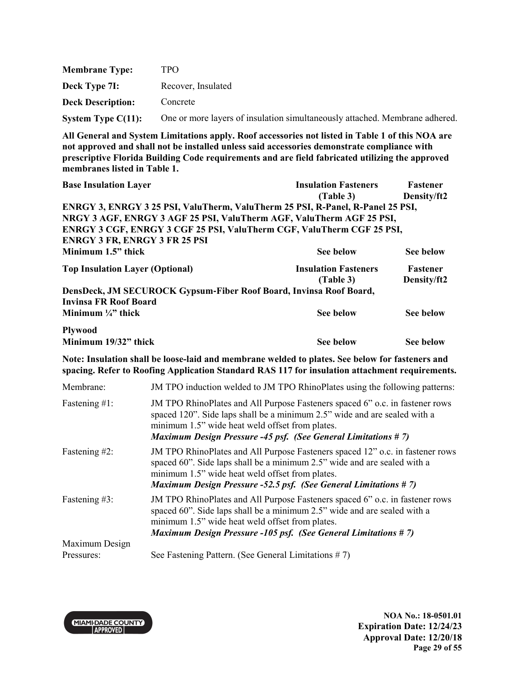| <b>Membrane Type:</b>    | TPO.                                                                        |
|--------------------------|-----------------------------------------------------------------------------|
| Deck Type 7I:            | Recover, Insulated                                                          |
| <b>Deck Description:</b> | Concrete                                                                    |
| System Type $C(11)$ :    | One or more layers of insulation simultaneously attached. Membrane adhered. |

| <b>Base Insulation Layer</b>                                                   | <b>Insulation Fasteners</b> | Fastener        |
|--------------------------------------------------------------------------------|-----------------------------|-----------------|
|                                                                                | (Table 3)                   | Density/ft2     |
| ENRGY 3, ENRGY 3 25 PSI, ValuTherm, ValuTherm 25 PSI, R-Panel, R-Panel 25 PSI, |                             |                 |
| NRGY 3 AGF, ENRGY 3 AGF 25 PSI, ValuTherm AGF, ValuTherm AGF 25 PSI,           |                             |                 |
| ENRGY 3 CGF, ENRGY 3 CGF 25 PSI, ValuTherm CGF, ValuTherm CGF 25 PSI,          |                             |                 |
| <b>ENRGY 3 FR, ENRGY 3 FR 25 PSI</b>                                           |                             |                 |
| Minimum 1.5" thick                                                             | See below                   | See below       |
| <b>Top Insulation Layer (Optional)</b>                                         | <b>Insulation Fasteners</b> | <b>Fastener</b> |
|                                                                                | (Table 3)                   | Density/ft2     |
| DensDeck, JM SECUROCK Gypsum-Fiber Roof Board, Invinsa Roof Board,             |                             |                 |
| <b>Invinsa FR Roof Board</b>                                                   |                             |                 |
| Minimum $\frac{1}{4}$ " thick                                                  | See below                   | See below       |
| <b>Plywood</b>                                                                 |                             |                 |
| Minimum 19/32" thick                                                           | See below                   | See below       |

**Note: Insulation shall be loose-laid and membrane welded to plates. See below for fasteners and spacing. Refer to Roofing Application Standard RAS 117 for insulation attachment requirements.** 

| Membrane:        | JM TPO induction welded to JM TPO RhinoPlates using the following patterns:                                                                                                                                                                                                            |
|------------------|----------------------------------------------------------------------------------------------------------------------------------------------------------------------------------------------------------------------------------------------------------------------------------------|
| Fastening $#1$ : | JM TPO RhinoPlates and All Purpose Fasteners spaced 6" o.c. in fastener rows<br>spaced 120". Side laps shall be a minimum 2.5" wide and are sealed with a<br>minimum 1.5" wide heat weld offset from plates.<br><b>Maximum Design Pressure -45 psf. (See General Limitations #7)</b>   |
| Fastening #2:    | JM TPO RhinoPlates and All Purpose Fasteners spaced 12" o.c. in fastener rows<br>spaced 60". Side laps shall be a minimum 2.5" wide and are sealed with a<br>minimum 1.5" wide heat weld offset from plates.<br><b>Maximum Design Pressure -52.5 psf. (See General Limitations #7)</b> |
| Fastening #3:    | JM TPO RhinoPlates and All Purpose Fasteners spaced 6" o.c. in fastener rows<br>spaced 60". Side laps shall be a minimum 2.5" wide and are sealed with a<br>minimum 1.5" wide heat weld offset from plates.<br><b>Maximum Design Pressure -105 psf. (See General Limitations #7)</b>   |
| Maximum Design   |                                                                                                                                                                                                                                                                                        |
| Pressures:       | See Fastening Pattern. (See General Limitations $# 7$ )                                                                                                                                                                                                                                |



**NOA No.: 18-0501.01 Expiration Date: 12/24/23 Approval Date: 12/20/18 Page 29 of 55**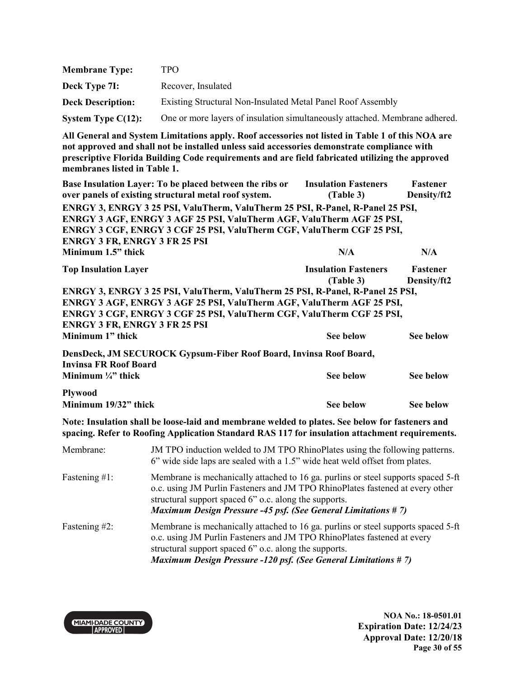| <b>Membrane Type:</b>    | TPO.                                                                        |
|--------------------------|-----------------------------------------------------------------------------|
| Deck Type 7I:            | Recover, Insulated                                                          |
| <b>Deck Description:</b> | Existing Structural Non-Insulated Metal Panel Roof Assembly                 |
| System Type $C(12)$ :    | One or more layers of insulation simultaneously attached. Membrane adhered. |

| Base Insulation Layer: To be placed between the ribs or                        | <b>Insulation Fasteners</b> | Fastener        |
|--------------------------------------------------------------------------------|-----------------------------|-----------------|
| over panels of existing structural metal roof system.                          | (Table 3)                   | Density/ft2     |
| ENRGY 3, ENRGY 3 25 PSI, ValuTherm, ValuTherm 25 PSI, R-Panel, R-Panel 25 PSI, |                             |                 |
| ENRGY 3 AGF, ENRGY 3 AGF 25 PSI, ValuTherm AGF, ValuTherm AGF 25 PSI,          |                             |                 |
| ENRGY 3 CGF, ENRGY 3 CGF 25 PSI, ValuTherm CGF, ValuTherm CGF 25 PSI,          |                             |                 |
| <b>ENRGY 3 FR, ENRGY 3 FR 25 PSI</b>                                           |                             |                 |
| Minimum 1.5" thick                                                             | N/A                         | N/A             |
| <b>Top Insulation Layer</b>                                                    | <b>Insulation Fasteners</b> | <b>Fastener</b> |
|                                                                                | (Table 3)                   | Density/ft2     |
| ENRGY 3, ENRGY 3 25 PSI, ValuTherm, ValuTherm 25 PSI, R-Panel, R-Panel 25 PSI, |                             |                 |
| ENRGY 3 AGF, ENRGY 3 AGF 25 PSI, ValuTherm AGF, ValuTherm AGF 25 PSI,          |                             |                 |
| ENRGY 3 CGF, ENRGY 3 CGF 25 PSI, ValuTherm CGF, ValuTherm CGF 25 PSI,          |                             |                 |
| <b>ENRGY 3 FR, ENRGY 3 FR 25 PSI</b>                                           |                             |                 |
| Minimum 1" thick                                                               | <b>See below</b>            | See below       |
| DensDeck, JM SECUROCK Gypsum-Fiber Roof Board, Invinsa Roof Board,             |                             |                 |
| <b>Invinsa FR Roof Board</b>                                                   |                             |                 |
| Minimum $\frac{1}{4}$ " thick                                                  | See below                   | See below       |

**Minimum 19/32" thick See below** See below See below

**Note: Insulation shall be loose-laid and membrane welded to plates. See below for fasteners and spacing. Refer to Roofing Application Standard RAS 117 for insulation attachment requirements.** 

| Membrane:        | JM TPO induction welded to JM TPO RhinoPlates using the following patterns.<br>6" wide side laps are sealed with a 1.5" wide heat weld offset from plates.                                                                                                                                     |
|------------------|------------------------------------------------------------------------------------------------------------------------------------------------------------------------------------------------------------------------------------------------------------------------------------------------|
| Fastening $#1$ : | Membrane is mechanically attached to 16 ga. purlins or steel supports spaced 5-ft<br>o.c. using JM Purlin Fasteners and JM TPO RhinoPlates fastened at every other<br>structural support spaced 6" o.c. along the supports.<br>Maximum Design Pressure -45 psf. (See General Limitations # 7)  |
| Fastening #2:    | Membrane is mechanically attached to 16 ga. purlins or steel supports spaced 5-ft<br>o.c. using JM Purlin Fasteners and JM TPO RhinoPlates fastened at every<br>structural support spaced 6" o.c. along the supports.<br><b>Maximum Design Pressure -120 psf. (See General Limitations #7)</b> |



**Plywood**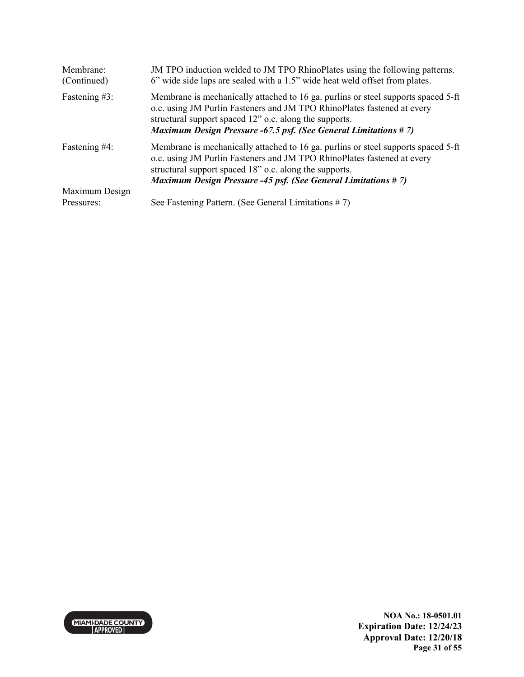| Membrane:<br>(Continued)     | JM TPO induction welded to JM TPO RhinoPlates using the following patterns.<br>6" wide side laps are sealed with a 1.5" wide heat weld offset from plates.                                                                                                                                       |
|------------------------------|--------------------------------------------------------------------------------------------------------------------------------------------------------------------------------------------------------------------------------------------------------------------------------------------------|
| Fastening #3:                | Membrane is mechanically attached to 16 ga. purlins or steel supports spaced 5-ft<br>o.c. using JM Purlin Fasteners and JM TPO RhinoPlates fastened at every<br>structural support spaced 12" o.c. along the supports.<br><b>Maximum Design Pressure -67.5 psf. (See General Limitations #7)</b> |
| Fastening #4:                | Membrane is mechanically attached to 16 ga. purlins or steel supports spaced 5-ft<br>o.c. using JM Purlin Fasteners and JM TPO RhinoPlates fastened at every<br>structural support spaced 18" o.c. along the supports.<br><b>Maximum Design Pressure -45 psf. (See General Limitations #7)</b>   |
| Maximum Design<br>Pressures: | See Fastening Pattern. (See General Limitations $# 7$ )                                                                                                                                                                                                                                          |

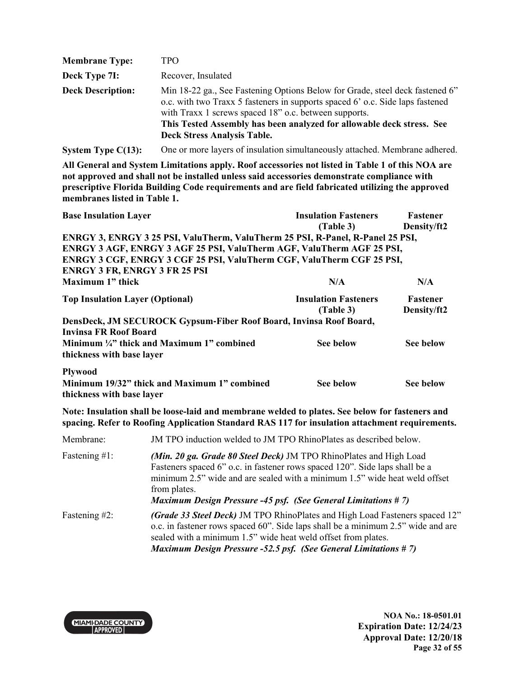| <b>Membrane Type:</b>    | TPO.                                                                                                                                                                                                                                                                                                                                  |
|--------------------------|---------------------------------------------------------------------------------------------------------------------------------------------------------------------------------------------------------------------------------------------------------------------------------------------------------------------------------------|
| Deck Type 7I:            | Recover, Insulated                                                                                                                                                                                                                                                                                                                    |
| <b>Deck Description:</b> | Min 18-22 ga., See Fastening Options Below for Grade, steel deck fastened 6"<br>o.c. with two Traxx 5 fasteners in supports spaced 6' o.c. Side laps fastened<br>with Traxx 1 screws spaced 18" o.c. between supports.<br>This Tested Assembly has been analyzed for allowable deck stress. See<br><b>Deck Stress Analysis Table.</b> |

**System Type C(13):** One or more layers of insulation simultaneously attached. Membrane adhered.

**All General and System Limitations apply. Roof accessories not listed in Table 1 of this NOA are not approved and shall not be installed unless said accessories demonstrate compliance with prescriptive Florida Building Code requirements and are field fabricated utilizing the approved membranes listed in Table 1.** 

| <b>Base Insulation Layer</b>                                                   | <b>Insulation Fasteners</b> | Fastener        |
|--------------------------------------------------------------------------------|-----------------------------|-----------------|
|                                                                                | (Table 3)                   | Density/ft2     |
| ENRGY 3, ENRGY 3 25 PSI, ValuTherm, ValuTherm 25 PSI, R-Panel, R-Panel 25 PSI, |                             |                 |
| ENRGY 3 AGF, ENRGY 3 AGF 25 PSI, ValuTherm AGF, ValuTherm AGF 25 PSI,          |                             |                 |
| ENRGY 3 CGF, ENRGY 3 CGF 25 PSI, ValuTherm CGF, ValuTherm CGF 25 PSI,          |                             |                 |
| <b>ENRGY 3 FR, ENRGY 3 FR 25 PSI</b>                                           |                             |                 |
| Maximum 1" thick                                                               | N/A                         | N/A             |
| <b>Top Insulation Layer (Optional)</b>                                         | <b>Insulation Fasteners</b> | <b>Fastener</b> |
|                                                                                | (Table 3)                   | Density/ft2     |
| DensDeck, JM SECUROCK Gypsum-Fiber Roof Board, Invinsa Roof Board,             |                             |                 |
| Invinsa FR Roof Board                                                          |                             |                 |
| Minimum $\frac{1}{4}$ " thick and Maximum 1" combined                          | <b>See below</b>            | See below       |
| thickness with base layer                                                      |                             |                 |
| <b>Plywood</b>                                                                 |                             |                 |
| Minimum 19/32" thick and Maximum 1" combined                                   | See below                   | See below       |
| thickness with base layer                                                      |                             |                 |

**Note: Insulation shall be loose-laid and membrane welded to plates. See below for fasteners and spacing. Refer to Roofing Application Standard RAS 117 for insulation attachment requirements.** 

| Membrane:        | JM TPO induction welded to JM TPO RhinoPlates as described below.                                                                                                                                                                                                                                                       |
|------------------|-------------------------------------------------------------------------------------------------------------------------------------------------------------------------------------------------------------------------------------------------------------------------------------------------------------------------|
| Fastening $#1$ : | (Min. 20 ga. Grade 80 Steel Deck) JM TPO RhinoPlates and High Load<br>Fasteners spaced 6" o.c. in fastener rows spaced 120". Side laps shall be a<br>minimum 2.5" wide and are sealed with a minimum 1.5" wide heat weld offset<br>from plates.<br><b>Maximum Design Pressure -45 psf. (See General Limitations #7)</b> |
| Fastening #2:    | (Grade 33 Steel Deck) JM TPO RhinoPlates and High Load Fasteners spaced 12"<br>o.c. in fastener rows spaced 60". Side laps shall be a minimum 2.5" wide and are<br>sealed with a minimum 1.5" wide heat weld offset from plates.<br><b>Maximum Design Pressure -52.5 psf. (See General Limitations #7)</b>              |



**NOA No.: 18-0501.01 Expiration Date: 12/24/23 Approval Date: 12/20/18 Page 32 of 55**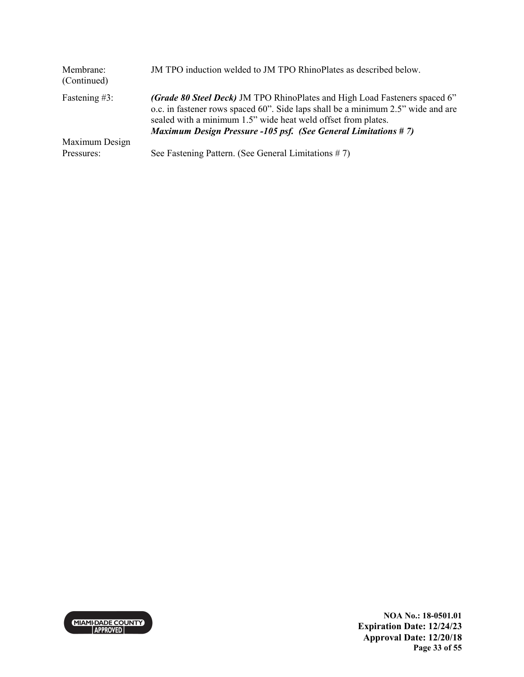| Membrane:<br>(Continued) | JM TPO induction welded to JM TPO RhinoPlates as described below.                                                                                                                                                                                                                                        |
|--------------------------|----------------------------------------------------------------------------------------------------------------------------------------------------------------------------------------------------------------------------------------------------------------------------------------------------------|
| Fastening $#3$ :         | (Grade 80 Steel Deck) JM TPO RhinoPlates and High Load Fasteners spaced 6"<br>o.c. in fastener rows spaced 60". Side laps shall be a minimum 2.5" wide and are<br>sealed with a minimum 1.5" wide heat weld offset from plates.<br><b>Maximum Design Pressure -105 psf. (See General Limitations #7)</b> |
| Maximum Design           |                                                                                                                                                                                                                                                                                                          |
| Pressures:               | See Fastening Pattern. (See General Limitations $# 7$ )                                                                                                                                                                                                                                                  |



**NOA No.: 18-0501.01 Expiration Date: 12/24/23 Approval Date: 12/20/18 Page 33 of 55**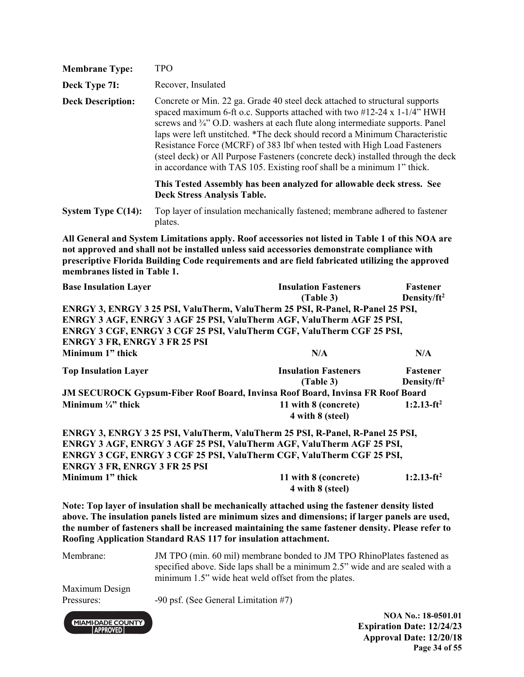| <b>Membrane Type:</b>                                    | <b>TPO</b>                                                                                                                                                                                                                                                                                                                                                                                                                                                                                                                                                               |                                                                                                                                                                                                                                                                                                         |                                |
|----------------------------------------------------------|--------------------------------------------------------------------------------------------------------------------------------------------------------------------------------------------------------------------------------------------------------------------------------------------------------------------------------------------------------------------------------------------------------------------------------------------------------------------------------------------------------------------------------------------------------------------------|---------------------------------------------------------------------------------------------------------------------------------------------------------------------------------------------------------------------------------------------------------------------------------------------------------|--------------------------------|
| Deck Type 7I:                                            | Recover, Insulated                                                                                                                                                                                                                                                                                                                                                                                                                                                                                                                                                       |                                                                                                                                                                                                                                                                                                         |                                |
| <b>Deck Description:</b>                                 | Concrete or Min. 22 ga. Grade 40 steel deck attached to structural supports<br>spaced maximum 6-ft o.c. Supports attached with two $\#12-24 \times 1-1/4$ " HWH<br>screws and 3/4" O.D. washers at each flute along intermediate supports. Panel<br>laps were left unstitched. *The deck should record a Minimum Characteristic<br>Resistance Force (MCRF) of 383 lbf when tested with High Load Fasteners<br>(steel deck) or All Purpose Fasteners (concrete deck) installed through the deck<br>in accordance with TAS 105. Existing roof shall be a minimum 1" thick. |                                                                                                                                                                                                                                                                                                         |                                |
|                                                          | <b>Deck Stress Analysis Table.</b>                                                                                                                                                                                                                                                                                                                                                                                                                                                                                                                                       | This Tested Assembly has been analyzed for allowable deck stress. See                                                                                                                                                                                                                                   |                                |
| System Type $C(14)$ :                                    | Top layer of insulation mechanically fastened; membrane adhered to fastener<br>plates.                                                                                                                                                                                                                                                                                                                                                                                                                                                                                   |                                                                                                                                                                                                                                                                                                         |                                |
| membranes listed in Table 1.                             |                                                                                                                                                                                                                                                                                                                                                                                                                                                                                                                                                                          | All General and System Limitations apply. Roof accessories not listed in Table 1 of this NOA are<br>not approved and shall not be installed unless said accessories demonstrate compliance with<br>prescriptive Florida Building Code requirements and are field fabricated utilizing the approved      |                                |
| <b>Base Insulation Layer</b>                             |                                                                                                                                                                                                                                                                                                                                                                                                                                                                                                                                                                          | <b>Insulation Fasteners</b>                                                                                                                                                                                                                                                                             | Fastener                       |
| <b>ENRGY 3 FR, ENRGY 3 FR 25 PSI</b><br>Minimum 1" thick |                                                                                                                                                                                                                                                                                                                                                                                                                                                                                                                                                                          | (Table 3)<br>ENRGY 3, ENRGY 3 25 PSI, ValuTherm, ValuTherm 25 PSI, R-Panel, R-Panel 25 PSI,<br>ENRGY 3 AGF, ENRGY 3 AGF 25 PSI, ValuTherm AGF, ValuTherm AGF 25 PSI,<br>ENRGY 3 CGF, ENRGY 3 CGF 25 PSI, ValuTherm CGF, ValuTherm CGF 25 PSI,<br>N/A                                                    | Density/ft <sup>2</sup><br>N/A |
| <b>Top Insulation Layer</b>                              |                                                                                                                                                                                                                                                                                                                                                                                                                                                                                                                                                                          | <b>Insulation Fasteners</b><br>(Table 3)                                                                                                                                                                                                                                                                | Fastener<br>Density/ $ft^2$    |
|                                                          |                                                                                                                                                                                                                                                                                                                                                                                                                                                                                                                                                                          | <b>JM SECUROCK Gypsum-Fiber Roof Board, Invinsa Roof Board, Invinsa FR Roof Board</b>                                                                                                                                                                                                                   |                                |
| Minimum $\frac{1}{4}$ " thick                            |                                                                                                                                                                                                                                                                                                                                                                                                                                                                                                                                                                          | 11 with 8 (concrete)<br>4 with 8 (steel)                                                                                                                                                                                                                                                                | $1:2.13-ft^2$                  |
| <b>ENRGY 3 FR, ENRGY 3 FR 25 PSI</b>                     |                                                                                                                                                                                                                                                                                                                                                                                                                                                                                                                                                                          | ENRGY 3, ENRGY 3 25 PSI, ValuTherm, ValuTherm 25 PSI, R-Panel, R-Panel 25 PSI,<br>ENRGY 3 AGF, ENRGY 3 AGF 25 PSI, ValuTherm AGF, ValuTherm AGF 25 PSI,<br>ENRGY 3 CGF, ENRGY 3 CGF 25 PSI, ValuTherm CGF, ValuTherm CGF 25 PSI,                                                                        |                                |
| Minimum 1" thick                                         |                                                                                                                                                                                                                                                                                                                                                                                                                                                                                                                                                                          | 11 with 8 (concrete)<br>4 with 8 (steel)                                                                                                                                                                                                                                                                | $1:2.13-ft^2$                  |
|                                                          |                                                                                                                                                                                                                                                                                                                                                                                                                                                                                                                                                                          | Note: Top layer of insulation shall be mechanically attached using the fastener density listed<br>above. The insulation panels listed are minimum sizes and dimensions; if larger panels are used,<br>the number of fasteners shall be increased maintaining the same fastener density. Please refer to |                                |

**Roofing Application Standard RAS 117 for insulation attachment.** 

Membrane: JM TPO (min. 60 mil) membrane bonded to JM TPO RhinoPlates fastened as specified above. Side laps shall be a minimum 2.5" wide and are sealed with a minimum 1.5" wide heat weld offset from the plates.

Maximum Design

MIAMI-DADE COUNTY

Pressures: -90 psf. (See General Limitation #7)

**NOA No.: 18-0501.01 Expiration Date: 12/24/23 Approval Date: 12/20/18 Page 34 of 55**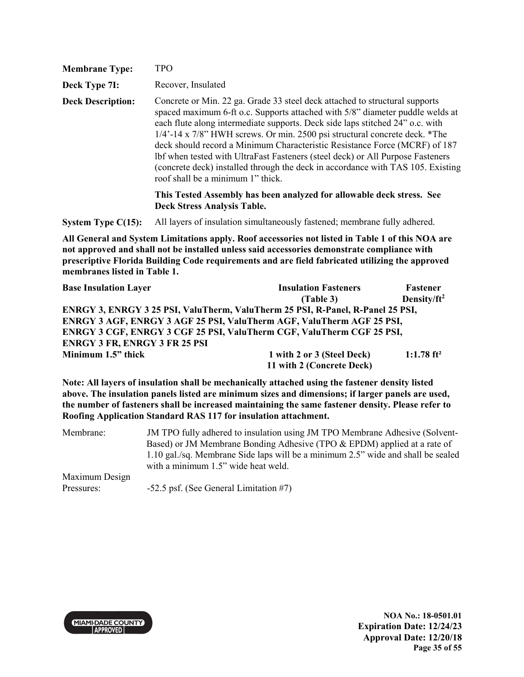| <b>Membrane Type:</b>    | TPO                                                                                                                                                                                                                                                                                                                                                                                                                                                                                                                                                                                                                                                                                                |
|--------------------------|----------------------------------------------------------------------------------------------------------------------------------------------------------------------------------------------------------------------------------------------------------------------------------------------------------------------------------------------------------------------------------------------------------------------------------------------------------------------------------------------------------------------------------------------------------------------------------------------------------------------------------------------------------------------------------------------------|
| Deck Type 7I:            | Recover, Insulated                                                                                                                                                                                                                                                                                                                                                                                                                                                                                                                                                                                                                                                                                 |
| <b>Deck Description:</b> | Concrete or Min. 22 ga. Grade 33 steel deck attached to structural supports<br>spaced maximum 6-ft o.c. Supports attached with 5/8" diameter puddle welds at<br>each flute along intermediate supports. Deck side laps stitched 24" o.c. with<br>$1/4$ '-14 x $7/8$ " HWH screws. Or min. 2500 psi structural concrete deck. *The<br>deck should record a Minimum Characteristic Resistance Force (MCRF) of 187<br>lbf when tested with UltraFast Fasteners (steel deck) or All Purpose Fasteners<br>(concrete deck) installed through the deck in accordance with TAS 105. Existing<br>roof shall be a minimum 1" thick.<br>This Tested Assembly has been analyzed for allowable deck stress. See |
|                          | <b>Deck Stress Analysis Table.</b>                                                                                                                                                                                                                                                                                                                                                                                                                                                                                                                                                                                                                                                                 |

**System Type C(15):** All layers of insulation simultaneously fastened; membrane fully adhered.

**All General and System Limitations apply. Roof accessories not listed in Table 1 of this NOA are not approved and shall not be installed unless said accessories demonstrate compliance with prescriptive Florida Building Code requirements and are field fabricated utilizing the approved membranes listed in Table 1.**

| <b>Base Insulation Layer</b>                                                   | <b>Insulation Fasteners</b> | <b>Fastener</b>          |
|--------------------------------------------------------------------------------|-----------------------------|--------------------------|
|                                                                                | (Table 3)                   | Density/ $ft^2$          |
| ENRGY 3, ENRGY 3 25 PSI, ValuTherm, ValuTherm 25 PSI, R-Panel, R-Panel 25 PSI, |                             |                          |
| ENRGY 3 AGF, ENRGY 3 AGF 25 PSI, ValuTherm AGF, ValuTherm AGF 25 PSI,          |                             |                          |
| <b>ENRGY 3 CGF, ENRGY 3 CGF 25 PSI, ValuTherm CGF, ValuTherm CGF 25 PSI,</b>   |                             |                          |
| <b>ENRGY 3 FR, ENRGY 3 FR 25 PSI</b>                                           |                             |                          |
| Minimum 1.5" thick                                                             | 1 with 2 or 3 (Steel Deck)  | $1:1.78$ ft <sup>2</sup> |
|                                                                                | 11 with 2 (Concrete Deck)   |                          |

**Note: All layers of insulation shall be mechanically attached using the fastener density listed above. The insulation panels listed are minimum sizes and dimensions; if larger panels are used, the number of fasteners shall be increased maintaining the same fastener density. Please refer to Roofing Application Standard RAS 117 for insulation attachment.** 

| Membrane:      | JM TPO fully adhered to insulation using JM TPO Membrane Adhesive (Solvent-      |
|----------------|----------------------------------------------------------------------------------|
|                | Based) or JM Membrane Bonding Adhesive (TPO & EPDM) applied at a rate of         |
|                | 1.10 gal./sq. Membrane Side laps will be a minimum 2.5" wide and shall be sealed |
|                | with a minimum 1.5" wide heat weld.                                              |
| Maximum Design |                                                                                  |
| Pressures:     | $-52.5$ psf. (See General Limitation #7)                                         |

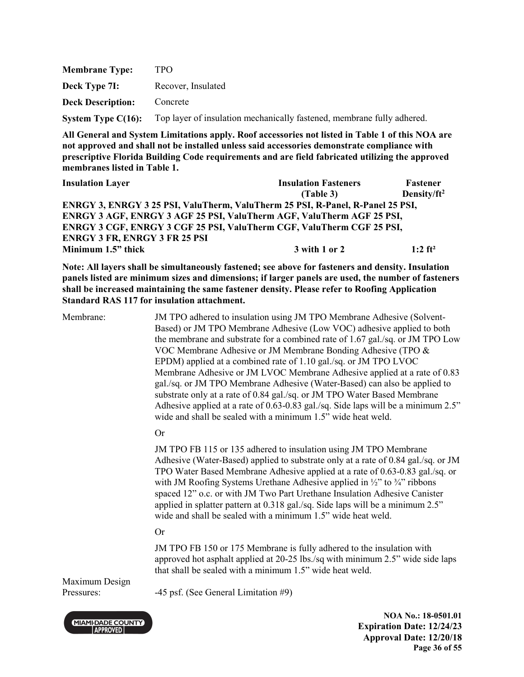| <b>Membrane Type:</b>    | TPO.                                                                   |
|--------------------------|------------------------------------------------------------------------|
| Deck Type 7I:            | Recover, Insulated                                                     |
| <b>Deck Description:</b> | Concrete                                                               |
| System Type $C(16)$ :    | Top layer of insulation mechanically fastened, membrane fully adhered. |

| <b>Insulation Layer</b>                                                        | <b>Insulation Fasteners</b> | Fastener              |
|--------------------------------------------------------------------------------|-----------------------------|-----------------------|
|                                                                                | (Table 3)                   | Density/ $ft^2$       |
| ENRGY 3, ENRGY 3 25 PSI, ValuTherm, ValuTherm 25 PSI, R-Panel, R-Panel 25 PSI, |                             |                       |
| ENRGY 3 AGF, ENRGY 3 AGF 25 PSI, ValuTherm AGF, ValuTherm AGF 25 PSI,          |                             |                       |
| ENRGY 3 CGF, ENRGY 3 CGF 25 PSI, ValuTherm CGF, ValuTherm CGF 25 PSI,          |                             |                       |
| <b>ENRGY 3 FR, ENRGY 3 FR 25 PSI</b>                                           |                             |                       |
| Minimum 1.5" thick                                                             | 3 with 1 or 2               | $1:2$ ft <sup>2</sup> |

**Note: All layers shall be simultaneously fastened; see above for fasteners and density. Insulation panels listed are minimum sizes and dimensions; if larger panels are used, the number of fasteners shall be increased maintaining the same fastener density. Please refer to Roofing Application Standard RAS 117 for insulation attachment.** 

Membrane: JM TPO adhered to insulation using JM TPO Membrane Adhesive (Solvent-Based) or JM TPO Membrane Adhesive (Low VOC) adhesive applied to both the membrane and substrate for a combined rate of 1.67 gal./sq. or JM TPO Low VOC Membrane Adhesive or JM Membrane Bonding Adhesive (TPO & EPDM) applied at a combined rate of 1.10 gal./sq. or JM TPO LVOC Membrane Adhesive or JM LVOC Membrane Adhesive applied at a rate of 0.83 gal./sq. or JM TPO Membrane Adhesive (Water-Based) can also be applied to substrate only at a rate of 0.84 gal./sq. or JM TPO Water Based Membrane Adhesive applied at a rate of 0.63-0.83 gal./sq. Side laps will be a minimum 2.5" wide and shall be sealed with a minimum 1.5" wide heat weld.

Or

JM TPO FB 115 or 135 adhered to insulation using JM TPO Membrane Adhesive (Water-Based) applied to substrate only at a rate of 0.84 gal./sq. or JM TPO Water Based Membrane Adhesive applied at a rate of 0.63-0.83 gal./sq. or with JM Roofing Systems Urethane Adhesive applied in  $\frac{1}{2}$  to  $\frac{3}{4}$  ribbons spaced 12" o.c. or with JM Two Part Urethane Insulation Adhesive Canister applied in splatter pattern at 0.318 gal./sq. Side laps will be a minimum 2.5" wide and shall be sealed with a minimum 1.5" wide heat weld.

#### Or

JM TPO FB 150 or 175 Membrane is fully adhered to the insulation with approved hot asphalt applied at 20-25 lbs./sq with minimum 2.5" wide side laps that shall be sealed with a minimum 1.5" wide heat weld.

Maximum Design

Pressures: -45 psf. (See General Limitation #9)

**NOA No.: 18-0501.01 Expiration Date: 12/24/23 Approval Date: 12/20/18 Page 36 of 55** 

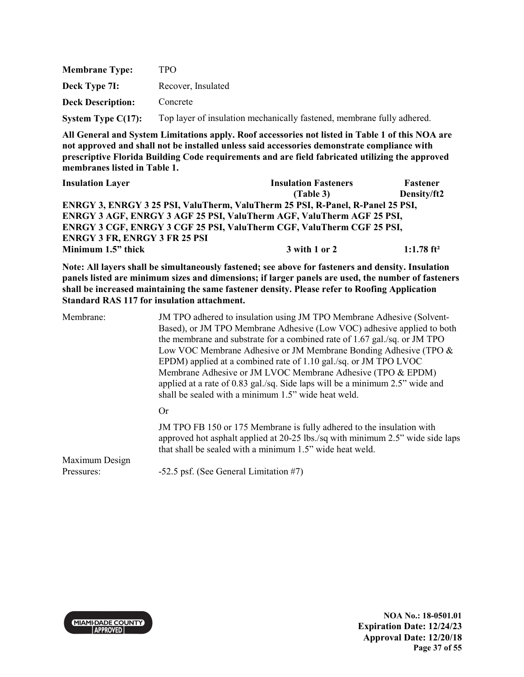| <b>Membrane Type:</b>    | TPO.                                                                   |
|--------------------------|------------------------------------------------------------------------|
| Deck Type 7I:            | Recover, Insulated                                                     |
| <b>Deck Description:</b> | Concrete                                                               |
| System Type $C(17)$ :    | Top layer of insulation mechanically fastened, membrane fully adhered. |

| <b>Insulation Layer</b>                                                        | <b>Insulation Fasteners</b> | Fastener      |
|--------------------------------------------------------------------------------|-----------------------------|---------------|
|                                                                                | (Table 3)                   | Density/ft2   |
| ENRGY 3, ENRGY 3 25 PSI, ValuTherm, ValuTherm 25 PSI, R-Panel, R-Panel 25 PSI, |                             |               |
| ENRGY 3 AGF, ENRGY 3 AGF 25 PSI, ValuTherm AGF, ValuTherm AGF 25 PSI,          |                             |               |
| ENRGY 3 CGF, ENRGY 3 CGF 25 PSI, ValuTherm CGF, ValuTherm CGF 25 PSI,          |                             |               |
| <b>ENRGY 3 FR, ENRGY 3 FR 25 PSI</b>                                           |                             |               |
| Minimum 1.5" thick                                                             | 3 with 1 or 2               | 1:1.78 $ft^2$ |

**Note: All layers shall be simultaneously fastened; see above for fasteners and density. Insulation panels listed are minimum sizes and dimensions; if larger panels are used, the number of fasteners shall be increased maintaining the same fastener density. Please refer to Roofing Application Standard RAS 117 for insulation attachment.** 

| Membrane: | JM TPO adhered to insulation using JM TPO Membrane Adhesive (Solvent-<br>Based), or JM TPO Membrane Adhesive (Low VOC) adhesive applied to both<br>the membrane and substrate for a combined rate of 1.67 gal./sq. or JM TPO<br>Low VOC Membrane Adhesive or JM Membrane Bonding Adhesive (TPO &<br>EPDM) applied at a combined rate of 1.10 gal./sq. or JM TPO LVOC<br>Membrane Adhesive or JM LVOC Membrane Adhesive (TPO & EPDM)<br>applied at a rate of 0.83 gal./sq. Side laps will be a minimum 2.5" wide and<br>shall be sealed with a minimum 1.5" wide heat weld. |
|-----------|----------------------------------------------------------------------------------------------------------------------------------------------------------------------------------------------------------------------------------------------------------------------------------------------------------------------------------------------------------------------------------------------------------------------------------------------------------------------------------------------------------------------------------------------------------------------------|
|           | Or                                                                                                                                                                                                                                                                                                                                                                                                                                                                                                                                                                         |
|           | JM TPO FB 150 or 175 Membrane is fully adhered to the insulation with<br>approved hot asphalt applied at 20-25 lbs./sq with minimum 2.5" wide side laps<br>that shall be sealed with a minimum 1.5" wide heat weld.                                                                                                                                                                                                                                                                                                                                                        |

Maximum Design

Pressures: -52.5 psf. (See General Limitation #7)



**NOA No.: 18-0501.01 Expiration Date: 12/24/23 Approval Date: 12/20/18 Page 37 of 55**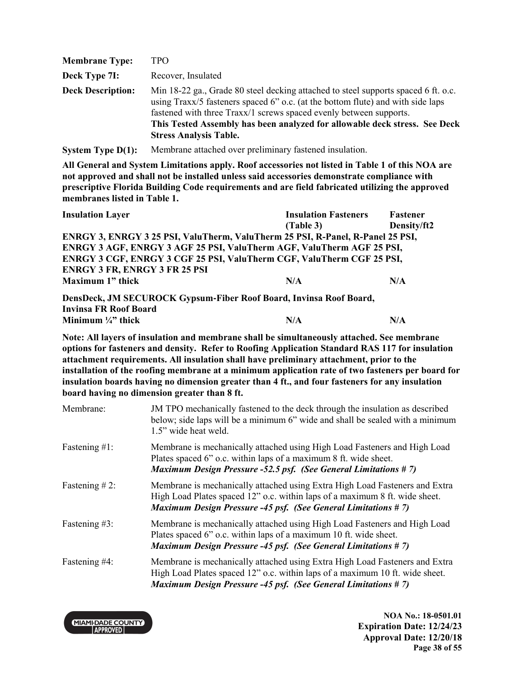| <b>Membrane Type:</b>    | <b>TPO</b>                                                                                                                                                                                                                                                                                                                                                 |
|--------------------------|------------------------------------------------------------------------------------------------------------------------------------------------------------------------------------------------------------------------------------------------------------------------------------------------------------------------------------------------------------|
| Deck Type 7I:            | Recover, Insulated                                                                                                                                                                                                                                                                                                                                         |
| <b>Deck Description:</b> | Min 18-22 ga., Grade 80 steel decking attached to steel supports spaced 6 ft. o.c.<br>using Traxx/5 fasteners spaced 6" o.c. (at the bottom flute) and with side laps<br>fastened with three Traxx/1 screws spaced evenly between supports.<br>This Tested Assembly has been analyzed for allowable deck stress. See Deck<br><b>Stress Analysis Table.</b> |

**System Type D(1):** Membrane attached over preliminary fastened insulation.

**All General and System Limitations apply. Roof accessories not listed in Table 1 of this NOA are not approved and shall not be installed unless said accessories demonstrate compliance with prescriptive Florida Building Code requirements and are field fabricated utilizing the approved membranes listed in Table 1.** 

| <b>Insulation Layer</b>                                                        | <b>Insulation Fasteners</b> | Fastener    |
|--------------------------------------------------------------------------------|-----------------------------|-------------|
|                                                                                | (Table 3)                   | Density/ft2 |
| ENRGY 3, ENRGY 3 25 PSI, ValuTherm, ValuTherm 25 PSI, R-Panel, R-Panel 25 PSI, |                             |             |
| ENRGY 3 AGF, ENRGY 3 AGF 25 PSI, ValuTherm AGF, ValuTherm AGF 25 PSI,          |                             |             |
| ENRGY 3 CGF, ENRGY 3 CGF 25 PSI, ValuTherm CGF, ValuTherm CGF 25 PSI,          |                             |             |
| <b>ENRGY 3 FR, ENRGY 3 FR 25 PSI</b>                                           |                             |             |
| Maximum 1" thick                                                               | N/A                         | N/A         |
| DensDeck, JM SECUROCK Gypsum-Fiber Roof Board, Invinsa Roof Board,             |                             |             |
| <b>Invinsa FR Roof Board</b>                                                   |                             |             |

**Minimum**  $\frac{1}{4}$  thick  $N/A$   $N/A$ 

**Note: All layers of insulation and membrane shall be simultaneously attached. See membrane options for fasteners and density. Refer to Roofing Application Standard RAS 117 for insulation attachment requirements. All insulation shall have preliminary attachment, prior to the installation of the roofing membrane at a minimum application rate of two fasteners per board for insulation boards having no dimension greater than 4 ft., and four fasteners for any insulation board having no dimension greater than 8 ft.**

| Membrane:        | JM TPO mechanically fastened to the deck through the insulation as described<br>below; side laps will be a minimum 6" wide and shall be sealed with a minimum<br>1.5" wide heat weld.                                               |
|------------------|-------------------------------------------------------------------------------------------------------------------------------------------------------------------------------------------------------------------------------------|
| Fastening $#1$ : | Membrane is mechanically attached using High Load Fasteners and High Load<br>Plates spaced 6" o.c. within laps of a maximum 8 ft. wide sheet.<br><b>Maximum Design Pressure -52.5 psf. (See General Limitations #7)</b>             |
| Fastening $#2$ : | Membrane is mechanically attached using Extra High Load Fasteners and Extra<br>High Load Plates spaced 12" o.c. within laps of a maximum 8 ft. wide sheet.<br><b>Maximum Design Pressure -45 psf. (See General Limitations #7)</b>  |
| Fastening #3:    | Membrane is mechanically attached using High Load Fasteners and High Load<br>Plates spaced 6" o.c. within laps of a maximum 10 ft. wide sheet.<br><b>Maximum Design Pressure -45 psf. (See General Limitations #7)</b>              |
| Fastening #4:    | Membrane is mechanically attached using Extra High Load Fasteners and Extra<br>High Load Plates spaced 12" o.c. within laps of a maximum 10 ft. wide sheet.<br><b>Maximum Design Pressure -45 psf. (See General Limitations #7)</b> |

**MIAMI-DADE COUNTY APPROVED** 

**NOA No.: 18-0501.01 Expiration Date: 12/24/23 Approval Date: 12/20/18 Page 38 of 55**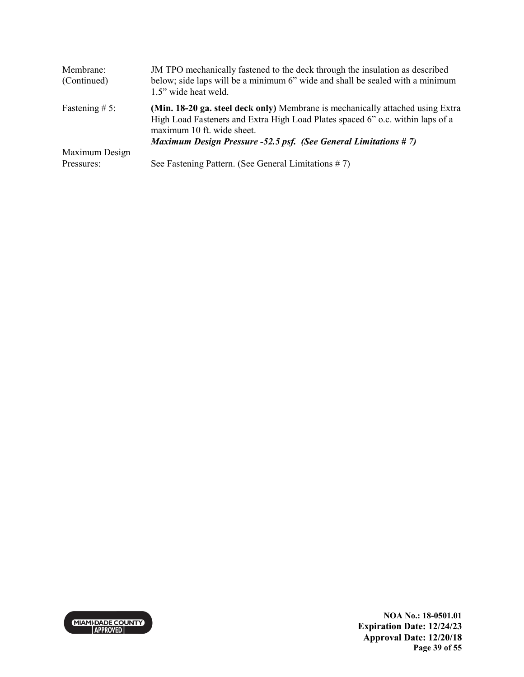| Membrane:<br>(Continued)     | JM TPO mechanically fastened to the deck through the insulation as described<br>below; side laps will be a minimum 6" wide and shall be sealed with a minimum<br>1.5" wide heat weld.                                                                                    |
|------------------------------|--------------------------------------------------------------------------------------------------------------------------------------------------------------------------------------------------------------------------------------------------------------------------|
| Fastening $# 5$ :            | (Min. 18-20 ga. steel deck only) Membrane is mechanically attached using Extra<br>High Load Fasteners and Extra High Load Plates spaced 6" o.c. within laps of a<br>maximum 10 ft. wide sheet.<br><b>Maximum Design Pressure -52.5 psf. (See General Limitations #7)</b> |
| Maximum Design<br>Pressures: | See Fastening Pattern. (See General Limitations $# 7$ )                                                                                                                                                                                                                  |

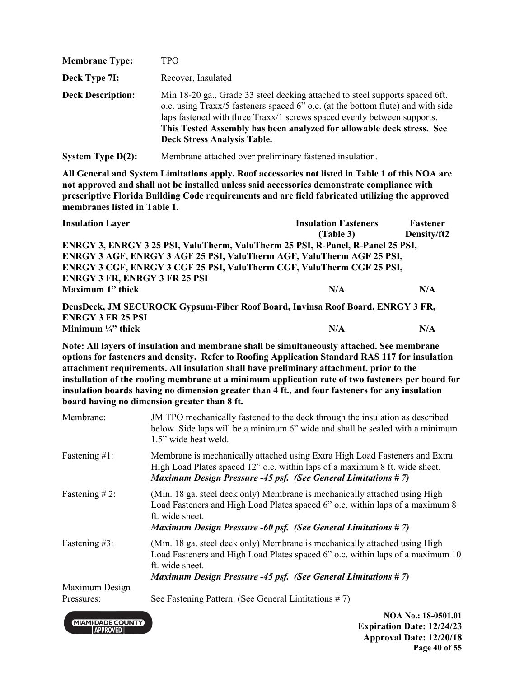| <b>Membrane Type:</b>    | TPO                                                                                                                                                                                                                                                                                                                                                       |
|--------------------------|-----------------------------------------------------------------------------------------------------------------------------------------------------------------------------------------------------------------------------------------------------------------------------------------------------------------------------------------------------------|
| Deck Type 7I:            | Recover, Insulated                                                                                                                                                                                                                                                                                                                                        |
| <b>Deck Description:</b> | Min 18-20 ga., Grade 33 steel decking attached to steel supports spaced 6ft.<br>o.c. using Traxx/5 fasteners spaced 6" o.c. (at the bottom flute) and with side<br>laps fastened with three Traxx/1 screws spaced evenly between supports.<br>This Tested Assembly has been analyzed for allowable deck stress. See<br><b>Deck Stress Analysis Table.</b> |

**System Type D(2):** Membrane attached over preliminary fastened insulation.

**All General and System Limitations apply. Roof accessories not listed in Table 1 of this NOA are not approved and shall not be installed unless said accessories demonstrate compliance with prescriptive Florida Building Code requirements and are field fabricated utilizing the approved membranes listed in Table 1.** 

| <b>Insulation Layer</b>                                                        | <b>Insulation Fasteners</b> | Fastener    |
|--------------------------------------------------------------------------------|-----------------------------|-------------|
|                                                                                | (Table 3)                   | Density/ft2 |
| ENRGY 3, ENRGY 3 25 PSI, ValuTherm, ValuTherm 25 PSI, R-Panel, R-Panel 25 PSI, |                             |             |
| ENRGY 3 AGF, ENRGY 3 AGF 25 PSI, ValuTherm AGF, ValuTherm AGF 25 PSI,          |                             |             |
| ENRGY 3 CGF, ENRGY 3 CGF 25 PSI, ValuTherm CGF, ValuTherm CGF 25 PSI,          |                             |             |
| <b>ENRGY 3 FR, ENRGY 3 FR 25 PSI</b>                                           |                             |             |
| Maximum 1" thick                                                               | N/A                         | N/A         |
| DensDeck, JM SECUROCK Gypsum-Fiber Roof Board, Invinsa Roof Board, ENRGY 3 FR, |                             |             |

**ENRGY 3 FR 25 PSI** 

**Minimum**  $\frac{1}{4}$  thick  $N/A$   $N/A$ 

**Note: All layers of insulation and membrane shall be simultaneously attached. See membrane options for fasteners and density. Refer to Roofing Application Standard RAS 117 for insulation attachment requirements. All insulation shall have preliminary attachment, prior to the installation of the roofing membrane at a minimum application rate of two fasteners per board for insulation boards having no dimension greater than 4 ft., and four fasteners for any insulation board having no dimension greater than 8 ft.**

| Membrane:        | JM TPO mechanically fastened to the deck through the insulation as described<br>below. Side laps will be a minimum 6" wide and shall be sealed with a minimum<br>1.5" wide heat weld.                                                                   |
|------------------|---------------------------------------------------------------------------------------------------------------------------------------------------------------------------------------------------------------------------------------------------------|
| Fastening $#1$ : | Membrane is mechanically attached using Extra High Load Fasteners and Extra<br>High Load Plates spaced 12" o.c. within laps of a maximum 8 ft. wide sheet.<br><b>Maximum Design Pressure -45 psf. (See General Limitations #7)</b>                      |
| Fastening $#2$ : | (Min. 18 ga. steel deck only) Membrane is mechanically attached using High<br>Load Fasteners and High Load Plates spaced 6" o.c. within laps of a maximum 8<br>ft. wide sheet.<br><b>Maximum Design Pressure -60 psf. (See General Limitations #7)</b>  |
| Fastening #3:    | (Min. 18 ga. steel deck only) Membrane is mechanically attached using High<br>Load Fasteners and High Load Plates spaced 6" o.c. within laps of a maximum 10<br>ft. wide sheet.<br><b>Maximum Design Pressure -45 psf. (See General Limitations #7)</b> |
| Maximum Design   |                                                                                                                                                                                                                                                         |
| Pressures:       | See Fastening Pattern. (See General Limitations $# 7$ )                                                                                                                                                                                                 |

**MIAMI-DADE COUNTY APPROVED** 

**NOA No.: 18-0501.01 Expiration Date: 12/24/23 Approval Date: 12/20/18 Page 40 of 55**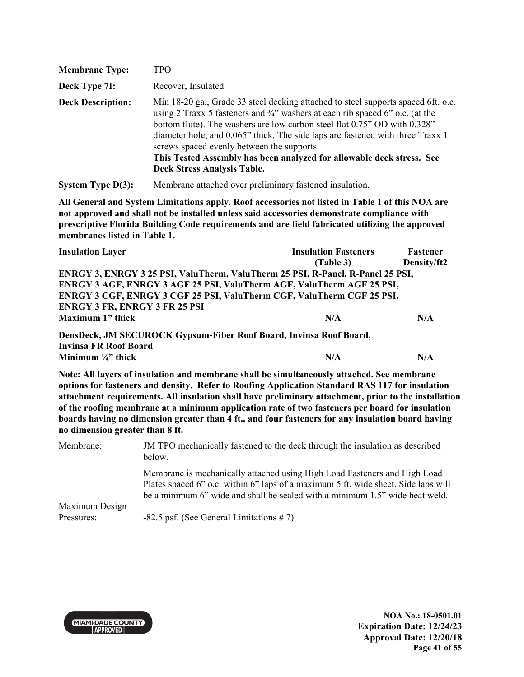| <b>Membrane Type:</b>    | <b>TPO</b>                                                                                                                                                                                                                                                                                                                                                                                                                                                                                                |
|--------------------------|-----------------------------------------------------------------------------------------------------------------------------------------------------------------------------------------------------------------------------------------------------------------------------------------------------------------------------------------------------------------------------------------------------------------------------------------------------------------------------------------------------------|
| Deck Type 7I:            | Recover, Insulated                                                                                                                                                                                                                                                                                                                                                                                                                                                                                        |
| <b>Deck Description:</b> | Min 18-20 ga., Grade 33 steel decking attached to steel supports spaced 6ft. o.c.<br>using 2 Traxx 5 fasteners and $\frac{3}{4}$ " washers at each rib spaced 6" o.c. (at the<br>bottom flute). The washers are low carbon steel flat 0.75" OD with 0.328"<br>diameter hole, and 0.065" thick. The side laps are fastened with three Traxx 1<br>screws spaced evenly between the supports.<br>This Tested Assembly has been analyzed for allowable deck stress. See<br><b>Deck Stress Analysis Table.</b> |

**System Type D(3):** Membrane attached over preliminary fastened insulation.

**All General and System Limitations apply. Roof accessories not listed in Table 1 of this NOA are not approved and shall not be installed unless said accessories demonstrate compliance with prescriptive Florida Building Code requirements and are field fabricated utilizing the approved membranes listed in Table 1.** 

| <b>Insulation Layer</b>                                                        | <b>Insulation Fasteners</b> | Fastener    |  |
|--------------------------------------------------------------------------------|-----------------------------|-------------|--|
|                                                                                | (Table 3)                   | Density/ft2 |  |
| ENRGY 3, ENRGY 3 25 PSI, ValuTherm, ValuTherm 25 PSI, R-Panel, R-Panel 25 PSI, |                             |             |  |
| ENRGY 3 AGF, ENRGY 3 AGF 25 PSI, ValuTherm AGF, ValuTherm AGF 25 PSI,          |                             |             |  |
| ENRGY 3 CGF, ENRGY 3 CGF 25 PSI, ValuTherm CGF, ValuTherm CGF 25 PSI,          |                             |             |  |
| <b>ENRGY 3 FR, ENRGY 3 FR 25 PSI</b>                                           |                             |             |  |
| Maximum 1" thick                                                               | N/A                         | N/A         |  |
| DensDeck, JM SECUROCK Gypsum-Fiber Roof Board, Invinsa Roof Board,             |                             |             |  |
| <b>Invinsa FR Roof Board</b>                                                   |                             |             |  |
| Minimum $\frac{1}{4}$ " thick                                                  | N/A                         | N/A         |  |

**Note: All layers of insulation and membrane shall be simultaneously attached. See membrane options for fasteners and density. Refer to Roofing Application Standard RAS 117 for insulation attachment requirements. All insulation shall have preliminary attachment, prior to the installation of the roofing membrane at a minimum application rate of two fasteners per board for insulation boards having no dimension greater than 4 ft., and four fasteners for any insulation board having no dimension greater than 8 ft.**

| Membrane:      | JM TPO mechanically fastened to the deck through the insulation as described<br>below.                                                                                                                                                          |
|----------------|-------------------------------------------------------------------------------------------------------------------------------------------------------------------------------------------------------------------------------------------------|
|                | Membrane is mechanically attached using High Load Fasteners and High Load<br>Plates spaced 6" o.c. within 6" laps of a maximum 5 ft. wide sheet. Side laps will<br>be a minimum 6" wide and shall be sealed with a minimum 1.5" wide heat weld. |
| Maximum Design |                                                                                                                                                                                                                                                 |
| Pressures:     | $-82.5$ psf. (See General Limitations #7)                                                                                                                                                                                                       |



**NOA No.: 18-0501.01 Expiration Date: 12/24/23 Approval Date: 12/20/18 Page 41 of 55**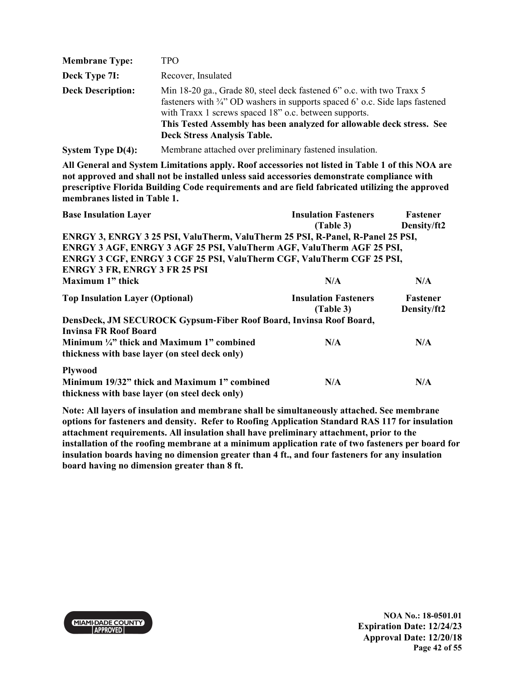| <b>Membrane Type:</b>    | TPO                                                                                                                                                                                                                                                                                                                                      |
|--------------------------|------------------------------------------------------------------------------------------------------------------------------------------------------------------------------------------------------------------------------------------------------------------------------------------------------------------------------------------|
| Deck Type 7I:            | Recover, Insulated                                                                                                                                                                                                                                                                                                                       |
| <b>Deck Description:</b> | Min 18-20 ga., Grade 80, steel deck fastened 6" o.c. with two Traxx 5<br>fasteners with $\frac{3}{4}$ " OD washers in supports spaced 6' o.c. Side laps fastened<br>with Traxx 1 screws spaced 18" o.c. between supports.<br>This Tested Assembly has been analyzed for allowable deck stress. See<br><b>Deck Stress Analysis Table.</b> |
| System Type $D(4)$ :     | Membrane attached over preliminary fastened insulation.                                                                                                                                                                                                                                                                                  |

| <b>Base Insulation Layer</b>                                                                                          | <b>Insulation Fasteners</b><br>(Table 3) | Fastener<br>Density/ft2 |
|-----------------------------------------------------------------------------------------------------------------------|------------------------------------------|-------------------------|
| ENRGY 3, ENRGY 3 25 PSI, ValuTherm, ValuTherm 25 PSI, R-Panel, R-Panel 25 PSI,                                        |                                          |                         |
| ENRGY 3 AGF, ENRGY 3 AGF 25 PSI, ValuTherm AGF, ValuTherm AGF 25 PSI,                                                 |                                          |                         |
| ENRGY 3 CGF, ENRGY 3 CGF 25 PSI, ValuTherm CGF, ValuTherm CGF 25 PSI,                                                 |                                          |                         |
| <b>ENRGY 3 FR, ENRGY 3 FR 25 PSI</b>                                                                                  |                                          |                         |
| Maximum 1" thick                                                                                                      | N/A                                      | N/A                     |
| <b>Top Insulation Layer (Optional)</b>                                                                                | <b>Insulation Fasteners</b><br>(Table 3) | Fastener<br>Density/ft2 |
| DensDeck, JM SECUROCK Gypsum-Fiber Roof Board, Invinsa Roof Board,                                                    |                                          |                         |
| Invinsa FR Roof Board<br>Minimum 1/4" thick and Maximum 1" combined<br>thickness with base layer (on steel deck only) | N/A                                      | N/A                     |
| <b>Plywood</b>                                                                                                        |                                          |                         |
| Minimum 19/32" thick and Maximum 1" combined<br>thickness with base layer (on steel deck only)                        | N/A                                      | N/A                     |

**Note: All layers of insulation and membrane shall be simultaneously attached. See membrane options for fasteners and density. Refer to Roofing Application Standard RAS 117 for insulation attachment requirements. All insulation shall have preliminary attachment, prior to the installation of the roofing membrane at a minimum application rate of two fasteners per board for insulation boards having no dimension greater than 4 ft., and four fasteners for any insulation board having no dimension greater than 8 ft.** 

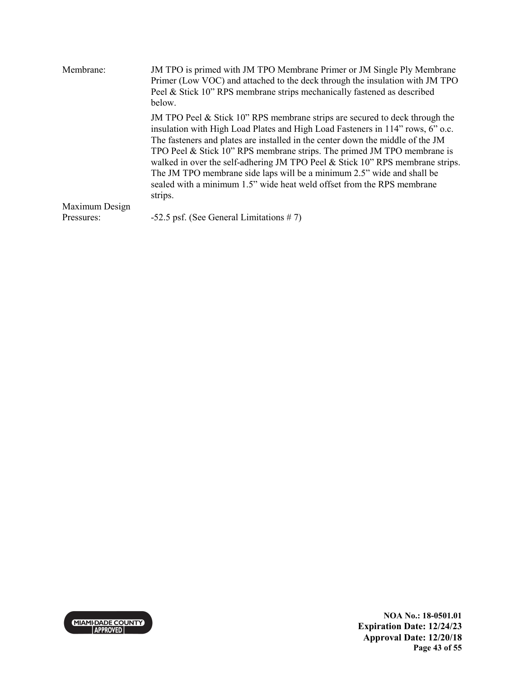| JM TPO is primed with JM TPO Membrane Primer or JM Single Ply Membrane<br>Membrane:<br>Primer (Low VOC) and attached to the deck through the insulation with JM TPO<br>Peel & Stick 10" RPS membrane strips mechanically fastened as described<br>below. |                                                                                                                                                                                                                                                                                                                                                                                                                                                                                                                                                                               |  |
|----------------------------------------------------------------------------------------------------------------------------------------------------------------------------------------------------------------------------------------------------------|-------------------------------------------------------------------------------------------------------------------------------------------------------------------------------------------------------------------------------------------------------------------------------------------------------------------------------------------------------------------------------------------------------------------------------------------------------------------------------------------------------------------------------------------------------------------------------|--|
|                                                                                                                                                                                                                                                          | JM TPO Peel $\&$ Stick 10" RPS membrane strips are secured to deck through the<br>insulation with High Load Plates and High Load Fasteners in 114" rows, 6" o.c.<br>The fasteners and plates are installed in the center down the middle of the JM<br>TPO Peel & Stick 10" RPS membrane strips. The primed JM TPO membrane is<br>walked in over the self-adhering JM TPO Peel & Stick 10" RPS membrane strips.<br>The JM TPO membrane side laps will be a minimum 2.5" wide and shall be<br>sealed with a minimum 1.5" wide heat weld offset from the RPS membrane<br>strips. |  |
| Maximum Design                                                                                                                                                                                                                                           |                                                                                                                                                                                                                                                                                                                                                                                                                                                                                                                                                                               |  |
| Pressures:                                                                                                                                                                                                                                               | $-52.5$ psf. (See General Limitations #7)                                                                                                                                                                                                                                                                                                                                                                                                                                                                                                                                     |  |

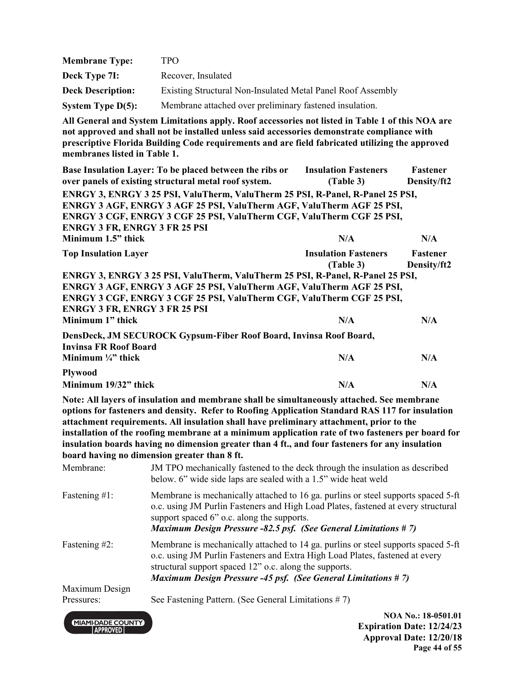| <b>Membrane Type:</b>                                                                                                                                                                                                                                                                                        | <b>TPO</b>                                                                                                                                                                                                                                                                                         |                                          |                                |
|--------------------------------------------------------------------------------------------------------------------------------------------------------------------------------------------------------------------------------------------------------------------------------------------------------------|----------------------------------------------------------------------------------------------------------------------------------------------------------------------------------------------------------------------------------------------------------------------------------------------------|------------------------------------------|--------------------------------|
| Deck Type 7I:                                                                                                                                                                                                                                                                                                | Recover, Insulated                                                                                                                                                                                                                                                                                 |                                          |                                |
| <b>Deck Description:</b>                                                                                                                                                                                                                                                                                     | Existing Structural Non-Insulated Metal Panel Roof Assembly                                                                                                                                                                                                                                        |                                          |                                |
| <b>System Type D(5):</b>                                                                                                                                                                                                                                                                                     | Membrane attached over preliminary fastened insulation.                                                                                                                                                                                                                                            |                                          |                                |
| membranes listed in Table 1.                                                                                                                                                                                                                                                                                 | All General and System Limitations apply. Roof accessories not listed in Table 1 of this NOA are<br>not approved and shall not be installed unless said accessories demonstrate compliance with<br>prescriptive Florida Building Code requirements and are field fabricated utilizing the approved |                                          |                                |
|                                                                                                                                                                                                                                                                                                              | Base Insulation Layer: To be placed between the ribs or<br>over panels of existing structural metal roof system.                                                                                                                                                                                   | <b>Insulation Fasteners</b><br>(Table 3) | <b>Fastener</b><br>Density/ft2 |
| ENRGY 3, ENRGY 3 25 PSI, ValuTherm, ValuTherm 25 PSI, R-Panel, R-Panel 25 PSI,<br>ENRGY 3 AGF, ENRGY 3 AGF 25 PSI, ValuTherm AGF, ValuTherm AGF 25 PSI,<br>ENRGY 3 CGF, ENRGY 3 CGF 25 PSI, ValuTherm CGF, ValuTherm CGF 25 PSI,<br><b>ENRGY 3 FR, ENRGY 3 FR 25 PSI</b><br>Minimum 1.5" thick<br>N/A<br>N/A |                                                                                                                                                                                                                                                                                                    |                                          |                                |
| <b>Top Insulation Layer</b>                                                                                                                                                                                                                                                                                  |                                                                                                                                                                                                                                                                                                    | <b>Insulation Fasteners</b><br>(Table 3) | <b>Fastener</b><br>Density/ft2 |
| <b>ENRGY 3 FR, ENRGY 3 FR 25 PSI</b><br>Minimum 1" thick                                                                                                                                                                                                                                                     | ENRGY 3, ENRGY 3 25 PSI, ValuTherm, ValuTherm 25 PSI, R-Panel, R-Panel 25 PSI,<br>ENRGY 3 AGF, ENRGY 3 AGF 25 PSI, ValuTherm AGF, ValuTherm AGF 25 PSI,<br>ENRGY 3 CGF, ENRGY 3 CGF 25 PSI, ValuTherm CGF, ValuTherm CGF 25 PSI,                                                                   | N/A                                      | N/A                            |
| <b>Invinsa FR Roof Board</b><br>Minimum $\frac{1}{4}$ " thick                                                                                                                                                                                                                                                | DensDeck, JM SECUROCK Gypsum-Fiber Roof Board, Invinsa Roof Board,                                                                                                                                                                                                                                 | N/A                                      | N/A                            |
| <b>Plywood</b><br>Minimum 19/32" thick                                                                                                                                                                                                                                                                       |                                                                                                                                                                                                                                                                                                    | N/A                                      | N/A                            |
|                                                                                                                                                                                                                                                                                                              | Note: All layers of insulation and membrane shall be simultaneously attached. See membrane                                                                                                                                                                                                         |                                          |                                |

**options for fasteners and density. Refer to Roofing Application Standard RAS 117 for insulation attachment requirements. All insulation shall have preliminary attachment, prior to the installation of the roofing membrane at a minimum application rate of two fasteners per board for insulation boards having no dimension greater than 4 ft., and four fasteners for any insulation board having no dimension greater than 8 ft.**

|                              | NA I N. . 10 AFA1 A1                                                                                                                                                                                                                                                                                |
|------------------------------|-----------------------------------------------------------------------------------------------------------------------------------------------------------------------------------------------------------------------------------------------------------------------------------------------------|
| Maximum Design<br>Pressures: | See Fastening Pattern. (See General Limitations $# 7$ )                                                                                                                                                                                                                                             |
| Fastening $#2$ :             | Membrane is mechanically attached to 14 ga. purlins or steel supports spaced 5-ft<br>o.c. using JM Purlin Fasteners and Extra High Load Plates, fastened at every<br>structural support spaced 12" o.c. along the supports.<br><b>Maximum Design Pressure -45 psf. (See General Limitations #7)</b> |
| Fastening $#1$ :             | Membrane is mechanically attached to 16 ga. purlins or steel supports spaced 5-ft<br>o.c. using JM Purlin Fasteners and High Load Plates, fastened at every structural<br>support spaced 6" o.c. along the supports.<br><b>Maximum Design Pressure -82.5 psf. (See General Limitations #7)</b>      |
| Membrane:                    | JM TPO mechanically fastened to the deck through the insulation as described<br>below. 6" wide side laps are sealed with a 1.5" wide heat weld                                                                                                                                                      |

MIAMI-DADE COUNTY

**NOA No.: 18-0501.01 Expiration Date: 12/24/23 Approval Date: 12/20/18 Page 44 of 55**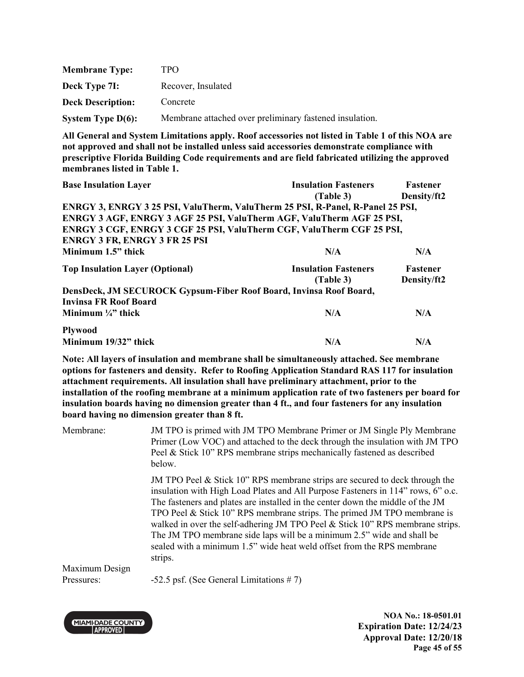| <b>Membrane Type:</b>    | TPO                                                     |
|--------------------------|---------------------------------------------------------|
| Deck Type 7I:            | Recover, Insulated                                      |
| <b>Deck Description:</b> | Concrete                                                |
| System Type $D(6)$ :     | Membrane attached over preliminary fastened insulation. |

| <b>Base Insulation Layer</b>                                                   | <b>Insulation Fasteners</b> | Fastener        |  |
|--------------------------------------------------------------------------------|-----------------------------|-----------------|--|
|                                                                                | (Table 3)                   | Density/ft2     |  |
| ENRGY 3, ENRGY 3 25 PSI, ValuTherm, ValuTherm 25 PSI, R-Panel, R-Panel 25 PSI, |                             |                 |  |
| ENRGY 3 AGF, ENRGY 3 AGF 25 PSI, ValuTherm AGF, ValuTherm AGF 25 PSI,          |                             |                 |  |
| ENRGY 3 CGF, ENRGY 3 CGF 25 PSI, ValuTherm CGF, ValuTherm CGF 25 PSI,          |                             |                 |  |
| <b>ENRGY 3 FR, ENRGY 3 FR 25 PSI</b>                                           |                             |                 |  |
| Minimum 1.5" thick                                                             | N/A                         | N/A             |  |
| <b>Top Insulation Layer (Optional)</b>                                         | <b>Insulation Fasteners</b> | <b>Fastener</b> |  |
|                                                                                | (Table 3)                   | Density/ft2     |  |
| DensDeck, JM SECUROCK Gypsum-Fiber Roof Board, Invinsa Roof Board,             |                             |                 |  |
| <b>Invinsa FR Roof Board</b>                                                   |                             |                 |  |
| Minimum $\frac{1}{4}$ " thick                                                  | N/A                         | N/A             |  |
| <b>Plywood</b>                                                                 |                             |                 |  |
| Minimum 19/32" thick                                                           | N/A                         | N/A             |  |

**Note: All layers of insulation and membrane shall be simultaneously attached. See membrane options for fasteners and density. Refer to Roofing Application Standard RAS 117 for insulation attachment requirements. All insulation shall have preliminary attachment, prior to the installation of the roofing membrane at a minimum application rate of two fasteners per board for insulation boards having no dimension greater than 4 ft., and four fasteners for any insulation board having no dimension greater than 8 ft.**

| Membrane:      | JM TPO is primed with JM TPO Membrane Primer or JM Single Ply Membrane<br>Primer (Low VOC) and attached to the deck through the insulation with JM TPO<br>Peel & Stick 10" RPS membrane strips mechanically fastened as described<br>below.                                                                                                                                                                                                                                                                                                                                                |
|----------------|--------------------------------------------------------------------------------------------------------------------------------------------------------------------------------------------------------------------------------------------------------------------------------------------------------------------------------------------------------------------------------------------------------------------------------------------------------------------------------------------------------------------------------------------------------------------------------------------|
|                | JM TPO Peel $&$ Stick 10" RPS membrane strips are secured to deck through the<br>insulation with High Load Plates and All Purpose Fasteners in 114" rows, 6" o.c.<br>The fasteners and plates are installed in the center down the middle of the JM<br>TPO Peel & Stick $10$ " RPS membrane strips. The primed JM TPO membrane is<br>walked in over the self-adhering JM TPO Peel & Stick $10^{\circ}$ RPS membrane strips.<br>The JM TPO membrane side laps will be a minimum 2.5" wide and shall be<br>sealed with a minimum 1.5" wide heat weld offset from the RPS membrane<br>strips. |
| Maximum Design |                                                                                                                                                                                                                                                                                                                                                                                                                                                                                                                                                                                            |
| Pressures:     | -52.5 psf. (See General Limitations $# 7$ )                                                                                                                                                                                                                                                                                                                                                                                                                                                                                                                                                |



**NOA No.: 18-0501.01 Expiration Date: 12/24/23 Approval Date: 12/20/18 Page 45 of 55**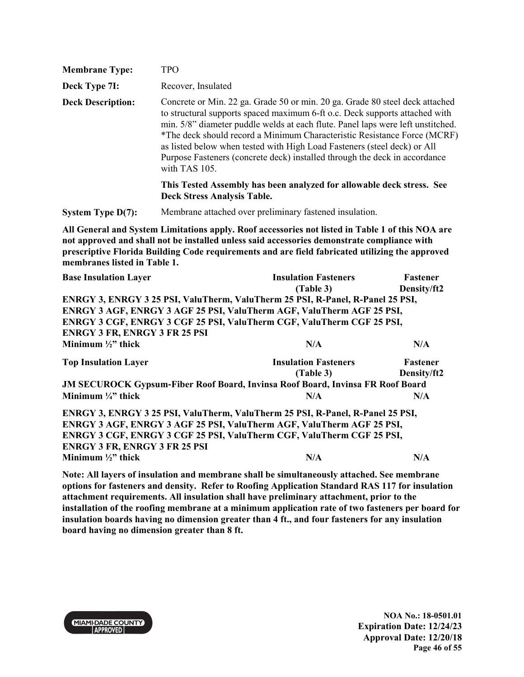| <b>Membrane Type:</b>    | <b>TPO</b>                                                                                                                                                                                                                                                                                                                                                                                                                                                                                            |
|--------------------------|-------------------------------------------------------------------------------------------------------------------------------------------------------------------------------------------------------------------------------------------------------------------------------------------------------------------------------------------------------------------------------------------------------------------------------------------------------------------------------------------------------|
| Deck Type 7I:            | Recover, Insulated                                                                                                                                                                                                                                                                                                                                                                                                                                                                                    |
| <b>Deck Description:</b> | Concrete or Min. 22 ga. Grade 50 or min. 20 ga. Grade 80 steel deck attached<br>to structural supports spaced maximum 6-ft o.c. Deck supports attached with<br>min. 5/8" diameter puddle welds at each flute. Panel laps were left unstitched.<br>*The deck should record a Minimum Characteristic Resistance Force (MCRF)<br>as listed below when tested with High Load Fasteners (steel deck) or All<br>Purpose Fasteners (concrete deck) installed through the deck in accordance<br>with TAS 105. |
|                          | This Tested Assembly has been analyzed for allowable deck stress. See<br><b>Deck Stress Analysis Table.</b>                                                                                                                                                                                                                                                                                                                                                                                           |
| System Type $D(7)$ :     | Membrane attached over preliminary fastened insulation.                                                                                                                                                                                                                                                                                                                                                                                                                                               |

| <b>Base Insulation Layer</b>                                                          | <b>Insulation Fasteners</b>                                           | Fastener        |  |  |
|---------------------------------------------------------------------------------------|-----------------------------------------------------------------------|-----------------|--|--|
|                                                                                       | (Table 3)                                                             | Density/ft2     |  |  |
| ENRGY 3, ENRGY 3 25 PSI, ValuTherm, ValuTherm 25 PSI, R-Panel, R-Panel 25 PSI,        |                                                                       |                 |  |  |
|                                                                                       | ENRGY 3 AGF, ENRGY 3 AGF 25 PSI, ValuTherm AGF, ValuTherm AGF 25 PSI, |                 |  |  |
| ENRGY 3 CGF, ENRGY 3 CGF 25 PSI, ValuTherm CGF, ValuTherm CGF 25 PSI,                 |                                                                       |                 |  |  |
| <b>ENRGY 3 FR, ENRGY 3 FR 25 PSI</b>                                                  |                                                                       |                 |  |  |
| Minimum $\frac{1}{2}$ thick                                                           | N/A                                                                   | N/A             |  |  |
| <b>Top Insulation Layer</b>                                                           | <b>Insulation Fasteners</b>                                           | <b>Fastener</b> |  |  |
|                                                                                       | (Table 3)                                                             | Density/ft2     |  |  |
| <b>JM SECUROCK Gypsum-Fiber Roof Board, Invinsa Roof Board, Invinsa FR Roof Board</b> |                                                                       |                 |  |  |
| Minimum $\frac{1}{4}$ thick                                                           | N/A                                                                   | N/A             |  |  |
| ENRGY 3, ENRGY 3 25 PSI, ValuTherm, ValuTherm 25 PSI, R-Panel, R-Panel 25 PSI,        |                                                                       |                 |  |  |
| ENRGY 3 AGF, ENRGY 3 AGF 25 PSI, ValuTherm AGF, ValuTherm AGF 25 PSI,                 |                                                                       |                 |  |  |
| ENRGY 3 CGF, ENRGY 3 CGF 25 PSI, ValuTherm CGF, ValuTherm CGF 25 PSI,                 |                                                                       |                 |  |  |
| <b>ENRGY 3 FR, ENRGY 3 FR 25 PSI</b>                                                  |                                                                       |                 |  |  |
| Minimum $\frac{1}{2}$ thick                                                           | N/A                                                                   | N/A             |  |  |

**Note: All layers of insulation and membrane shall be simultaneously attached. See membrane options for fasteners and density. Refer to Roofing Application Standard RAS 117 for insulation attachment requirements. All insulation shall have preliminary attachment, prior to the installation of the roofing membrane at a minimum application rate of two fasteners per board for insulation boards having no dimension greater than 4 ft., and four fasteners for any insulation board having no dimension greater than 8 ft.**

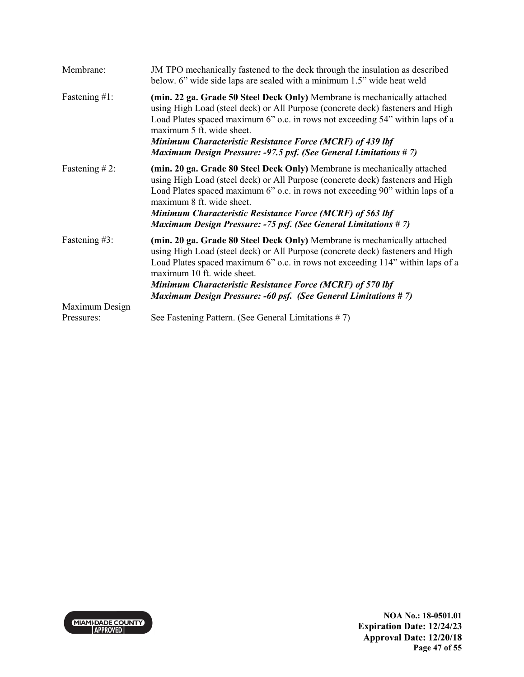| Membrane:         | JM TPO mechanically fastened to the deck through the insulation as described<br>below. 6" wide side laps are sealed with a minimum 1.5" wide heat weld                                                                                                                                                                                                                                                           |
|-------------------|------------------------------------------------------------------------------------------------------------------------------------------------------------------------------------------------------------------------------------------------------------------------------------------------------------------------------------------------------------------------------------------------------------------|
| Fastening $#1$ :  | (min. 22 ga. Grade 50 Steel Deck Only) Membrane is mechanically attached<br>using High Load (steel deck) or All Purpose (concrete deck) fasteners and High<br>Load Plates spaced maximum 6" o.c. in rows not exceeding 54" within laps of a<br>maximum 5 ft. wide sheet.<br>Minimum Characteristic Resistance Force (MCRF) of 439 lbf<br><b>Maximum Design Pressure: -97.5 psf. (See General Limitations #7)</b> |
| Fastening $# 2$ : | (min. 20 ga. Grade 80 Steel Deck Only) Membrane is mechanically attached<br>using High Load (steel deck) or All Purpose (concrete deck) fasteners and High<br>Load Plates spaced maximum 6" o.c. in rows not exceeding 90" within laps of a<br>maximum 8 ft. wide sheet.<br>Minimum Characteristic Resistance Force (MCRF) of 563 lbf<br><b>Maximum Design Pressure: -75 psf. (See General Limitations #7)</b>   |
| Fastening #3:     | (min. 20 ga. Grade 80 Steel Deck Only) Membrane is mechanically attached<br>using High Load (steel deck) or All Purpose (concrete deck) fasteners and High<br>Load Plates spaced maximum 6" o.c. in rows not exceeding 114" within laps of a<br>maximum 10 ft. wide sheet.<br>Minimum Characteristic Resistance Force (MCRF) of 570 lbf<br><b>Maximum Design Pressure: -60 psf. (See General Limitations #7)</b> |
| Maximum Design    |                                                                                                                                                                                                                                                                                                                                                                                                                  |
| Pressures:        | See Fastening Pattern. (See General Limitations #7)                                                                                                                                                                                                                                                                                                                                                              |

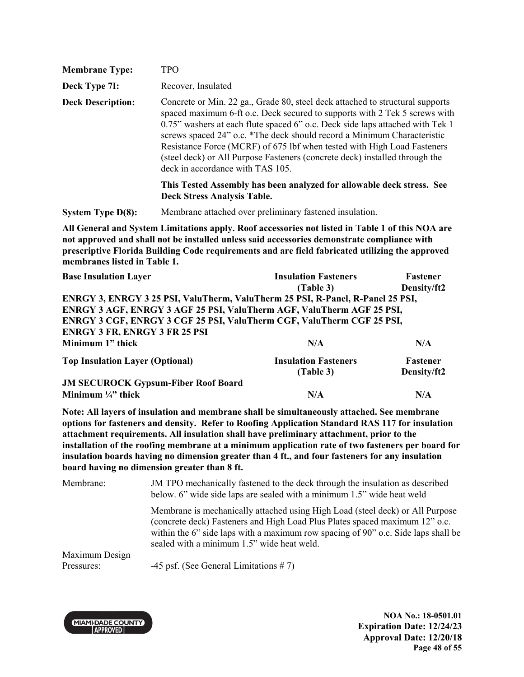| <b>Membrane Type:</b>    | <b>TPO</b>                                                                                                                                                                                                                                                                                                                                                                                                                                                                                                            |
|--------------------------|-----------------------------------------------------------------------------------------------------------------------------------------------------------------------------------------------------------------------------------------------------------------------------------------------------------------------------------------------------------------------------------------------------------------------------------------------------------------------------------------------------------------------|
| Deck Type 7I:            | Recover, Insulated                                                                                                                                                                                                                                                                                                                                                                                                                                                                                                    |
| <b>Deck Description:</b> | Concrete or Min. 22 ga., Grade 80, steel deck attached to structural supports<br>spaced maximum 6-ft o.c. Deck secured to supports with 2 Tek 5 screws with<br>0.75" washers at each flute spaced 6" o.c. Deck side laps attached with Tek 1<br>screws spaced 24" o.c. *The deck should record a Minimum Characteristic<br>Resistance Force (MCRF) of 675 lbf when tested with High Load Fasteners<br>(steel deck) or All Purpose Fasteners (concrete deck) installed through the<br>deck in accordance with TAS 105. |
|                          | This Tested Assembly has been analyzed for allowable deck stress. See<br><b>Deck Stress Analysis Table.</b>                                                                                                                                                                                                                                                                                                                                                                                                           |
| System Type $D(8)$ :     | Membrane attached over preliminary fastened insulation.                                                                                                                                                                                                                                                                                                                                                                                                                                                               |

| <b>Base Insulation Layer</b>                                                   | <b>Insulation Fasteners</b> | Fastener        |
|--------------------------------------------------------------------------------|-----------------------------|-----------------|
|                                                                                | (Table 3)                   | Density/ft2     |
| ENRGY 3, ENRGY 3 25 PSI, ValuTherm, ValuTherm 25 PSI, R-Panel, R-Panel 25 PSI, |                             |                 |
| ENRGY 3 AGF, ENRGY 3 AGF 25 PSI, ValuTherm AGF, ValuTherm AGF 25 PSI,          |                             |                 |
| ENRGY 3 CGF, ENRGY 3 CGF 25 PSI, ValuTherm CGF, ValuTherm CGF 25 PSI,          |                             |                 |
| <b>ENRGY 3 FR, ENRGY 3 FR 25 PSI</b>                                           |                             |                 |
| Minimum 1" thick                                                               | N/A                         | N/A             |
| <b>Top Insulation Layer (Optional)</b>                                         | <b>Insulation Fasteners</b> | <b>Fastener</b> |
|                                                                                | (Table 3)                   | Density/ft2     |
| <b>JM SECUROCK Gypsum-Fiber Roof Board</b>                                     |                             |                 |
| Minimum $\frac{1}{4}$ thick                                                    | N/A                         | N/A             |

**Note: All layers of insulation and membrane shall be simultaneously attached. See membrane options for fasteners and density. Refer to Roofing Application Standard RAS 117 for insulation attachment requirements. All insulation shall have preliminary attachment, prior to the installation of the roofing membrane at a minimum application rate of two fasteners per board for insulation boards having no dimension greater than 4 ft., and four fasteners for any insulation board having no dimension greater than 8 ft.**

Membrane: JM TPO mechanically fastened to the deck through the insulation as described below. 6" wide side laps are sealed with a minimum 1.5" wide heat weld Membrane is mechanically attached using High Load (steel deck) or All Purpose (concrete deck) Fasteners and High Load Plus Plates spaced maximum 12" o.c. within the 6" side laps with a maximum row spacing of 90" o.c. Side laps shall be sealed with a minimum 1.5" wide heat weld. Maximum Design Pressures: -45 psf. (See General Limitations # 7)



**NOA No.: 18-0501.01 Expiration Date: 12/24/23 Approval Date: 12/20/18 Page 48 of 55**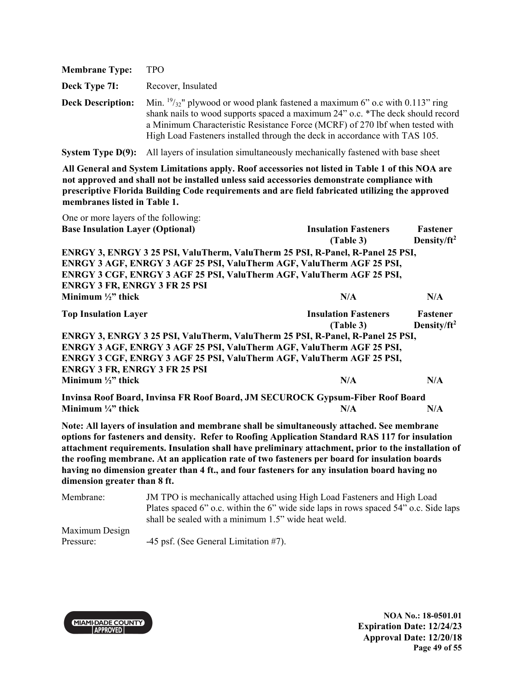| <b>Membrane Type:</b>    | TPO                                                                                                                                                                                                                                                                                                                                     |
|--------------------------|-----------------------------------------------------------------------------------------------------------------------------------------------------------------------------------------------------------------------------------------------------------------------------------------------------------------------------------------|
| Deck Type 7I:            | Recover, Insulated                                                                                                                                                                                                                                                                                                                      |
| <b>Deck Description:</b> | Min. $\frac{19}{32}$ " plywood or wood plank fastened a maximum 6" o.c with 0.113" ring<br>shank nails to wood supports spaced a maximum 24" o.c. *The deck should record<br>a Minimum Characteristic Resistance Force (MCRF) of 270 lbf when tested with<br>High Load Fasteners installed through the deck in accordance with TAS 105. |

**System Type D(9):** All layers of insulation simultaneously mechanically fastened with base sheet

**All General and System Limitations apply. Roof accessories not listed in Table 1 of this NOA are not approved and shall not be installed unless said accessories demonstrate compliance with prescriptive Florida Building Code requirements and are field fabricated utilizing the approved membranes listed in Table 1.**

| One or more layers of the following:                                           |                             |                         |
|--------------------------------------------------------------------------------|-----------------------------|-------------------------|
| <b>Base Insulation Layer (Optional)</b>                                        | <b>Insulation Fasteners</b> | Fastener                |
|                                                                                | (Table 3)                   | Density/ft <sup>2</sup> |
| ENRGY 3, ENRGY 3 25 PSI, ValuTherm, ValuTherm 25 PSI, R-Panel, R-Panel 25 PSI, |                             |                         |
| ENRGY 3 AGF, ENRGY 3 AGF 25 PSI, ValuTherm AGF, ValuTherm AGF 25 PSI,          |                             |                         |
| ENRGY 3 CGF, ENRGY 3 AGF 25 PSI, ValuTherm AGF, ValuTherm AGF 25 PSI,          |                             |                         |
| <b>ENRGY 3 FR, ENRGY 3 FR 25 PSI</b>                                           |                             |                         |
| Minimum $\frac{1}{2}$ thick                                                    | N/A                         | N/A                     |
| <b>Top Insulation Layer</b>                                                    | <b>Insulation Fasteners</b> | Fastener                |
|                                                                                | (Table 3)                   | Density/ft <sup>2</sup> |
| ENRGY 3, ENRGY 3 25 PSI, ValuTherm, ValuTherm 25 PSI, R-Panel, R-Panel 25 PSI, |                             |                         |
| ENRGY 3 AGF, ENRGY 3 AGF 25 PSI, ValuTherm AGF, ValuTherm AGF 25 PSI,          |                             |                         |
| ENRGY 3 CGF, ENRGY 3 AGF 25 PSI, ValuTherm AGF, ValuTherm AGF 25 PSI,          |                             |                         |
| <b>ENRGY 3 FR, ENRGY 3 FR 25 PSI</b>                                           |                             |                         |
| Minimum $\frac{1}{2}$ thick                                                    | N/A                         | N/A                     |
| Invinsa Roof Board, Invinsa FR Roof Board, JM SECUROCK Gypsum-Fiber Roof Board |                             |                         |
| Minimum $\frac{1}{4}$ thick                                                    | N/A                         | N/A                     |

**Note: All layers of insulation and membrane shall be simultaneously attached. See membrane options for fasteners and density. Refer to Roofing Application Standard RAS 117 for insulation attachment requirements. Insulation shall have preliminary attachment, prior to the installation of the roofing membrane. At an application rate of two fasteners per board for insulation boards having no dimension greater than 4 ft., and four fasteners for any insulation board having no dimension greater than 8 ft.** 

Membrane: JM TPO is mechanically attached using High Load Fasteners and High Load Plates spaced 6" o.c. within the 6" wide side laps in rows spaced 54" o.c. Side laps shall be sealed with a minimum 1.5" wide heat weld. Maximum Design

Pressure: -45 psf. (See General Limitation #7).



**NOA No.: 18-0501.01 Expiration Date: 12/24/23 Approval Date: 12/20/18 Page 49 of 55**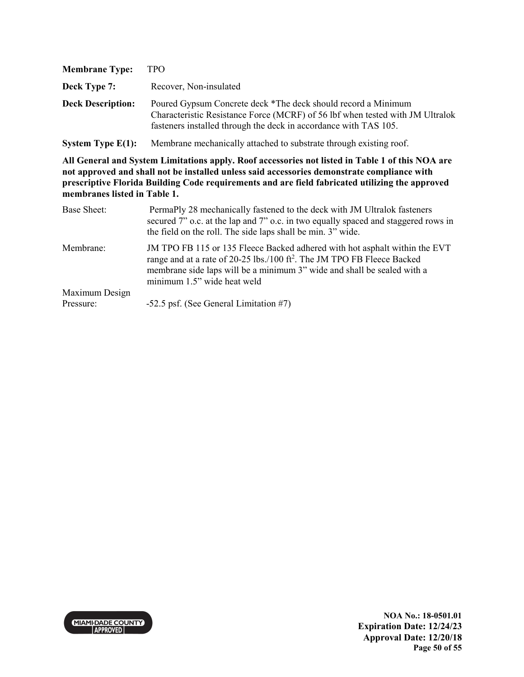| <b>Membrane Type:</b>    | <b>TPO</b>                                                                                                                                                                                                         |
|--------------------------|--------------------------------------------------------------------------------------------------------------------------------------------------------------------------------------------------------------------|
| Deck Type 7:             | Recover, Non-insulated                                                                                                                                                                                             |
| <b>Deck Description:</b> | Poured Gypsum Concrete deck *The deck should record a Minimum<br>Characteristic Resistance Force (MCRF) of 56 lbf when tested with JM Ultralok<br>fasteners installed through the deck in accordance with TAS 105. |

**System Type E(1):** Membrane mechanically attached to substrate through existing roof.

| Base Sheet:    | PermaPly 28 mechanically fastened to the deck with JM Ultralok fasteners<br>secured 7" o.c. at the lap and 7" o.c. in two equally spaced and staggered rows in<br>the field on the roll. The side laps shall be min. 3" wide.                                               |
|----------------|-----------------------------------------------------------------------------------------------------------------------------------------------------------------------------------------------------------------------------------------------------------------------------|
| Membrane:      | JM TPO FB 115 or 135 Fleece Backed adhered with hot asphalt within the EVT<br>range and at a rate of 20-25 lbs./100 ft <sup>2</sup> . The JM TPO FB Fleece Backed<br>membrane side laps will be a minimum 3" wide and shall be sealed with a<br>minimum 1.5" wide heat weld |
| Maximum Design |                                                                                                                                                                                                                                                                             |
| Pressure:      | -52.5 psf. (See General Limitation #7)                                                                                                                                                                                                                                      |

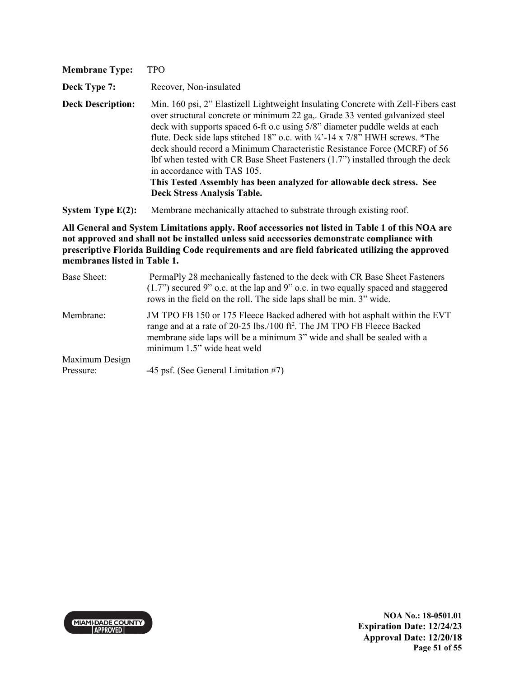| <b>Membrane Type:</b>    | TPO                                                                                                                                                                                                                                                                                                                                                                                                                                                                                                                                                                                                                                              |
|--------------------------|--------------------------------------------------------------------------------------------------------------------------------------------------------------------------------------------------------------------------------------------------------------------------------------------------------------------------------------------------------------------------------------------------------------------------------------------------------------------------------------------------------------------------------------------------------------------------------------------------------------------------------------------------|
| Deck Type 7:             | Recover, Non-insulated                                                                                                                                                                                                                                                                                                                                                                                                                                                                                                                                                                                                                           |
| <b>Deck Description:</b> | Min. 160 psi, 2" Elastizell Lightweight Insulating Concrete with Zell-Fibers cast<br>over structural concrete or minimum 22 ga,. Grade 33 vented galvanized steel<br>deck with supports spaced 6-ft o.c using 5/8" diameter puddle welds at each<br>flute. Deck side laps stitched 18" o.c. with $\frac{1}{4}$ -14 x 7/8" HWH screws. *The<br>deck should record a Minimum Characteristic Resistance Force (MCRF) of 56<br>Ibf when tested with CR Base Sheet Fasteners (1.7") installed through the deck<br>in accordance with TAS 105.<br>This Tested Assembly has been analyzed for allowable deck stress. See<br>Deck Stress Analysis Table. |
| System Type $E(2)$ :     | Membrane mechanically attached to substrate through existing roof.                                                                                                                                                                                                                                                                                                                                                                                                                                                                                                                                                                               |

| Base Sheet:    | PermaPly 28 mechanically fastened to the deck with CR Base Sheet Fasteners<br>$(1.7)$ secured 9" o.c. at the lap and 9" o.c. in two equally spaced and staggered<br>rows in the field on the roll. The side laps shall be min. 3" wide.                                     |
|----------------|-----------------------------------------------------------------------------------------------------------------------------------------------------------------------------------------------------------------------------------------------------------------------------|
| Membrane:      | JM TPO FB 150 or 175 Fleece Backed adhered with hot asphalt within the EVT<br>range and at a rate of 20-25 lbs./100 ft <sup>2</sup> . The JM TPO FB Fleece Backed<br>membrane side laps will be a minimum 3" wide and shall be sealed with a<br>minimum 1.5" wide heat weld |
| Maximum Design |                                                                                                                                                                                                                                                                             |
| Pressure:      | $-45$ psf. (See General Limitation #7)                                                                                                                                                                                                                                      |

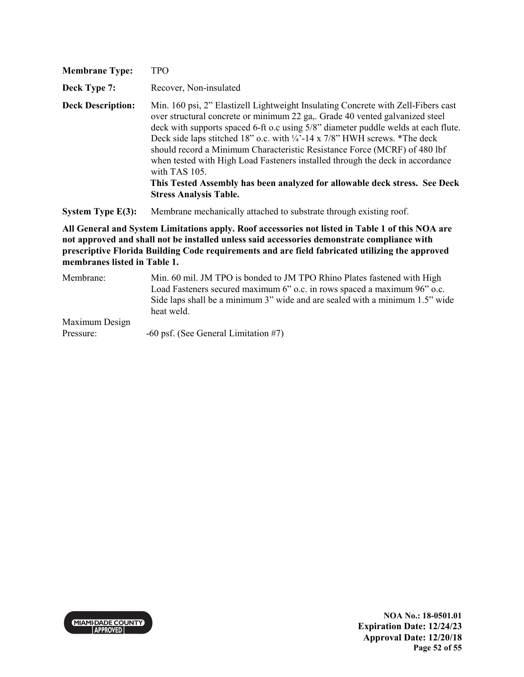| <b>Membrane Type:</b>    | <b>TPO</b>                                                                                                                                                                                                                                                                                                                                                                                                                                                                                                                                                                                                                                    |
|--------------------------|-----------------------------------------------------------------------------------------------------------------------------------------------------------------------------------------------------------------------------------------------------------------------------------------------------------------------------------------------------------------------------------------------------------------------------------------------------------------------------------------------------------------------------------------------------------------------------------------------------------------------------------------------|
| Deck Type 7:             | Recover, Non-insulated                                                                                                                                                                                                                                                                                                                                                                                                                                                                                                                                                                                                                        |
| <b>Deck Description:</b> | Min. 160 psi, 2" Elastizell Lightweight Insulating Concrete with Zell-Fibers cast<br>over structural concrete or minimum 22 ga,. Grade 40 vented galvanized steel<br>deck with supports spaced 6-ft o.c using 5/8" diameter puddle welds at each flute.<br>Deck side laps stitched 18" o.c. with $\frac{1}{4}$ -14 x 7/8" HWH screws. *The deck<br>should record a Minimum Characteristic Resistance Force (MCRF) of 480 lbf<br>when tested with High Load Fasteners installed through the deck in accordance<br>with TAS 105.<br>This Tested Assembly has been analyzed for allowable deck stress. See Deck<br><b>Stress Analysis Table.</b> |
| System Type $E(3)$ :     | Membrane mechanically attached to substrate through existing roof.                                                                                                                                                                                                                                                                                                                                                                                                                                                                                                                                                                            |

| Membrane:      | Min. 60 mil. JM TPO is bonded to JM TPO Rhino Plates fastened with High<br>Load Fasteners secured maximum 6" o.c. in rows spaced a maximum 96" o.c. |
|----------------|-----------------------------------------------------------------------------------------------------------------------------------------------------|
|                | Side laps shall be a minimum 3" wide and are sealed with a minimum 1.5" wide<br>heat weld.                                                          |
| Maximum Design |                                                                                                                                                     |
| Pressure:      | $-60$ psf. (See General Limitation #7)                                                                                                              |

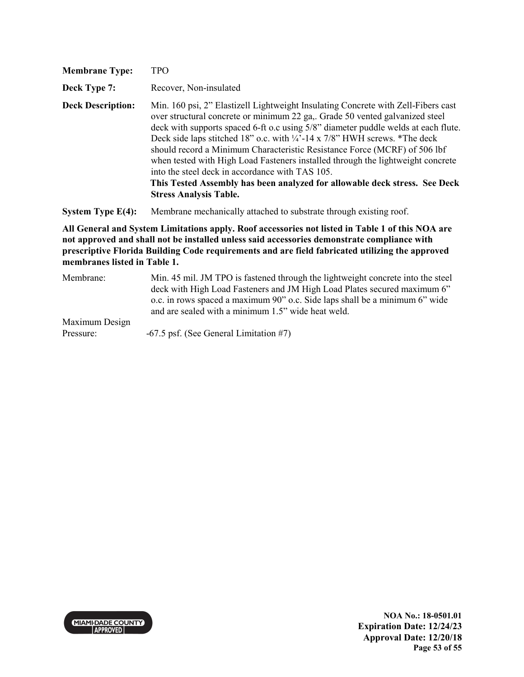| <b>Membrane Type:</b>                                                                                                                                                                           | <b>TPO</b>                                                                                                                                                                                                                                                                                                                                                                                                                                                                                                                                                                                                                                                                        |
|-------------------------------------------------------------------------------------------------------------------------------------------------------------------------------------------------|-----------------------------------------------------------------------------------------------------------------------------------------------------------------------------------------------------------------------------------------------------------------------------------------------------------------------------------------------------------------------------------------------------------------------------------------------------------------------------------------------------------------------------------------------------------------------------------------------------------------------------------------------------------------------------------|
| Deck Type 7:                                                                                                                                                                                    | Recover, Non-insulated                                                                                                                                                                                                                                                                                                                                                                                                                                                                                                                                                                                                                                                            |
| <b>Deck Description:</b>                                                                                                                                                                        | Min. 160 psi, 2" Elastizell Lightweight Insulating Concrete with Zell-Fibers cast<br>over structural concrete or minimum 22 ga,. Grade 50 vented galvanized steel<br>deck with supports spaced 6-ft o.c using 5/8" diameter puddle welds at each flute.<br>Deck side laps stitched 18" o.c. with $\frac{1}{4}$ -14 x 7/8" HWH screws. *The deck<br>should record a Minimum Characteristic Resistance Force (MCRF) of 506 lbf<br>when tested with High Load Fasteners installed through the lightweight concrete<br>into the steel deck in accordance with TAS 105.<br>This Tested Assembly has been analyzed for allowable deck stress. See Deck<br><b>Stress Analysis Table.</b> |
| System Type $E(4)$ :                                                                                                                                                                            | Membrane mechanically attached to substrate through existing roof.                                                                                                                                                                                                                                                                                                                                                                                                                                                                                                                                                                                                                |
| All General and System Limitations apply. Roof accessories not listed in Table 1 of this NOA are<br>not approved and shall not be installed unless said accessories demonstrate compliance with |                                                                                                                                                                                                                                                                                                                                                                                                                                                                                                                                                                                                                                                                                   |

**prescriptive Florida Building Code requirements and are field fabricated utilizing the approved membranes listed in Table 1.**

| Membrane:      | Min. 45 mil. JM TPO is fastened through the lightweight concrete into the steel<br>deck with High Load Fasteners and JM High Load Plates secured maximum 6" |
|----------------|-------------------------------------------------------------------------------------------------------------------------------------------------------------|
|                | o.c. in rows spaced a maximum 90" o.c. Side laps shall be a minimum 6" wide<br>and are sealed with a minimum 1.5" wide heat weld.                           |
| Maximum Design |                                                                                                                                                             |
| Pressure:      | $-67.5$ psf. (See General Limitation #7)                                                                                                                    |

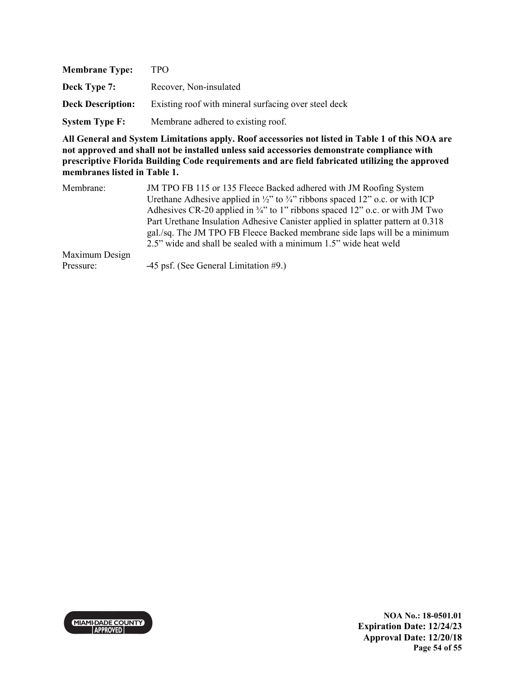| <b>Membrane Type:</b>    | TPO                                                  |
|--------------------------|------------------------------------------------------|
| Deck Type 7:             | Recover, Non-insulated                               |
| <b>Deck Description:</b> | Existing roof with mineral surfacing over steel deck |
| <b>System Type F:</b>    | Membrane adhered to existing roof.                   |

| Membrane:      | JM TPO FB 115 or 135 Fleece Backed adhered with JM Roofing System                                   |
|----------------|-----------------------------------------------------------------------------------------------------|
|                | Urethane Adhesive applied in $\frac{1}{2}$ " to $\frac{3}{4}$ " ribbons spaced 12" o.c. or with ICP |
|                | Adhesives CR-20 applied in $\frac{3}{4}$ " to 1" ribbons spaced 12" o.c. or with JM Two             |
|                | Part Urethane Insulation Adhesive Canister applied in splatter pattern at 0.318                     |
|                | gal./sq. The JM TPO FB Fleece Backed membrane side laps will be a minimum                           |
|                | 2.5" wide and shall be sealed with a minimum 1.5" wide heat weld                                    |
| Maximum Design |                                                                                                     |
| Pressure:      | -45 psf. (See General Limitation #9.)                                                               |